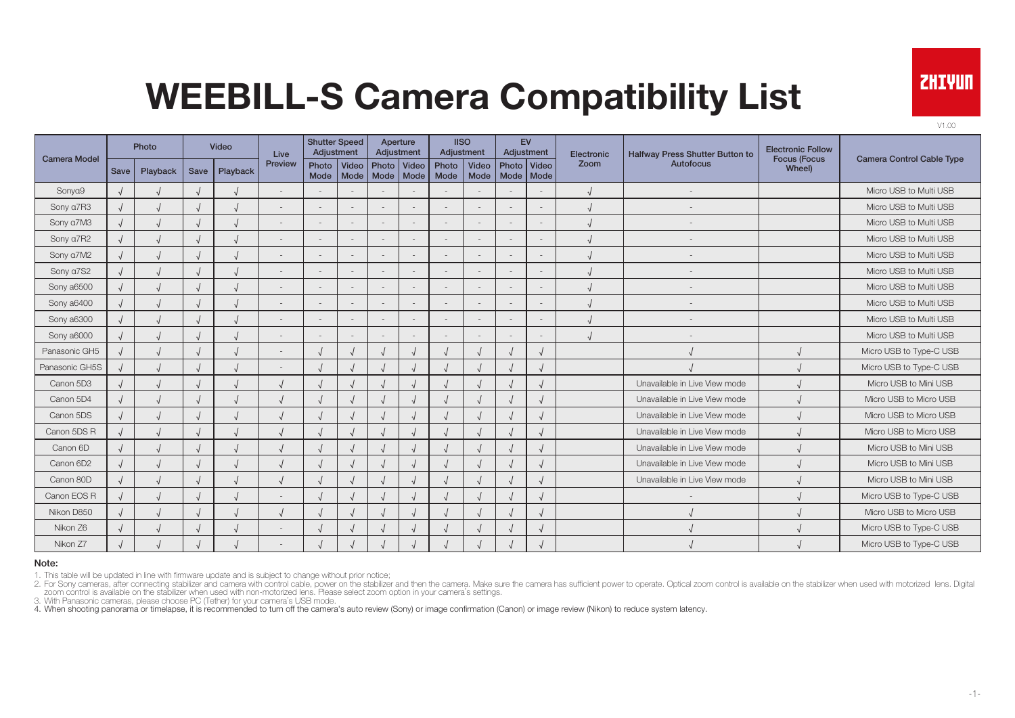

V1.00

| <b>Camera Model</b> |             | Photo    |      | Video    | Live    |               | <b>Shutter Speed</b><br>Adjustment |             | Aperture<br>Adjustment   |               | <b>IISO</b><br>Adjustment |             | <b>EV</b><br>Adjustment  | Electronic | Halfway Press Shutter Button to | <b>Electronic Follow</b>      |                                  |
|---------------------|-------------|----------|------|----------|---------|---------------|------------------------------------|-------------|--------------------------|---------------|---------------------------|-------------|--------------------------|------------|---------------------------------|-------------------------------|----------------------------------|
|                     | <b>Save</b> | Playback | Save | Playback | Preview | Photo<br>Mode | Video<br>Mode                      | Mode   Mode | Photo   Video            | Photo<br>Mode | Video<br>Mode             | Mode   Mode | Photo Video              | Zoom       | Autofocus                       | <b>Focus (Focus</b><br>Wheel) | <b>Camera Control Cable Type</b> |
| Sonya9              |             |          |      |          |         |               |                                    |             |                          |               |                           |             |                          |            |                                 |                               | Micro USB to Multi USB           |
| Sony a7R3           |             |          |      |          |         |               |                                    |             | $\overline{\phantom{a}}$ |               |                           |             | $\sim$                   |            |                                 |                               | Micro USB to Multi USB           |
| Sony a7M3           |             |          |      |          |         |               | $\sim$                             |             | $\sim$                   |               | $\overline{\phantom{a}}$  |             | $\sim$                   |            |                                 |                               | Micro USB to Multi USB           |
| Sony a7R2           |             |          |      |          |         |               |                                    |             |                          |               |                           |             | $\overline{a}$           |            |                                 |                               | Micro USB to Multi USB           |
| Sony a7M2           |             |          |      |          |         |               |                                    |             | $\overline{a}$           |               |                           |             | $\overline{\phantom{a}}$ |            |                                 |                               | Micro USB to Multi USB           |
| Sony a7S2           |             |          |      |          |         |               |                                    |             | $\overline{\phantom{a}}$ |               |                           |             | $\overline{\phantom{a}}$ |            |                                 |                               | Micro USB to Multi USB           |
| Sony a6500          |             |          |      |          |         |               |                                    |             | $\overline{\phantom{a}}$ |               |                           |             | $\overline{\phantom{a}}$ |            |                                 |                               | Micro USB to Multi USB           |
| Sony a6400          |             |          |      |          |         |               |                                    |             | $\overline{\phantom{a}}$ |               |                           |             | $\overline{\phantom{a}}$ |            |                                 |                               | Micro USB to Multi USB           |
| Sony a6300          |             |          |      |          |         |               |                                    |             | $\overline{\phantom{a}}$ |               |                           |             | $\overline{\phantom{a}}$ |            |                                 |                               | Micro USB to Multi USB           |
| Sony a6000          |             |          |      |          |         |               |                                    |             | $\overline{\phantom{a}}$ |               |                           |             |                          |            |                                 |                               | Micro USB to Multi USB           |
| Panasonic GH5       |             |          |      |          |         |               |                                    |             |                          |               |                           |             |                          |            |                                 |                               | Micro USB to Type-C USB          |
| Panasonic GH5S      |             |          |      |          |         |               |                                    |             |                          |               |                           |             |                          |            |                                 |                               | Micro USB to Type-C USB          |
| Canon 5D3           |             |          |      |          |         |               |                                    |             |                          |               |                           |             |                          |            | Unavailable in Live View mode   |                               | Micro USB to Mini USB            |
| Canon 5D4           |             |          |      |          |         |               |                                    |             |                          |               |                           |             | $\sqrt{2}$               |            | Unavailable in Live View mode   |                               | Micro USB to Micro USB           |
| Canon 5DS           |             |          |      |          |         |               |                                    |             |                          |               |                           |             | $\mathbf{v}$             |            | Unavailable in Live View mode   |                               | Micro USB to Micro USB           |
| Canon 5DS R         |             |          |      |          |         |               |                                    |             |                          |               |                           |             |                          |            | Unavailable in Live View mode   |                               | Micro USB to Micro USB           |
| Canon 6D            |             |          |      |          |         |               |                                    |             |                          |               |                           |             |                          |            | Unavailable in Live View mode   |                               | Micro USB to Mini USB            |
| Canon 6D2           |             |          |      |          |         |               |                                    |             |                          |               |                           |             | $\sqrt{ }$               |            | Unavailable in Live View mode   |                               | Micro USB to Mini USB            |
| Canon 80D           |             |          |      |          |         |               |                                    |             |                          |               |                           |             | $\sqrt{ }$               |            | Unavailable in Live View mode   |                               | Micro USB to Mini USB            |
| Canon EOS R         |             |          |      |          |         |               |                                    |             |                          |               |                           |             | N                        |            |                                 |                               | Micro USB to Type-C USB          |
| Nikon D850          |             |          |      |          |         |               |                                    |             |                          |               |                           |             |                          |            |                                 |                               | Micro USB to Micro USB           |
| Nikon Z6            |             |          |      |          |         |               |                                    |             |                          |               |                           |             | $\sqrt{ }$               |            |                                 |                               | Micro USB to Type-C USB          |
| Nikon Z7            |             |          |      |          |         |               |                                    |             |                          |               |                           |             |                          |            |                                 |                               | Micro USB to Type-C USB          |

#### Note:

1. This table will be updated in line with firmware update and is subject to change without prior notice;

2. For Sony cameras, after connecting stabilizer and camera with control cable, power on the stabilizer and then the camera. Make sure the camera has sufficient power to operate. Optical zoom control is available on the st

zoom control is available on the stabilizer when used with non-motorized lens. Please select zoom option in your camera's settings.<br>3. With Panasonic cameras, please choose PC (Tether) for your camera's USB mode.<br>4. When s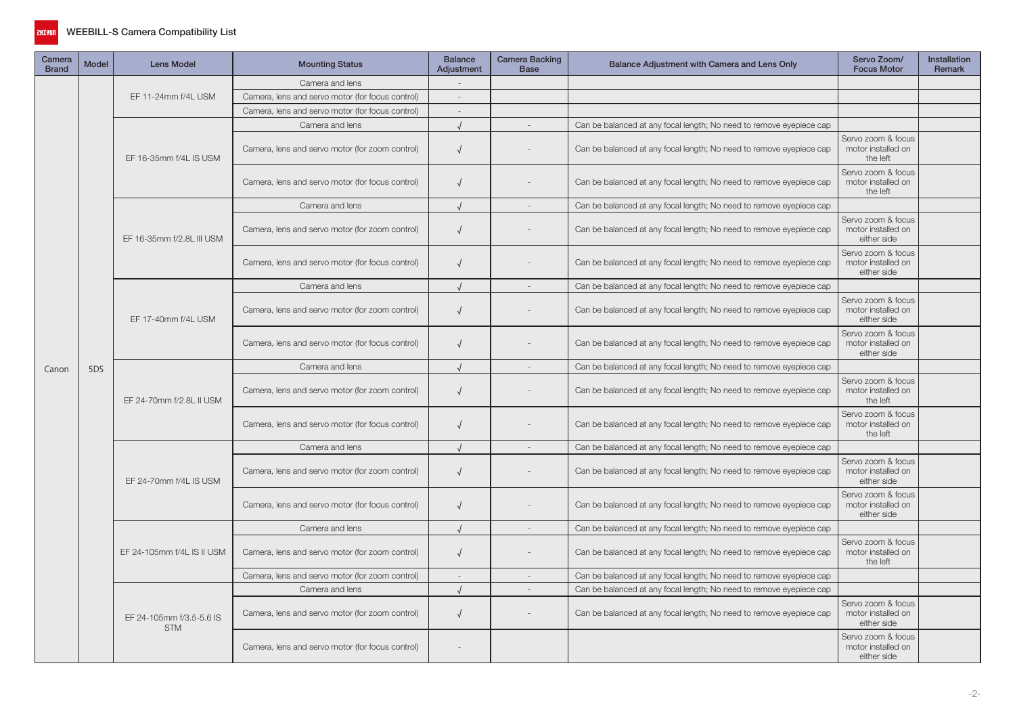

| Camera<br><b>Brand</b> | <b>Model</b> | <b>Lens Model</b>                      | <b>Mounting Status</b>                           | <b>Balance</b><br><b>Adiustment</b> | Camera Backing<br><b>Base</b> | Balance Adjustment with Camera and Lens Only                        | Servo Zoom/<br><b>Focus Motor</b>                       | <b>Installation</b><br><b>Remark</b> |
|------------------------|--------------|----------------------------------------|--------------------------------------------------|-------------------------------------|-------------------------------|---------------------------------------------------------------------|---------------------------------------------------------|--------------------------------------|
|                        |              |                                        | Camera and lens                                  |                                     |                               |                                                                     |                                                         |                                      |
|                        |              | EF 11-24mm f/4L USM                    | Camera, lens and servo motor (for focus control) | $\overline{\phantom{a}}$            |                               |                                                                     |                                                         |                                      |
| Canon                  |              |                                        | Camera, lens and servo motor (for focus control) | $\sim$                              |                               |                                                                     |                                                         |                                      |
|                        |              |                                        | Camera and lens                                  | $\cdot$                             |                               | Can be balanced at any focal length; No need to remove eyepiece cap |                                                         |                                      |
|                        |              | EF 16-35mm f/4L IS USM                 | Camera, lens and servo motor (for zoom control)  | $\sqrt{ }$                          |                               | Can be balanced at any focal length; No need to remove eyepiece cap | Servo zoom & focus<br>motor installed on<br>the left    |                                      |
|                        |              |                                        | Camera, lens and servo motor (for focus control) | $\sqrt{ }$                          |                               | Can be balanced at any focal length; No need to remove eyepiece cap | Servo zoom & focus<br>motor installed on<br>the left    |                                      |
|                        |              |                                        | Camera and lens                                  | $\sqrt{ }$                          |                               | Can be balanced at any focal length; No need to remove eyepiece cap |                                                         |                                      |
|                        |              | EF 16-35mm f/2.8L III USM              | Camera, lens and servo motor (for zoom control)  | $\sqrt{ }$                          |                               | Can be balanced at any focal length; No need to remove eyepiece cap | Servo zoom & focus<br>motor installed on<br>either side |                                      |
|                        |              |                                        | Camera, lens and servo motor (for focus control) | $\sqrt{ }$                          |                               | Can be balanced at any focal length; No need to remove eyepiece cap | Servo zoom & focus<br>motor installed on<br>either side |                                      |
|                        |              |                                        | Camera and lens                                  | $\sqrt{ }$                          | $\sim$                        | Can be balanced at any focal length; No need to remove eyepiece cap |                                                         |                                      |
|                        |              | EF 17-40mm f/4L USM                    | Camera, lens and servo motor (for zoom control)  | $\sqrt{ }$                          |                               | Can be balanced at any focal length; No need to remove eyepiece cap | Servo zoom & focus<br>motor installed on<br>either side |                                      |
|                        |              |                                        | Camera, lens and servo motor (for focus control) | $\sqrt{ }$                          |                               | Can be balanced at any focal length; No need to remove eyepiece cap | Servo zoom & focus<br>motor installed on<br>either side |                                      |
|                        | 5DS          |                                        | Camera and lens                                  | $\sqrt{ }$                          | $\overline{\phantom{a}}$      | Can be balanced at any focal length; No need to remove eyepiece cap |                                                         |                                      |
|                        |              | EF 24-70mm f/2.8L II USM               | Camera, lens and servo motor (for zoom control)  | $\sqrt{ }$                          |                               | Can be balanced at any focal length; No need to remove eyepiece cap | Servo zoom & focus<br>motor installed on<br>the left    |                                      |
|                        |              |                                        | Camera, lens and servo motor (for focus control) | $\sqrt{ }$                          |                               | Can be balanced at any focal length; No need to remove eyepiece cap | Servo zoom & focus<br>motor installed on<br>the left    |                                      |
|                        |              |                                        | Camera and lens                                  | $\sqrt{ }$                          |                               | Can be balanced at any focal length; No need to remove eyepiece cap |                                                         |                                      |
|                        |              | EF 24-70mm f/4L IS USM                 | Camera, lens and servo motor (for zoom control)  | $\sqrt{ }$                          |                               | Can be balanced at any focal length; No need to remove eyepiece cap | Servo zoom & focus<br>motor installed on<br>either side |                                      |
|                        |              |                                        | Camera, lens and servo motor (for focus control) | $\sqrt{ }$                          |                               | Can be balanced at any focal length; No need to remove eyepiece cap | Servo zoom & focus<br>motor installed on<br>either side |                                      |
|                        |              |                                        | Camera and lens                                  | $\sqrt{ }$                          | $\sim$                        | Can be balanced at any focal length; No need to remove eyepiece cap |                                                         |                                      |
|                        |              | EF 24-105mm f/4L IS II USM             | Camera, lens and servo motor (for zoom control)  | $\sqrt{ }$                          |                               | Can be balanced at any focal length; No need to remove eyepiece cap | Servo zoom & focus<br>motor installed on<br>the left    |                                      |
|                        |              |                                        | Camera, lens and servo motor (for zoom control)  | $\sim$                              |                               | Can be balanced at any focal length; No need to remove eyepiece cap |                                                         |                                      |
|                        |              |                                        | Camera and lens                                  | $\cdot$                             | $\sim$                        | Can be balanced at any focal length; No need to remove eyepiece cap |                                                         |                                      |
|                        |              | EF 24-105mm f/3.5-5.6 IS<br><b>STM</b> | Camera, lens and servo motor (for zoom control)  | $\sqrt{ }$                          |                               | Can be balanced at any focal length; No need to remove eyepiece cap | Servo zoom & focus<br>motor installed on<br>either side |                                      |
|                        |              |                                        | Camera, lens and servo motor (for focus control) |                                     |                               |                                                                     | Servo zoom & focus<br>motor installed on<br>either side |                                      |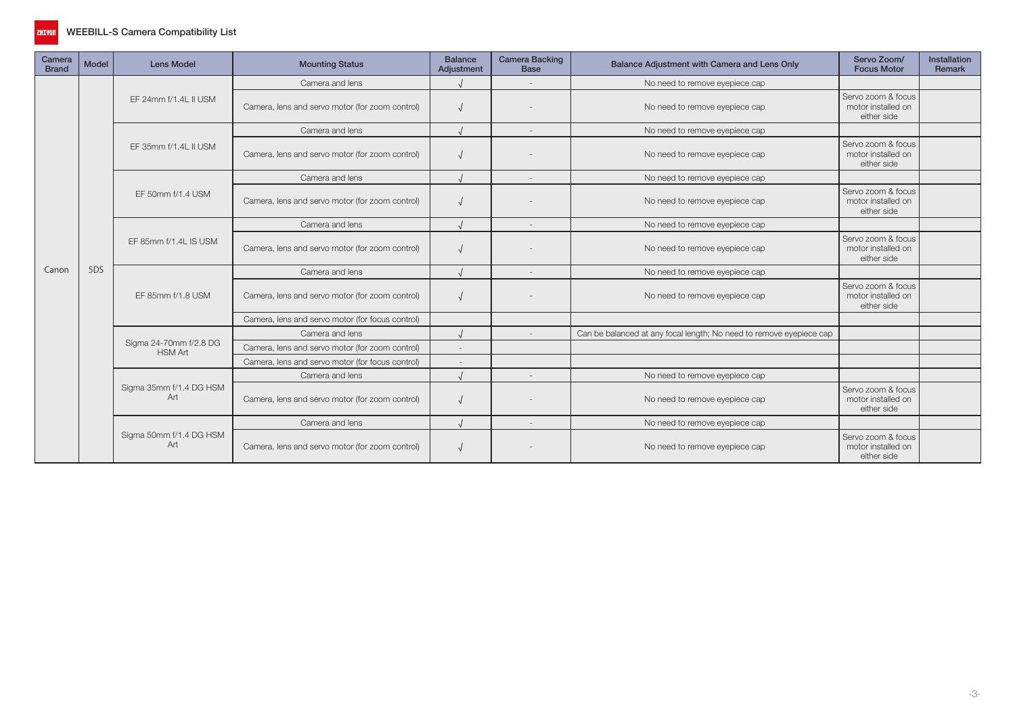

| Camera<br><b>Brand</b> | <b>Model</b> | <b>Lens Model</b>                        | <b>Mounting Status</b>                           | <b>Balance</b><br>Adjustment | <b>Camera Backing</b><br><b>Base</b> | Balance Adjustment with Camera and Lens Only                        | Servo Zoom/<br><b>Focus Motor</b>                       | Installation<br>Remark |
|------------------------|--------------|------------------------------------------|--------------------------------------------------|------------------------------|--------------------------------------|---------------------------------------------------------------------|---------------------------------------------------------|------------------------|
|                        |              |                                          | Camera and lens                                  |                              |                                      | No need to remove eyepiece cap                                      |                                                         |                        |
|                        |              | EF 24mm f/1.4L II USM                    | Camera, lens and servo motor (for zoom control)  |                              |                                      | No need to remove eyepiece cap                                      | Servo zoom & focus<br>motor installed on<br>either side |                        |
|                        |              |                                          | Camera and lens                                  |                              | $\overline{\phantom{a}}$             | No need to remove eyepiece cap                                      |                                                         |                        |
|                        |              | EF 35mm f/1.4L II USM                    | Camera, lens and servo motor (for zoom control)  |                              |                                      | No need to remove eyepiece cap                                      | Servo zoom & focus<br>motor installed on<br>either side |                        |
|                        |              |                                          | Camera and lens                                  |                              | $\overline{\phantom{a}}$             | No need to remove eyepiece cap                                      |                                                         |                        |
|                        |              | EF 50mm f/1.4 USM                        | Camera, lens and servo motor (for zoom control)  |                              |                                      | No need to remove eyepiece cap                                      | Servo zoom & focus<br>motor installed on<br>either side |                        |
|                        |              |                                          | Camera and lens                                  |                              | $\overline{\phantom{a}}$             | No need to remove eyepiece cap                                      |                                                         |                        |
|                        |              | EF 85mm f/1.4L IS USM                    | Camera, lens and servo motor (for zoom control)  |                              |                                      | No need to remove eyepiece cap                                      | Servo zoom & focus<br>motor installed on<br>either side |                        |
| Canon                  | 5DS          |                                          | Camera and lens                                  |                              | $\sim$                               | No need to remove eyepiece cap                                      |                                                         |                        |
|                        |              | EF 85mm f/1.8 USM                        | Camera, lens and servo motor (for zoom control)  |                              |                                      | No need to remove eyepiece cap                                      | Servo zoom & focus<br>motor installed on<br>either side |                        |
|                        |              |                                          | Camera, lens and servo motor (for focus control) |                              |                                      |                                                                     |                                                         |                        |
|                        |              |                                          | Camera and lens                                  |                              |                                      | Can be balanced at any focal length; No need to remove eyepiece cap |                                                         |                        |
|                        |              | Sigma 24-70mm f/2.8 DG<br><b>HSM Art</b> | Camera, lens and servo motor (for zoom control)  |                              |                                      |                                                                     |                                                         |                        |
|                        |              |                                          | Camera, lens and servo motor (for focus control) | $\overline{\phantom{a}}$     |                                      |                                                                     |                                                         |                        |
|                        |              |                                          | Camera and lens                                  |                              | $\overline{\phantom{a}}$             | No need to remove eyepiece cap                                      |                                                         |                        |
|                        |              | Sigma 35mm f/1.4 DG HSM<br>Art           | Camera, lens and servo motor (for zoom control)  |                              |                                      | No need to remove eyepiece cap                                      | Servo zoom & focus<br>motor installed on<br>either side |                        |
|                        |              |                                          | Camera and lens                                  |                              | $\overline{\phantom{a}}$             | No need to remove eyepiece cap                                      |                                                         |                        |
|                        |              | Sigma 50mm f/1.4 DG HSM<br>Art           | Camera, lens and servo motor (for zoom control)  |                              |                                      | No need to remove eyepiece cap                                      | Servo zoom & focus<br>motor installed on<br>either side |                        |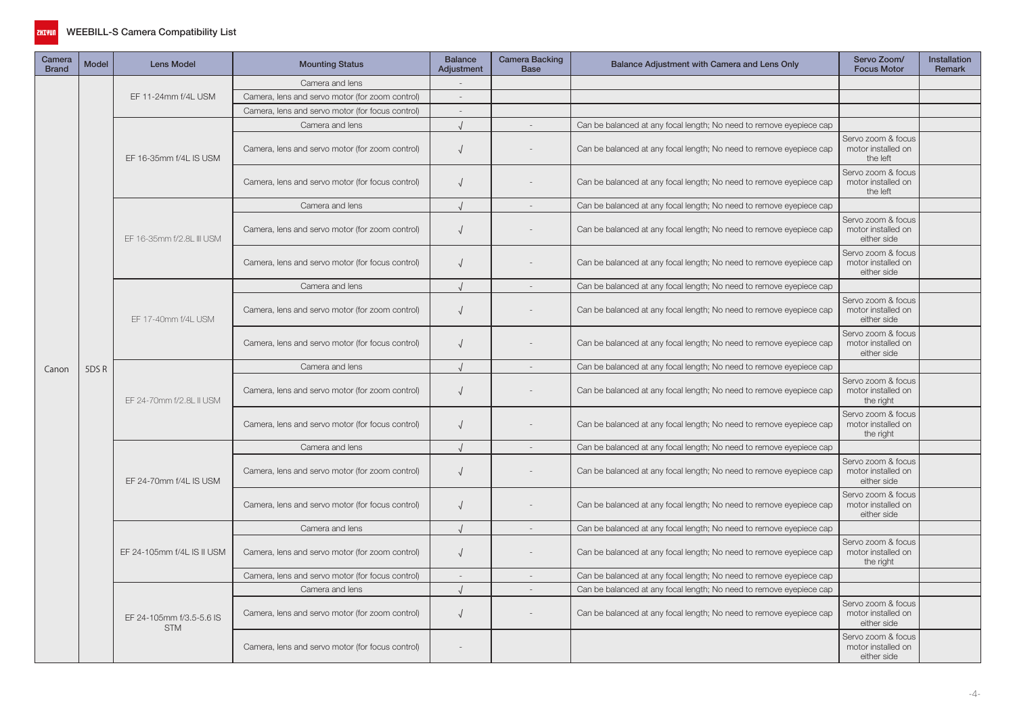

| Camera<br><b>Brand</b> | <b>Model</b> | <b>Lens Model</b>                      | <b>Mounting Status</b>                           | <b>Balance</b><br>Adjustment | Camera Backing<br><b>Base</b> | Balance Adjustment with Camera and Lens Only                        | Servo Zoom/<br><b>Focus Motor</b>                       | Installation<br><b>Remark</b> |
|------------------------|--------------|----------------------------------------|--------------------------------------------------|------------------------------|-------------------------------|---------------------------------------------------------------------|---------------------------------------------------------|-------------------------------|
|                        |              |                                        | Camera and lens                                  |                              |                               |                                                                     |                                                         |                               |
|                        |              | EF 11-24mm f/4L USM                    | Camera, lens and servo motor (for zoom control)  | $\overline{\phantom{a}}$     |                               |                                                                     |                                                         |                               |
| Canon                  |              |                                        | Camera, lens and servo motor (for focus control) | $\sim$                       |                               |                                                                     |                                                         |                               |
|                        |              |                                        | Camera and lens                                  |                              |                               | Can be balanced at any focal length; No need to remove eyepiece cap |                                                         |                               |
|                        |              | EF 16-35mm f/4L IS USM                 | Camera, lens and servo motor (for zoom control)  | $\sqrt{ }$                   |                               | Can be balanced at any focal length; No need to remove eyepiece cap | Servo zoom & focus<br>motor installed on<br>the left    |                               |
|                        |              |                                        | Camera, lens and servo motor (for focus control) |                              |                               | Can be balanced at any focal length; No need to remove eyepiece cap | Servo zoom & focus<br>motor installed on<br>the left    |                               |
|                        |              |                                        | Camera and lens                                  | $\sqrt{ }$                   |                               | Can be balanced at any focal length; No need to remove eyepiece cap |                                                         |                               |
|                        |              | EF 16-35mm f/2.8L III USM              | Camera, lens and servo motor (for zoom control)  | $\sqrt{ }$                   |                               | Can be balanced at any focal length; No need to remove eyepiece cap | Servo zoom & focus<br>motor installed on<br>either side |                               |
|                        |              |                                        | Camera, lens and servo motor (for focus control) | $\sqrt{ }$                   |                               | Can be balanced at any focal length; No need to remove eyepiece cap | Servo zoom & focus<br>motor installed on<br>either side |                               |
|                        |              |                                        | Camera and lens                                  | $\sqrt{ }$                   | $\sim$                        | Can be balanced at any focal length; No need to remove eyepiece cap |                                                         |                               |
|                        |              | EF 17-40mm f/4L USM                    | Camera, lens and servo motor (for zoom control)  | $\sqrt{ }$                   |                               | Can be balanced at any focal length; No need to remove eyepiece cap | Servo zoom & focus<br>motor installed on<br>either side |                               |
|                        |              |                                        | Camera, lens and servo motor (for focus control) |                              |                               | Can be balanced at any focal length; No need to remove eyepiece cap | Servo zoom & focus<br>motor installed on<br>either side |                               |
|                        | 5DSR         |                                        | Camera and lens                                  | $\sqrt{ }$                   | $\sim$                        | Can be balanced at any focal length; No need to remove eyepiece cap |                                                         |                               |
|                        |              | EF 24-70mm f/2.8L II USM               | Camera, lens and servo motor (for zoom control)  | $\sqrt{ }$                   |                               | Can be balanced at any focal length; No need to remove eyepiece cap | Servo zoom & focus<br>motor installed on<br>the right   |                               |
|                        |              |                                        | Camera, lens and servo motor (for focus control) |                              |                               | Can be balanced at any focal length; No need to remove eyepiece cap | Servo zoom & focus<br>motor installed on<br>the right   |                               |
|                        |              |                                        | Camera and lens                                  | $\sqrt{ }$                   | $\overline{\phantom{a}}$      | Can be balanced at any focal length; No need to remove eyepiece cap |                                                         |                               |
|                        |              | EF 24-70mm f/4L IS USM                 | Camera, lens and servo motor (for zoom control)  | $\sqrt{ }$                   |                               | Can be balanced at any focal length; No need to remove eyepiece cap | Servo zoom & focus<br>motor installed on<br>either side |                               |
|                        |              |                                        | Camera, lens and servo motor (for focus control) |                              |                               | Can be balanced at any focal length; No need to remove eyepiece cap | Servo zoom & focus<br>motor installed on<br>either side |                               |
|                        |              |                                        | Camera and lens                                  | $\sqrt{ }$                   | $\sim$                        | Can be balanced at any focal length; No need to remove eyepiece cap |                                                         |                               |
|                        |              | EF 24-105mm f/4L IS II USM             | Camera, lens and servo motor (for zoom control)  | $\sqrt{ }$                   |                               | Can be balanced at any focal length; No need to remove eyepiece cap | Servo zoom & focus<br>motor installed on<br>the right   |                               |
|                        |              |                                        | Camera, lens and servo motor (for focus control) | $\sim$                       |                               | Can be balanced at any focal length; No need to remove eyepiece cap |                                                         |                               |
|                        |              |                                        | Camera and lens                                  | $\cdot$                      |                               | Can be balanced at any focal length; No need to remove eyepiece cap |                                                         |                               |
|                        |              | EF 24-105mm f/3.5-5.6 IS<br><b>STM</b> | Camera, lens and servo motor (for zoom control)  | $\sqrt{ }$                   |                               | Can be balanced at any focal length; No need to remove eyepiece cap | Servo zoom & focus<br>motor installed on<br>either side |                               |
|                        |              |                                        | Camera, lens and servo motor (for focus control) |                              |                               |                                                                     | Servo zoom & focus<br>motor installed on<br>either side |                               |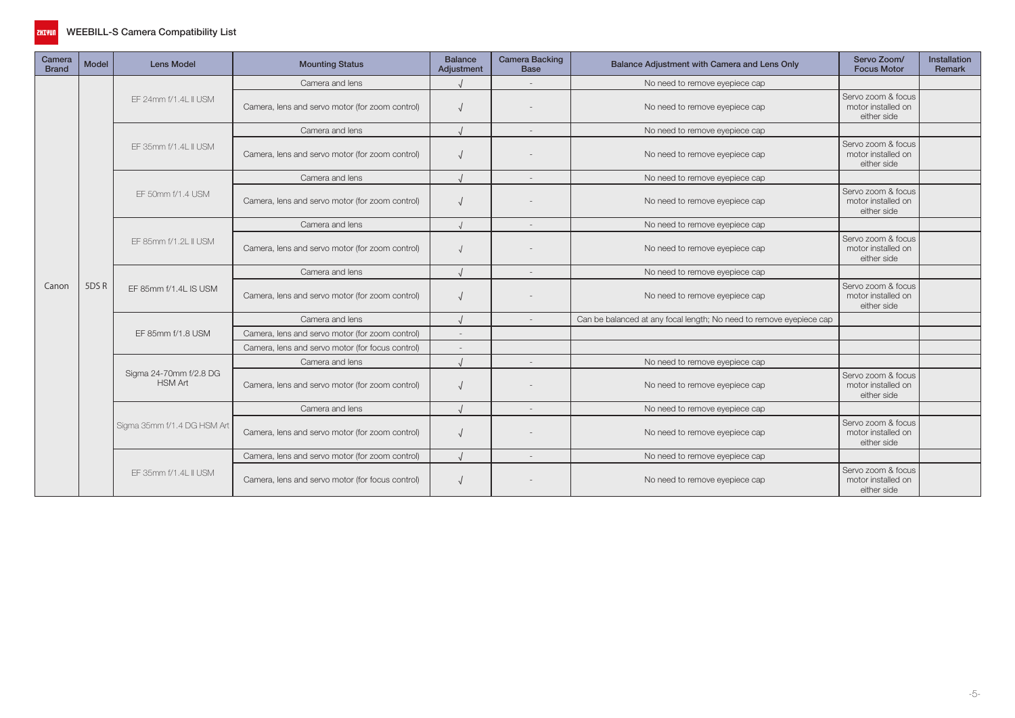

| Camera<br><b>Brand</b> | <b>Model</b> | <b>Lens Model</b>                        | <b>Mounting Status</b>                           | <b>Balance</b><br>Adiustment | <b>Camera Backing</b><br><b>Base</b> | Balance Adjustment with Camera and Lens Only                        | Servo Zoom/<br><b>Focus Motor</b>                       | Installation<br>Remark |
|------------------------|--------------|------------------------------------------|--------------------------------------------------|------------------------------|--------------------------------------|---------------------------------------------------------------------|---------------------------------------------------------|------------------------|
|                        |              |                                          | Camera and lens                                  |                              |                                      | No need to remove eyepiece cap                                      |                                                         |                        |
|                        |              | EF 24mm f/1.4L II USM                    | Camera, lens and servo motor (for zoom control)  |                              |                                      | No need to remove eyepiece cap                                      | Servo zoom & focus<br>motor installed on<br>either side |                        |
|                        |              |                                          | Camera and lens                                  |                              |                                      | No need to remove eyepiece cap                                      |                                                         |                        |
|                        |              | EF 35mm f/1.4L II USM                    | Camera, lens and servo motor (for zoom control)  |                              |                                      | No need to remove eyepiece cap                                      | Servo zoom & focus<br>motor installed on<br>either side |                        |
|                        |              |                                          | Camera and lens                                  |                              |                                      | No need to remove eyepiece cap                                      |                                                         |                        |
|                        |              | EF 50mm f/1.4 USM                        | Camera, lens and servo motor (for zoom control)  |                              |                                      | No need to remove eyepiece cap                                      | Servo zoom & focus<br>motor installed on<br>either side |                        |
|                        |              |                                          | Camera and lens                                  |                              | $\overline{a}$                       | No need to remove eyepiece cap                                      |                                                         |                        |
|                        |              | EF 85mm f/1.2L II USM                    | Camera, lens and servo motor (for zoom control)  |                              |                                      | No need to remove eyepiece cap                                      | Servo zoom & focus<br>motor installed on<br>either side |                        |
|                        |              |                                          | Camera and lens                                  |                              |                                      | No need to remove eyepiece cap                                      |                                                         |                        |
| Canon                  | 5DSR         | EF 85mm f/1.4L IS USM                    | Camera, lens and servo motor (for zoom control)  |                              |                                      | No need to remove eyepiece cap                                      | Servo zoom & focus<br>motor installed on<br>either side |                        |
|                        |              |                                          | Camera and lens                                  |                              |                                      | Can be balanced at any focal length; No need to remove eyepiece cap |                                                         |                        |
|                        |              | EF 85mm f/1.8 USM                        | Camera, lens and servo motor (for zoom control)  |                              |                                      |                                                                     |                                                         |                        |
|                        |              |                                          | Camera, lens and servo motor (for focus control) |                              |                                      |                                                                     |                                                         |                        |
|                        |              |                                          | Camera and lens                                  |                              | $\overline{\phantom{a}}$             | No need to remove eyepiece cap                                      |                                                         |                        |
|                        |              | Sigma 24-70mm f/2.8 DG<br><b>HSM Art</b> | Camera, lens and servo motor (for zoom control)  |                              |                                      | No need to remove eyepiece cap                                      | Servo zoom & focus<br>motor installed on<br>either side |                        |
|                        |              |                                          | Camera and lens                                  |                              | $\overline{\phantom{a}}$             | No need to remove eyepiece cap                                      |                                                         |                        |
|                        |              | Sigma 35mm f/1.4 DG HSM Art              | Camera, lens and servo motor (for zoom control)  |                              |                                      | No need to remove eyepiece cap                                      | Servo zoom & focus<br>motor installed on<br>either side |                        |
|                        |              |                                          | Camera, lens and servo motor (for zoom control)  |                              | $\overline{\phantom{a}}$             | No need to remove eyepiece cap                                      |                                                         |                        |
|                        |              | EF 35mm f/1.4L II USM                    | Camera, lens and servo motor (for focus control) |                              |                                      | No need to remove eyepiece cap                                      | Servo zoom & focus<br>motor installed on<br>either side |                        |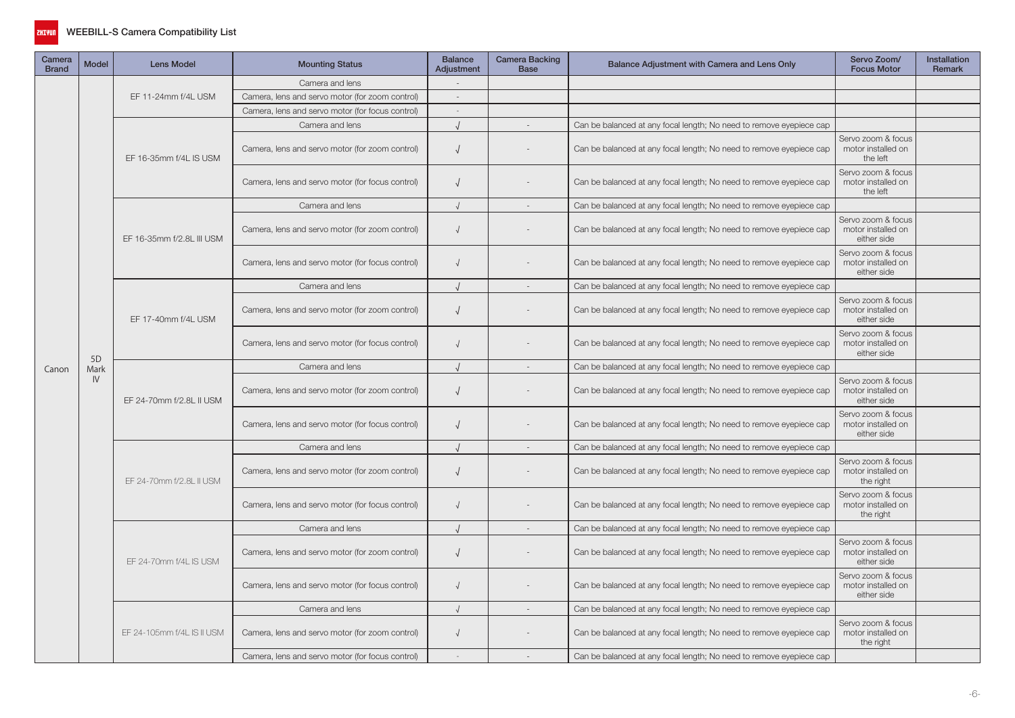

| Camera<br><b>Brand</b> | <b>Model</b>   | <b>Lens Model</b>          | <b>Mounting Status</b>                           | <b>Balance</b><br>Adjustment | Camera Backing<br><b>Base</b> | Balance Adjustment with Camera and Lens Only                        | Servo Zoom/<br><b>Focus Motor</b>                       | Installation<br>Remark |
|------------------------|----------------|----------------------------|--------------------------------------------------|------------------------------|-------------------------------|---------------------------------------------------------------------|---------------------------------------------------------|------------------------|
|                        |                |                            | Camera and lens                                  |                              |                               |                                                                     |                                                         |                        |
|                        |                | EF 11-24mm f/4L USM        | Camera, lens and servo motor (for zoom control)  | $\sim$                       |                               |                                                                     |                                                         |                        |
| Canon                  |                |                            | Camera, lens and servo motor (for focus control) |                              |                               |                                                                     |                                                         |                        |
|                        |                |                            | Camera and lens                                  |                              |                               | Can be balanced at any focal length; No need to remove eyepiece cap |                                                         |                        |
|                        |                | EF 16-35mm f/4L IS USM     | Camera, lens and servo motor (for zoom control)  | $\sqrt{2}$                   |                               | Can be balanced at any focal length; No need to remove eyepiece cap | Servo zoom & focus<br>motor installed on<br>the left    |                        |
|                        |                |                            | Camera, lens and servo motor (for focus control) | $\sqrt{2}$                   |                               | Can be balanced at any focal length; No need to remove eyepiece cap | Servo zoom & focus<br>motor installed on<br>the left    |                        |
|                        |                |                            | Camera and lens                                  | $\sqrt{ }$                   |                               | Can be balanced at any focal length; No need to remove eyepiece cap |                                                         |                        |
|                        |                | EF 16-35mm f/2.8L III USM  | Camera, lens and servo motor (for zoom control)  | $\sqrt{ }$                   |                               | Can be balanced at any focal length; No need to remove eyepiece cap | Servo zoom & focus<br>motor installed on<br>either side |                        |
|                        |                |                            | Camera, lens and servo motor (for focus control) | $\sqrt{ }$                   |                               | Can be balanced at any focal length; No need to remove eyepiece cap | Servo zoom & focus<br>motor installed on<br>either side |                        |
|                        |                |                            | Camera and lens                                  |                              | $\overline{\phantom{a}}$      | Can be balanced at any focal length; No need to remove eyepiece cap |                                                         |                        |
|                        |                | EF 17-40mm f/4L USM        | Camera, lens and servo motor (for zoom control)  | $\sqrt{ }$                   |                               | Can be balanced at any focal length; No need to remove eyepiece cap | Servo zoom & focus<br>motor installed on<br>either side |                        |
|                        | 5 <sub>D</sub> |                            | Camera, lens and servo motor (for focus control) | $\sqrt{ }$                   |                               | Can be balanced at any focal length; No need to remove eyepiece cap | Servo zoom & focus<br>motor installed on<br>either side |                        |
|                        | Mark           |                            | Camera and lens                                  | $\cdot$                      | $\overline{\phantom{a}}$      | Can be balanced at any focal length; No need to remove eyepiece cap |                                                         |                        |
|                        | IV             | EF 24-70mm f/2.8L II USM   | Camera, lens and servo motor (for zoom control)  | $\sqrt{ }$                   |                               | Can be balanced at any focal length; No need to remove eyepiece cap | Servo zoom & focus<br>motor installed on<br>either side |                        |
|                        |                |                            | Camera, lens and servo motor (for focus control) | $\sqrt{ }$                   |                               | Can be balanced at any focal length; No need to remove eyepiece cap | Servo zoom & focus<br>motor installed on<br>either side |                        |
|                        |                |                            | Camera and lens                                  |                              | $\overline{\phantom{a}}$      | Can be balanced at any focal length; No need to remove eyepiece cap |                                                         |                        |
|                        |                | EF 24-70mm f/2.8L II USM   | Camera, lens and servo motor (for zoom control)  | $\sqrt{ }$                   |                               | Can be balanced at any focal length; No need to remove eyepiece cap | Servo zoom & focus<br>motor installed on<br>the right   |                        |
|                        |                |                            | Camera, lens and servo motor (for focus control) | $\cdot$                      |                               | Can be balanced at any focal length; No need to remove eyepiece cap | Servo zoom & focus<br>motor installed on<br>the right   |                        |
|                        |                |                            | Camera and lens                                  | $\cdot$                      | $\sim$                        | Can be balanced at any focal length; No need to remove eyepiece cap |                                                         |                        |
|                        |                | EF 24-70mm f/4L IS USM     | Camera, lens and servo motor (for zoom control)  | $\sqrt{2}$                   |                               | Can be balanced at any focal length; No need to remove eyepiece cap | Servo zoom & focus<br>motor installed on<br>either side |                        |
|                        |                |                            | Camera, lens and servo motor (for focus control) | $\sqrt{ }$                   |                               | Can be balanced at any focal length; No need to remove eyepiece cap | Servo zoom & focus<br>motor installed on<br>either side |                        |
|                        |                |                            | Camera and lens                                  | $\cdot$                      |                               | Can be balanced at any focal length; No need to remove eyepiece cap |                                                         |                        |
|                        |                | EF 24-105mm f/4L IS II USM | Camera, lens and servo motor (for zoom control)  | $\sqrt{ }$                   |                               | Can be balanced at any focal length; No need to remove eyepiece cap | Servo zoom & focus<br>motor installed on<br>the right   |                        |
|                        |                |                            | Camera, lens and servo motor (for focus control) |                              |                               | Can be balanced at any focal length; No need to remove eyepiece cap |                                                         |                        |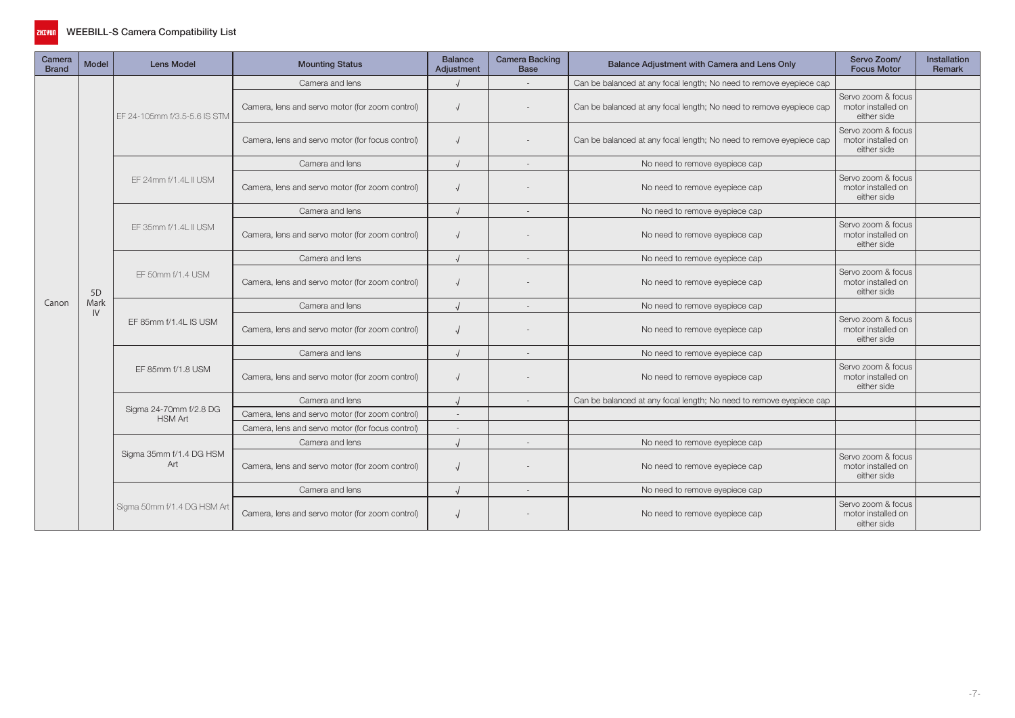

| Camera<br><b>Brand</b> | <b>Model</b>   | <b>Lens Model</b>                        | <b>Mounting Status</b>                           | <b>Balance</b><br>Adjustment | <b>Camera Backing</b><br><b>Base</b> | Balance Adjustment with Camera and Lens Only                        | Servo Zoom/<br><b>Focus Motor</b>                       | <b>Installation</b><br>Remark |
|------------------------|----------------|------------------------------------------|--------------------------------------------------|------------------------------|--------------------------------------|---------------------------------------------------------------------|---------------------------------------------------------|-------------------------------|
|                        |                |                                          | Camera and lens                                  |                              |                                      | Can be balanced at any focal length; No need to remove eyepiece cap |                                                         |                               |
|                        |                | EF 24-105mm f/3.5-5.6 IS STM             | Camera, lens and servo motor (for zoom control)  |                              |                                      | Can be balanced at any focal length; No need to remove eyepiece cap | Servo zoom & focus<br>motor installed on<br>either side |                               |
|                        |                |                                          | Camera, lens and servo motor (for focus control) |                              |                                      | Can be balanced at any focal length; No need to remove eyepiece cap | Servo zoom & focus<br>motor installed on<br>either side |                               |
|                        |                |                                          | Camera and lens                                  |                              | $\sim$                               | No need to remove eyepiece cap                                      |                                                         |                               |
|                        |                | EF 24mm f/1.4L II USM                    | Camera, lens and servo motor (for zoom control)  |                              |                                      | No need to remove eyepiece cap                                      | Servo zoom & focus<br>motor installed on<br>either side |                               |
|                        |                |                                          | Camera and lens                                  | $\cdot$                      |                                      | No need to remove eyepiece cap                                      |                                                         |                               |
|                        |                | EF 35mm f/1.4L II USM                    | Camera, lens and servo motor (for zoom control)  |                              |                                      | No need to remove eyepiece cap                                      | Servo zoom & focus<br>motor installed on<br>either side |                               |
|                        |                |                                          | Camera and lens                                  |                              | $\overline{\phantom{a}}$             | No need to remove eyepiece cap                                      |                                                         |                               |
|                        | 5 <sub>D</sub> | EF 50mm f/1.4 USM                        | Camera, lens and servo motor (for zoom control)  |                              |                                      | No need to remove eyepiece cap                                      | Servo zoom & focus<br>motor installed on<br>either side |                               |
| Canon                  | Mark           |                                          | Camera and lens                                  |                              |                                      | No need to remove eyepiece cap                                      |                                                         |                               |
|                        | IV             | EF 85mm f/1.4L IS USM                    | Camera, lens and servo motor (for zoom control)  |                              |                                      | No need to remove eyepiece cap                                      | Servo zoom & focus<br>motor installed on<br>either side |                               |
|                        |                |                                          | Camera and lens                                  |                              |                                      | No need to remove eyepiece cap                                      |                                                         |                               |
|                        |                | EF 85mm f/1.8 USM                        | Camera, lens and servo motor (for zoom control)  |                              |                                      | No need to remove eyepiece cap                                      | Servo zoom & focus<br>motor installed on<br>either side |                               |
|                        |                |                                          | Camera and lens                                  |                              |                                      | Can be balanced at any focal length; No need to remove eyepiece cap |                                                         |                               |
|                        |                | Sigma 24-70mm f/2.8 DG<br><b>HSM Art</b> | Camera, lens and servo motor (for zoom control)  | ÷                            |                                      |                                                                     |                                                         |                               |
|                        |                |                                          | Camera, lens and servo motor (for focus control) |                              |                                      |                                                                     |                                                         |                               |
|                        |                |                                          | Camera and lens                                  |                              | $\overline{\phantom{a}}$             | No need to remove eyepiece cap                                      |                                                         |                               |
|                        |                | Sigma 35mm f/1.4 DG HSM<br>Art           | Camera, lens and servo motor (for zoom control)  |                              |                                      | No need to remove eyepiece cap                                      | Servo zoom & focus<br>motor installed on<br>either side |                               |
|                        |                |                                          | Camera and lens                                  |                              |                                      | No need to remove eyepiece cap                                      |                                                         |                               |
|                        |                | Sigma 50mm f/1.4 DG HSM Art              | Camera, lens and servo motor (for zoom control)  |                              |                                      | No need to remove eyepiece cap                                      | Servo zoom & focus<br>motor installed on<br>either side |                               |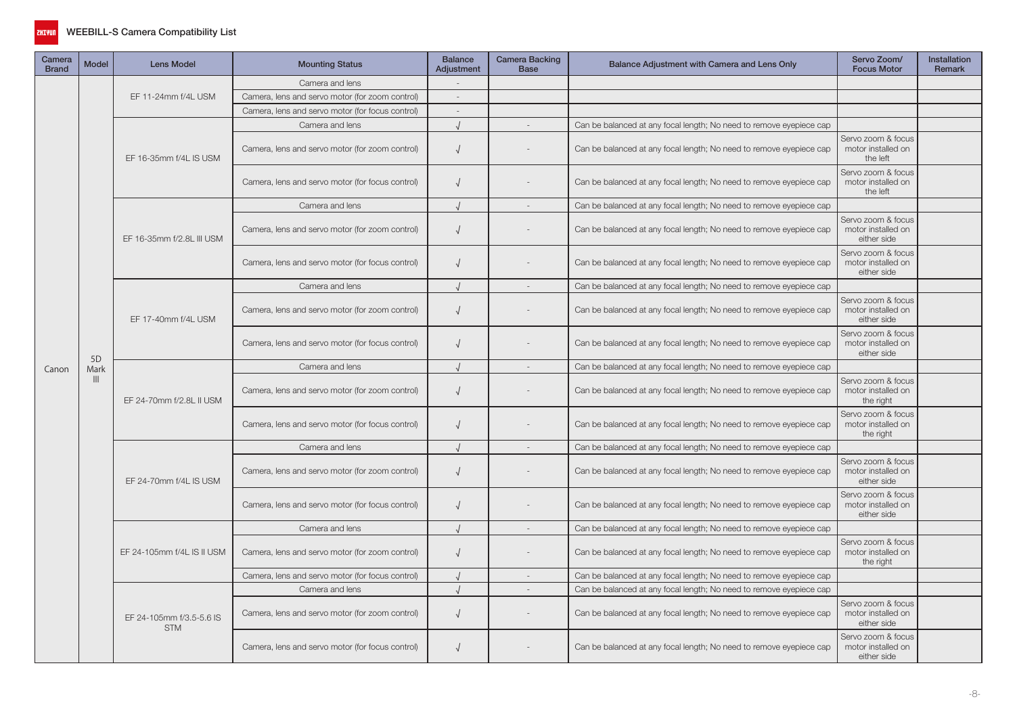

| Camera<br><b>Brand</b> | <b>Model</b>   | <b>Lens Model</b>                      | <b>Mounting Status</b>                           | <b>Balance</b><br>Adjustment | Camera Backing<br><b>Base</b> | Balance Adjustment with Camera and Lens Only                        | Servo Zoom/<br><b>Focus Motor</b>                       | Installation<br>Remark |
|------------------------|----------------|----------------------------------------|--------------------------------------------------|------------------------------|-------------------------------|---------------------------------------------------------------------|---------------------------------------------------------|------------------------|
|                        |                |                                        | Camera and lens                                  |                              |                               |                                                                     |                                                         |                        |
|                        |                | EF 11-24mm f/4L USM                    | Camera, lens and servo motor (for zoom control)  | $\sim$                       |                               |                                                                     |                                                         |                        |
| Canon                  |                |                                        | Camera, lens and servo motor (for focus control) | $\overline{\phantom{a}}$     |                               |                                                                     |                                                         |                        |
|                        |                |                                        | Camera and lens                                  |                              |                               | Can be balanced at any focal length; No need to remove eyepiece cap |                                                         |                        |
|                        |                | EF 16-35mm f/4L IS USM                 | Camera, lens and servo motor (for zoom control)  | $\sqrt{ }$                   |                               | Can be balanced at any focal length; No need to remove eyepiece cap | Servo zoom & focus<br>motor installed on<br>the left    |                        |
|                        |                |                                        | Camera, lens and servo motor (for focus control) | $\sqrt{2}$                   |                               | Can be balanced at any focal length; No need to remove eyepiece cap | Servo zoom & focus<br>motor installed on<br>the left    |                        |
|                        |                |                                        | Camera and lens                                  | $\cdot$                      |                               | Can be balanced at any focal length; No need to remove eyepiece cap |                                                         |                        |
|                        |                | EF 16-35mm f/2.8L III USM              | Camera, lens and servo motor (for zoom control)  | $\sqrt{ }$                   |                               | Can be balanced at any focal length; No need to remove eyepiece cap | Servo zoom & focus<br>motor installed on<br>either side |                        |
|                        |                |                                        | Camera, lens and servo motor (for focus control) | $\sqrt{ }$                   |                               | Can be balanced at any focal length; No need to remove eyepiece cap | Servo zoom & focus<br>motor installed on<br>either side |                        |
|                        |                |                                        | Camera and lens                                  |                              | $\sim$                        | Can be balanced at any focal length; No need to remove eyepiece cap |                                                         |                        |
|                        |                | EF 17-40mm f/4L USM                    | Camera, lens and servo motor (for zoom control)  | $\sqrt{ }$                   |                               | Can be balanced at any focal length; No need to remove eyepiece cap | Servo zoom & focus<br>motor installed on<br>either side |                        |
|                        | 5 <sub>D</sub> |                                        | Camera, lens and servo motor (for focus control) | $\sqrt{ }$                   |                               | Can be balanced at any focal length; No need to remove eyepiece cap | Servo zoom & focus<br>motor installed on<br>either side |                        |
|                        | Mark           |                                        | Camera and lens                                  | $\sqrt{ }$                   | $\sim$                        | Can be balanced at any focal length; No need to remove eyepiece cap |                                                         |                        |
|                        | $\mathbf{III}$ | EF 24-70mm f/2.8L II USM               | Camera, lens and servo motor (for zoom control)  | $\sqrt{ }$                   |                               | Can be balanced at any focal length; No need to remove eyepiece cap | Servo zoom & focus<br>motor installed on<br>the right   |                        |
|                        |                |                                        | Camera, lens and servo motor (for focus control) | $\sqrt{ }$                   |                               | Can be balanced at any focal length; No need to remove eyepiece cap | Servo zoom & focus<br>motor installed on<br>the right   |                        |
|                        |                |                                        | Camera and lens                                  |                              |                               | Can be balanced at any focal length; No need to remove eyepiece cap |                                                         |                        |
|                        |                | EF 24-70mm f/4L IS USM                 | Camera, lens and servo motor (for zoom control)  | $\sqrt{2}$                   |                               | Can be balanced at any focal length; No need to remove eyepiece cap | Servo zoom & focus<br>motor installed on<br>either side |                        |
|                        |                |                                        | Camera, lens and servo motor (for focus control) | $\sqrt{2}$                   |                               | Can be balanced at any focal length; No need to remove eyepiece cap | Servo zoom & focus<br>motor installed on<br>either side |                        |
|                        |                |                                        | Camera and lens                                  | $\sqrt{ }$                   | $\overline{a}$                | Can be balanced at any focal length; No need to remove eyepiece cap |                                                         |                        |
|                        |                | EF 24-105mm f/4L IS II USM             | Camera, lens and servo motor (for zoom control)  | $\sqrt{ }$                   |                               | Can be balanced at any focal length; No need to remove eyepiece cap | Servo zoom & focus<br>motor installed on<br>the right   |                        |
|                        |                |                                        | Camera, lens and servo motor (for focus control) |                              |                               | Can be balanced at any focal length; No need to remove eyepiece cap |                                                         |                        |
|                        |                |                                        | Camera and lens                                  | $\cdot$                      |                               | Can be balanced at any focal length; No need to remove eyepiece cap |                                                         |                        |
|                        |                | EF 24-105mm f/3.5-5.6 IS<br><b>STM</b> | Camera, lens and servo motor (for zoom control)  | $\sqrt{ }$                   |                               | Can be balanced at any focal length; No need to remove eyepiece cap | Servo zoom & focus<br>motor installed on<br>either side |                        |
|                        |                |                                        | Camera, lens and servo motor (for focus control) | $\sqrt{ }$                   |                               | Can be balanced at any focal length; No need to remove eyepiece cap | Servo zoom & focus<br>motor installed on<br>either side |                        |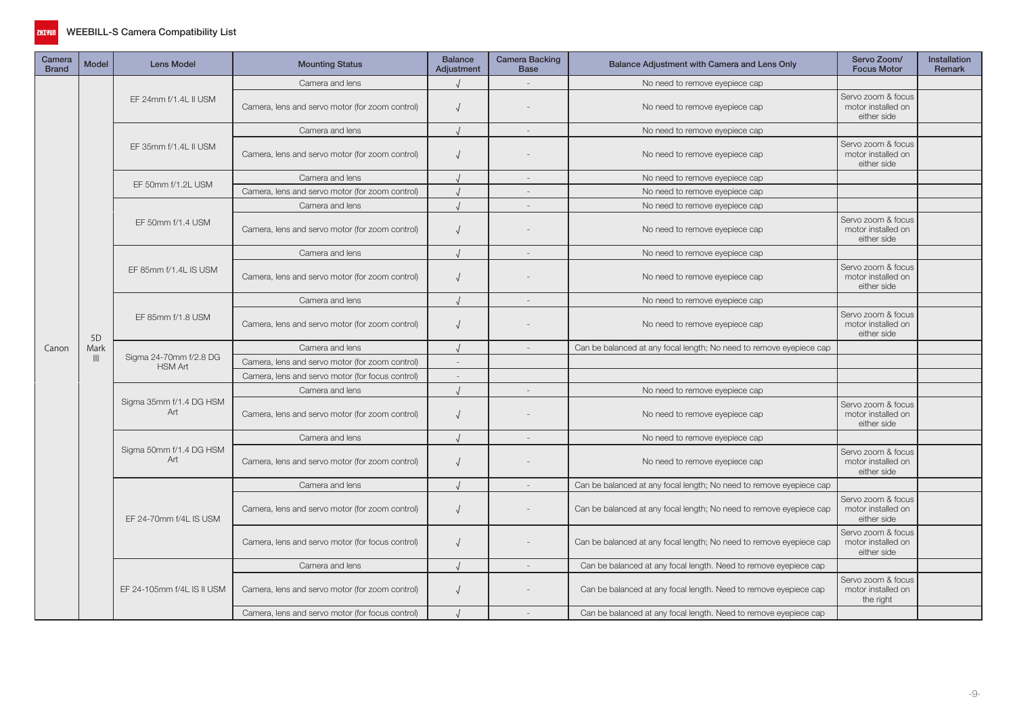

| Camera<br><b>Brand</b> | <b>Model</b>   | <b>Lens Model</b>                        | <b>Mounting Status</b>                           | <b>Balance</b><br>Adjustment | <b>Camera Backing</b><br><b>Base</b> | Balance Adjustment with Camera and Lens Only                        | Servo Zoom/<br><b>Focus Motor</b>                       | Installation<br>Remark |
|------------------------|----------------|------------------------------------------|--------------------------------------------------|------------------------------|--------------------------------------|---------------------------------------------------------------------|---------------------------------------------------------|------------------------|
|                        |                |                                          | Camera and lens                                  |                              |                                      | No need to remove eyepiece cap                                      |                                                         |                        |
|                        |                | EF 24mm f/1.4L II USM                    | Camera, lens and servo motor (for zoom control)  |                              |                                      | No need to remove eyepiece cap                                      | Servo zoom & focus<br>motor installed on<br>either side |                        |
|                        |                |                                          | Camera and lens                                  |                              | $\overline{\phantom{a}}$             | No need to remove eyepiece cap                                      |                                                         |                        |
|                        |                | EF 35mm f/1.4L II USM                    | Camera, lens and servo motor (for zoom control)  |                              |                                      | No need to remove eyepiece cap                                      | Servo zoom & focus<br>motor installed on<br>either side |                        |
|                        |                | EF 50mm f/1.2L USM                       | Camera and lens                                  |                              | $\sim$                               | No need to remove eyepiece cap                                      |                                                         |                        |
|                        |                |                                          | Camera, lens and servo motor (for zoom control)  |                              | $\overline{\phantom{a}}$             | No need to remove eyepiece cap                                      |                                                         |                        |
|                        |                |                                          | Camera and lens                                  |                              | $\sim$                               | No need to remove eyepiece cap                                      |                                                         |                        |
|                        |                | EF 50mm f/1.4 USM                        | Camera, lens and servo motor (for zoom control)  |                              |                                      | No need to remove eyepiece cap                                      | Servo zoom & focus<br>motor installed on<br>either side |                        |
|                        |                |                                          | Camera and lens                                  |                              | $\overline{\phantom{a}}$             | No need to remove eyepiece cap                                      |                                                         |                        |
|                        |                | EF 85mm f/1.4L IS USM                    | Camera, lens and servo motor (for zoom control)  | $\sqrt{ }$                   |                                      | No need to remove eyepiece cap                                      | Servo zoom & focus<br>motor installed on<br>either side |                        |
|                        |                |                                          | Camera and lens                                  |                              | $\sim$                               | No need to remove eyepiece cap                                      |                                                         |                        |
|                        | 5 <sub>D</sub> | EF 85mm f/1.8 USM                        | Camera, lens and servo motor (for zoom control)  | $\sqrt{ }$                   |                                      | No need to remove eyepiece cap                                      | Servo zoom & focus<br>motor installed on<br>either side |                        |
| Canon                  | Mark           |                                          | Camera and lens                                  |                              |                                      | Can be balanced at any focal length; No need to remove eyepiece cap |                                                         |                        |
|                        | $\mathbb{H}$   | Sigma 24-70mm f/2.8 DG<br><b>HSM Art</b> | Camera, lens and servo motor (for zoom control)  |                              |                                      |                                                                     |                                                         |                        |
|                        |                |                                          | Camera, lens and servo motor (for focus control) | $\sim$                       |                                      |                                                                     |                                                         |                        |
|                        |                |                                          | Camera and lens                                  |                              | $\overline{\phantom{a}}$             | No need to remove eyepiece cap                                      |                                                         |                        |
|                        |                | Sigma 35mm f/1.4 DG HSM<br>Art           | Camera, lens and servo motor (for zoom control)  | $\sqrt{ }$                   |                                      | No need to remove eyepiece cap                                      | Servo zoom & focus<br>motor installed on<br>either side |                        |
|                        |                |                                          | Camera and lens                                  |                              |                                      | No need to remove eyepiece cap                                      |                                                         |                        |
|                        |                | Sigma 50mm f/1.4 DG HSM<br>Art           | Camera, lens and servo motor (for zoom control)  |                              |                                      | No need to remove eyepiece cap                                      | Servo zoom & focus<br>motor installed on<br>either side |                        |
|                        |                |                                          | Camera and lens                                  |                              |                                      | Can be balanced at any focal length; No need to remove eyepiece cap |                                                         |                        |
|                        |                | EF 24-70mm f/4L IS USM                   | Camera, lens and servo motor (for zoom control)  |                              |                                      | Can be balanced at any focal length; No need to remove eyepiece cap | Servo zoom & focus<br>motor installed on<br>either side |                        |
|                        |                |                                          | Camera, lens and servo motor (for focus control) | $\sqrt{2}$                   |                                      | Can be balanced at any focal length; No need to remove eyepiece cap | Servo zoom & focus<br>motor installed on<br>either side |                        |
|                        |                |                                          | Camera and lens                                  |                              |                                      | Can be balanced at any focal length. Need to remove eyepiece cap    |                                                         |                        |
|                        |                | EF 24-105mm f/4L IS II USM               | Camera, lens and servo motor (for zoom control)  | $\sqrt{ }$                   |                                      | Can be balanced at any focal length. Need to remove eyepiece cap    | Servo zoom & focus<br>motor installed on<br>the right   |                        |
|                        |                |                                          | Camera, lens and servo motor (for focus control) |                              |                                      | Can be balanced at any focal length. Need to remove eyepiece cap    |                                                         |                        |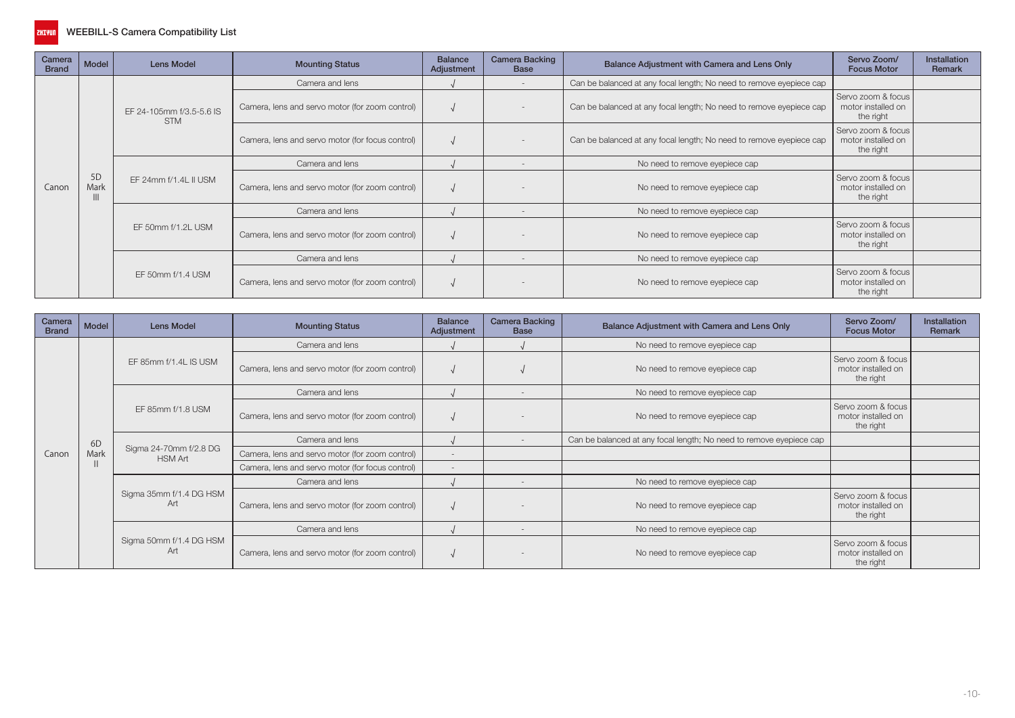

| Camera<br><b>Brand</b> | Model      | <b>Lens Model</b>                      | <b>Mounting Status</b>                           | <b>Balance</b><br>Adjustment | <b>Camera Backing</b><br><b>Base</b> | Balance Adjustment with Camera and Lens Only                        | Servo Zoom/<br><b>Focus Motor</b>                     | <b>Installation</b><br>Remark |
|------------------------|------------|----------------------------------------|--------------------------------------------------|------------------------------|--------------------------------------|---------------------------------------------------------------------|-------------------------------------------------------|-------------------------------|
|                        |            |                                        | Camera and lens                                  |                              |                                      | Can be balanced at any focal length; No need to remove eyepiece cap |                                                       |                               |
|                        |            | EF 24-105mm f/3.5-5.6 IS<br><b>STM</b> | Camera, lens and servo motor (for zoom control)  |                              |                                      | Can be balanced at any focal length; No need to remove eyepiece cap | Servo zoom & focus<br>motor installed on<br>the right |                               |
|                        |            |                                        | Camera, lens and servo motor (for focus control) |                              |                                      | Can be balanced at any focal length; No need to remove eyepiece cap | Servo zoom & focus<br>motor installed on<br>the right |                               |
|                        |            |                                        | Camera and lens                                  |                              |                                      | No need to remove eyepiece cap                                      |                                                       |                               |
| Canon                  | 5D<br>Mark | EF 24mm f/1.4L II USM                  | Camera, lens and servo motor (for zoom control)  |                              |                                      | No need to remove eyepiece cap                                      | Servo zoom & focus<br>motor installed on<br>the right |                               |
|                        |            |                                        | Camera and lens                                  |                              |                                      | No need to remove eyepiece cap                                      |                                                       |                               |
|                        |            | EF 50mm f/1.2L USM                     | Camera, lens and servo motor (for zoom control)  |                              |                                      | No need to remove eyepiece cap                                      | Servo zoom & focus<br>motor installed on<br>the right |                               |
|                        |            |                                        | Camera and lens                                  |                              | $\overline{\phantom{a}}$             | No need to remove eyepiece cap                                      |                                                       |                               |
|                        |            | EF 50mm f/1.4 USM                      | Camera, lens and servo motor (for zoom control)  |                              |                                      | No need to remove eyepiece cap                                      | Servo zoom & focus<br>motor installed on<br>the right |                               |

| Camera<br><b>Brand</b> | Model          | <b>Lens Model</b>                        | <b>Mounting Status</b>                           | <b>Balance</b><br>Adjustment | <b>Camera Backing</b><br><b>Base</b> | Balance Adjustment with Camera and Lens Only                        | Servo Zoom/<br><b>Focus Motor</b>                     | <b>Installation</b><br><b>Remark</b> |
|------------------------|----------------|------------------------------------------|--------------------------------------------------|------------------------------|--------------------------------------|---------------------------------------------------------------------|-------------------------------------------------------|--------------------------------------|
|                        |                |                                          | Camera and lens                                  |                              |                                      | No need to remove eyepiece cap                                      |                                                       |                                      |
|                        |                | EF 85mm f/1.4L IS USM                    | Camera, lens and servo motor (for zoom control)  |                              |                                      | No need to remove eyepiece cap                                      | Servo zoom & focus<br>motor installed on<br>the right |                                      |
|                        |                |                                          | Camera and lens                                  |                              |                                      | No need to remove eyepiece cap                                      |                                                       |                                      |
|                        |                | EF 85mm f/1.8 USM                        | Camera, lens and servo motor (for zoom control)  |                              |                                      | No need to remove eyepiece cap                                      | Servo zoom & focus<br>motor installed on<br>the right |                                      |
|                        | 6 <sub>D</sub> |                                          | Camera and lens                                  |                              |                                      | Can be balanced at any focal length; No need to remove eyepiece cap |                                                       |                                      |
| Canon                  | Mark           | Sigma 24-70mm f/2.8 DG<br><b>HSM Art</b> | Camera, lens and servo motor (for zoom control)  |                              |                                      |                                                                     |                                                       |                                      |
|                        |                |                                          | Camera, lens and servo motor (for focus control) |                              |                                      |                                                                     |                                                       |                                      |
|                        |                |                                          | Camera and lens                                  |                              |                                      | No need to remove eyepiece cap                                      |                                                       |                                      |
|                        |                | Sigma 35mm f/1.4 DG HSM<br>Art           | Camera, lens and servo motor (for zoom control)  |                              |                                      | No need to remove eyepiece cap                                      | Servo zoom & focus<br>motor installed on<br>the right |                                      |
|                        |                |                                          | Camera and lens                                  |                              |                                      | No need to remove eyepiece cap                                      |                                                       |                                      |
|                        |                | Sigma 50mm f/1.4 DG HSM<br>Art           | Camera, lens and servo motor (for zoom control)  |                              |                                      | No need to remove eyepiece cap                                      | Servo zoom & focus<br>motor installed on<br>the right |                                      |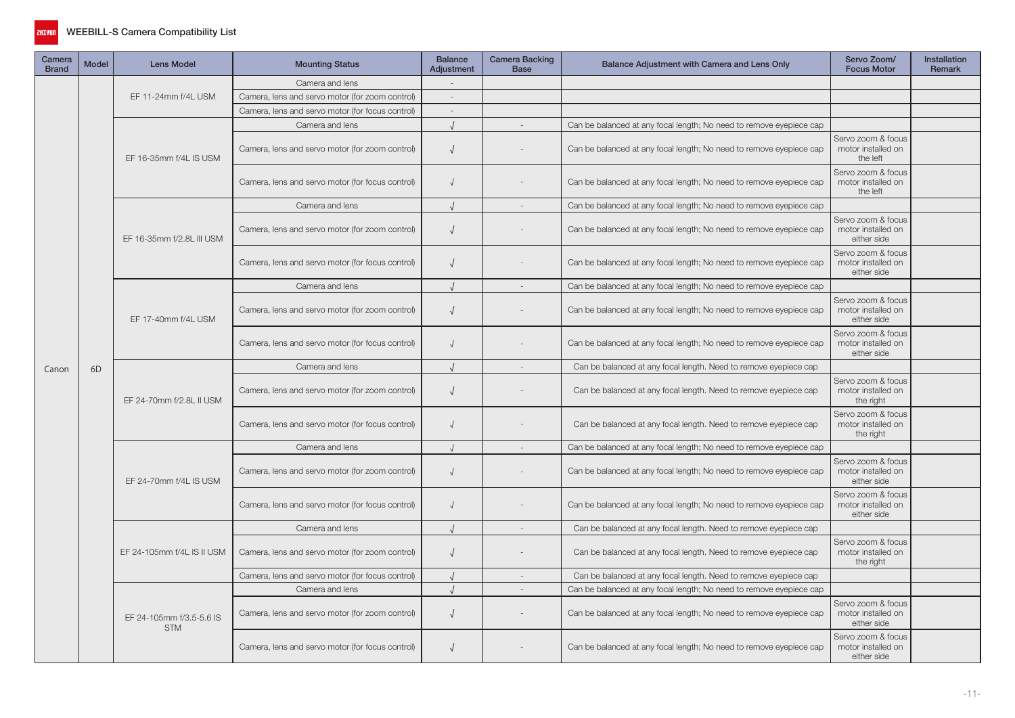

| Camera<br><b>Brand</b> | Model | <b>Lens Model</b>                      | <b>Mounting Status</b>                           | <b>Balance</b><br>Adjustment | <b>Camera Backing</b><br><b>Base</b> | Balance Adjustment with Camera and Lens Only                        | Servo Zoom/<br><b>Focus Motor</b>                       | <b>Installation</b><br>Remark |
|------------------------|-------|----------------------------------------|--------------------------------------------------|------------------------------|--------------------------------------|---------------------------------------------------------------------|---------------------------------------------------------|-------------------------------|
|                        |       |                                        | Camera and lens                                  |                              |                                      |                                                                     |                                                         |                               |
|                        |       | EF 11-24mm f/4L USM                    | Camera, lens and servo motor (for zoom control)  | $\sim$                       |                                      |                                                                     |                                                         |                               |
| Canon                  |       |                                        | Camera, lens and servo motor (for focus control) | $\sim$                       |                                      |                                                                     |                                                         |                               |
|                        |       |                                        | Camera and lens                                  |                              |                                      | Can be balanced at any focal length; No need to remove eyepiece cap |                                                         |                               |
|                        |       | EF 16-35mm f/4L IS USM                 | Camera, lens and servo motor (for zoom control)  | $\sqrt{ }$                   |                                      | Can be balanced at any focal length; No need to remove eyepiece cap | Servo zoom & focus<br>motor installed on<br>the left    |                               |
|                        |       |                                        | Camera, lens and servo motor (for focus control) | $\sqrt{ }$                   |                                      | Can be balanced at any focal length; No need to remove eyepiece cap | Servo zoom & focus<br>motor installed on<br>the left    |                               |
|                        |       |                                        | Camera and lens                                  | $\sqrt{ }$                   | $\sim$                               | Can be balanced at any focal length; No need to remove eyepiece cap |                                                         |                               |
|                        |       | EF 16-35mm f/2.8L III USM              | Camera, lens and servo motor (for zoom control)  | $\sqrt{ }$                   |                                      | Can be balanced at any focal length; No need to remove eyepiece cap | Servo zoom & focus<br>motor installed on<br>either side |                               |
|                        |       |                                        | Camera, lens and servo motor (for focus control) | $\sqrt{ }$                   |                                      | Can be balanced at any focal length; No need to remove eyepiece cap | Servo zoom & focus<br>motor installed on<br>either side |                               |
|                        |       |                                        | Camera and lens                                  |                              | $\sim$                               | Can be balanced at any focal length; No need to remove eyepiece cap |                                                         |                               |
|                        |       | EF 17-40mm f/4L USM                    | Camera, lens and servo motor (for zoom control)  | $\sqrt{ }$                   |                                      | Can be balanced at any focal length; No need to remove eyepiece cap | Servo zoom & focus<br>motor installed on<br>either side |                               |
|                        |       |                                        | Camera, lens and servo motor (for focus control) | $\sqrt{ }$                   |                                      | Can be balanced at any focal length; No need to remove eyepiece cap | Servo zoom & focus<br>motor installed on<br>either side |                               |
|                        | 6D    |                                        | Camera and lens                                  | $\sqrt{ }$                   | $\sim$                               | Can be balanced at any focal length. Need to remove eyepiece cap    |                                                         |                               |
|                        |       | EF 24-70mm f/2.8L II USM               | Camera, lens and servo motor (for zoom control)  | $\sqrt{ }$                   |                                      | Can be balanced at any focal length. Need to remove eyepiece cap    | Servo zoom & focus<br>motor installed on<br>the right   |                               |
|                        |       |                                        | Camera, lens and servo motor (for focus control) | $\sqrt{ }$                   |                                      | Can be balanced at any focal length. Need to remove eyepiece cap    | Servo zoom & focus<br>motor installed on<br>the right   |                               |
|                        |       |                                        | Camera and lens                                  |                              |                                      | Can be balanced at any focal length; No need to remove eyepiece cap |                                                         |                               |
|                        |       | EF 24-70mm f/4L IS USM                 | Camera, lens and servo motor (for zoom control)  | $\sqrt{ }$                   |                                      | Can be balanced at any focal length; No need to remove eyepiece cap | Servo zoom & focus<br>motor installed on<br>either side |                               |
|                        |       |                                        | Camera, lens and servo motor (for focus control) |                              |                                      | Can be balanced at any focal length; No need to remove eyepiece cap | Servo zoom & focus<br>motor installed on<br>either side |                               |
|                        |       |                                        | Camera and lens                                  | $\sqrt{ }$                   |                                      | Can be balanced at any focal length. Need to remove eyepiece cap    |                                                         |                               |
|                        |       | EF 24-105mm f/4L IS II USM             | Camera, lens and servo motor (for zoom control)  | $\sqrt{ }$                   |                                      | Can be balanced at any focal length. Need to remove eyepiece cap    | Servo zoom & focus<br>motor installed on<br>the right   |                               |
|                        |       |                                        | Camera, lens and servo motor (for focus control) |                              |                                      | Can be balanced at any focal length. Need to remove eyepiece cap    |                                                         |                               |
|                        |       |                                        | Camera and lens                                  | $\cdot$                      | $\overline{a}$                       | Can be balanced at any focal length; No need to remove eyepiece cap |                                                         |                               |
|                        |       | EF 24-105mm f/3.5-5.6 IS<br><b>STM</b> | Camera, lens and servo motor (for zoom control)  | $\sqrt{ }$                   |                                      | Can be balanced at any focal length; No need to remove eyepiece cap | Servo zoom & focus<br>motor installed on<br>either side |                               |
|                        |       |                                        | Camera, lens and servo motor (for focus control) | $\sqrt{ }$                   |                                      | Can be balanced at any focal length; No need to remove eyepiece cap | Servo zoom & focus<br>motor installed on<br>either side |                               |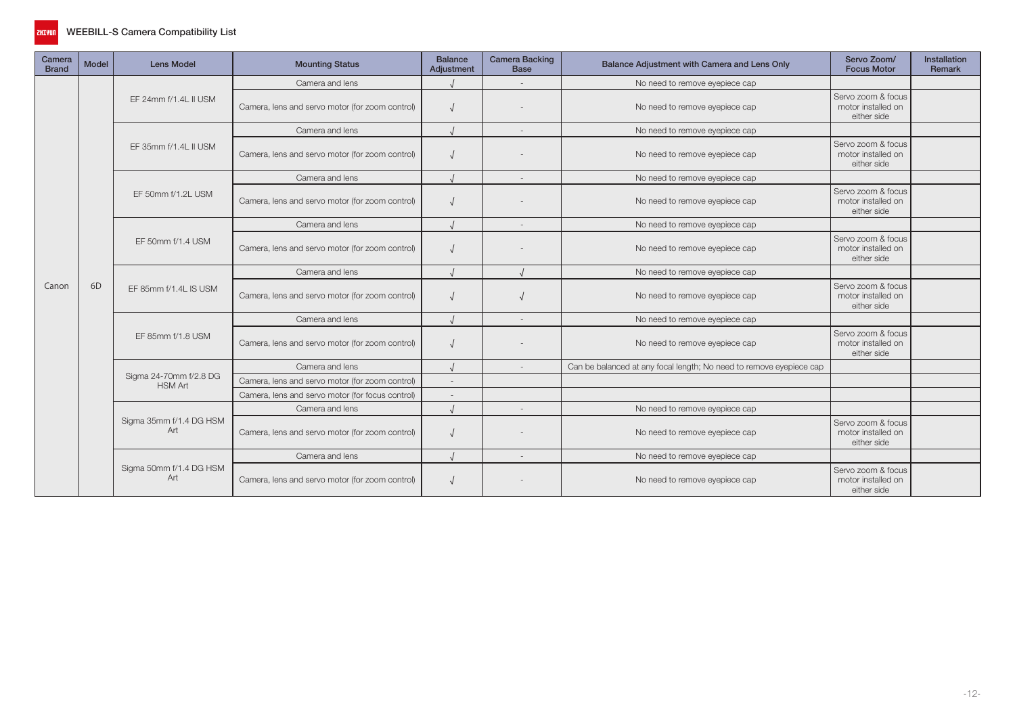

| Camera<br><b>Brand</b> | <b>Model</b>   | <b>Lens Model</b>                        | <b>Mounting Status</b>                           | <b>Balance</b><br>Adjustment | <b>Camera Backing</b><br><b>Base</b> | Balance Adjustment with Camera and Lens Only                        | Servo Zoom/<br><b>Focus Motor</b>                                                                                                        | Installation<br>Remark |
|------------------------|----------------|------------------------------------------|--------------------------------------------------|------------------------------|--------------------------------------|---------------------------------------------------------------------|------------------------------------------------------------------------------------------------------------------------------------------|------------------------|
|                        |                |                                          | Camera and lens                                  |                              |                                      | No need to remove eyepiece cap                                      |                                                                                                                                          |                        |
|                        |                | EF 24mm f/1.4L II USM                    | Camera, lens and servo motor (for zoom control)  |                              |                                      | No need to remove eyepiece cap                                      | Servo zoom & focus<br>motor installed on<br>either side                                                                                  |                        |
|                        |                |                                          | Camera and lens                                  |                              | $\overline{\phantom{a}}$             | No need to remove eyepiece cap                                      |                                                                                                                                          |                        |
|                        |                | EF 35mm f/1.4L II USM                    | Camera, lens and servo motor (for zoom control)  |                              |                                      | No need to remove eyepiece cap                                      | Servo zoom & focus<br>motor installed on<br>either side                                                                                  |                        |
|                        |                |                                          | Camera and lens                                  |                              |                                      | No need to remove eyepiece cap                                      |                                                                                                                                          |                        |
|                        |                | EF 50mm f/1.2L USM                       | Camera, lens and servo motor (for zoom control)  |                              |                                      | No need to remove eyepiece cap                                      | Servo zoom & focus<br>motor installed on<br>either side<br>Servo zoom & focus<br>motor installed on<br>either side<br>Servo zoom & focus |                        |
|                        |                |                                          | Camera and lens                                  |                              |                                      | No need to remove eyepiece cap                                      |                                                                                                                                          |                        |
|                        |                | EF 50mm f/1.4 USM                        | Camera, lens and servo motor (for zoom control)  |                              |                                      | No need to remove eyepiece cap                                      |                                                                                                                                          |                        |
|                        | 6 <sub>D</sub> |                                          | Camera and lens                                  |                              |                                      | No need to remove eyepiece cap                                      |                                                                                                                                          |                        |
| Canon                  |                | EF 85mm f/1.4L IS USM                    | Camera, lens and servo motor (for zoom control)  |                              |                                      | No need to remove eyepiece cap                                      | motor installed on<br>either side                                                                                                        |                        |
|                        |                |                                          | Camera and lens                                  |                              |                                      | No need to remove eyepiece cap                                      |                                                                                                                                          |                        |
|                        |                | EF 85mm f/1.8 USM                        | Camera, lens and servo motor (for zoom control)  |                              |                                      | No need to remove eyepiece cap                                      | Servo zoom & focus<br>motor installed on<br>either side                                                                                  |                        |
|                        |                |                                          | Camera and lens                                  |                              |                                      | Can be balanced at any focal length; No need to remove eyepiece cap |                                                                                                                                          |                        |
|                        |                | Sigma 24-70mm f/2.8 DG<br><b>HSM Art</b> | Camera, lens and servo motor (for zoom control)  |                              |                                      |                                                                     |                                                                                                                                          |                        |
|                        |                |                                          | Camera, lens and servo motor (for focus control) |                              |                                      |                                                                     |                                                                                                                                          |                        |
|                        |                |                                          | Camera and lens                                  |                              | $\sim$                               | No need to remove eyepiece cap                                      |                                                                                                                                          |                        |
|                        |                | Sigma 35mm f/1.4 DG HSM<br>Art           | Camera, lens and servo motor (for zoom control)  |                              |                                      | No need to remove eyepiece cap                                      | Servo zoom & focus<br>motor installed on<br>either side                                                                                  |                        |
|                        |                |                                          | Camera and lens                                  |                              | $\sim$                               | No need to remove eyepiece cap                                      |                                                                                                                                          |                        |
|                        |                | Sigma 50mm f/1.4 DG HSM<br>Art           | Camera, lens and servo motor (for zoom control)  |                              |                                      | No need to remove eyepiece cap                                      | Servo zoom & focus<br>motor installed on<br>either side                                                                                  |                        |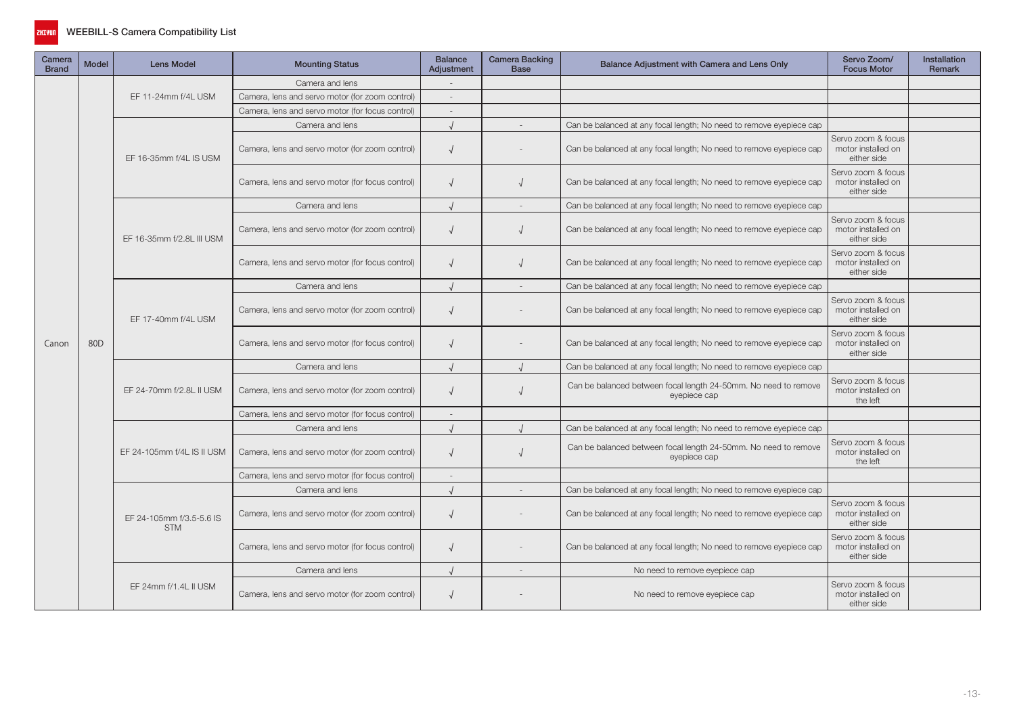

| Camera<br><b>Brand</b> | <b>Model</b>    | <b>Lens Model</b>                      | <b>Mounting Status</b>                           | <b>Balance</b><br>Adjustment                    | Camera Backing<br><b>Base</b> | Balance Adjustment with Camera and Lens Only                                    | Servo Zoom/<br><b>Focus Motor</b>                                   | <b>Installation</b><br>Remark                           |  |
|------------------------|-----------------|----------------------------------------|--------------------------------------------------|-------------------------------------------------|-------------------------------|---------------------------------------------------------------------------------|---------------------------------------------------------------------|---------------------------------------------------------|--|
|                        |                 |                                        | Camera and lens                                  |                                                 |                               |                                                                                 |                                                                     |                                                         |  |
|                        |                 | EF 11-24mm f/4L USM                    | Camera, lens and servo motor (for zoom control)  |                                                 |                               |                                                                                 |                                                                     |                                                         |  |
|                        |                 |                                        | Camera, lens and servo motor (for focus control) | $\overline{\phantom{a}}$                        |                               |                                                                                 |                                                                     |                                                         |  |
|                        |                 |                                        | Camera and lens                                  |                                                 |                               | Can be balanced at any focal length; No need to remove eyepiece cap             |                                                                     |                                                         |  |
|                        |                 | EF 16-35mm f/4L IS USM                 | Camera, lens and servo motor (for zoom control)  | $\sqrt{ }$                                      |                               | Can be balanced at any focal length; No need to remove eyepiece cap             | Servo zoom & focus<br>motor installed on<br>either side             |                                                         |  |
|                        |                 |                                        | Camera, lens and servo motor (for focus control) | $\sqrt{ }$                                      |                               | Can be balanced at any focal length; No need to remove eyepiece cap             | Servo zoom & focus<br>motor installed on<br>either side             |                                                         |  |
|                        |                 |                                        | Camera and lens                                  |                                                 |                               | Can be balanced at any focal length; No need to remove eyepiece cap             |                                                                     |                                                         |  |
|                        |                 |                                        | EF 16-35mm f/2.8L III USM                        | Camera, lens and servo motor (for zoom control) | $\sqrt{ }$                    |                                                                                 | Can be balanced at any focal length; No need to remove eyepiece cap | Servo zoom & focus<br>motor installed on<br>either side |  |
|                        |                 |                                        | Camera, lens and servo motor (for focus control) | $\sqrt{ }$                                      |                               | Can be balanced at any focal length; No need to remove eyepiece cap             | Servo zoom & focus<br>motor installed on<br>either side             |                                                         |  |
|                        |                 | EF 17-40mm f/4L USM                    | Camera and lens                                  |                                                 |                               | Can be balanced at any focal length; No need to remove eyepiece cap             |                                                                     |                                                         |  |
|                        | 80 <sub>D</sub> |                                        | Camera, lens and servo motor (for zoom control)  | $\sqrt{ }$                                      |                               | Can be balanced at any focal length; No need to remove eyepiece cap             | Servo zoom & focus<br>motor installed on<br>either side             |                                                         |  |
| Canon                  |                 |                                        | Camera, lens and servo motor (for focus control) | $\sqrt{ }$                                      |                               | Can be balanced at any focal length; No need to remove eyepiece cap             | Servo zoom & focus<br>motor installed on<br>either side             |                                                         |  |
|                        |                 | EF 24-70mm f/2.8L II USM               | Camera and lens                                  |                                                 |                               | Can be balanced at any focal length; No need to remove eyepiece cap             |                                                                     |                                                         |  |
|                        |                 |                                        | Camera, lens and servo motor (for zoom control)  | $\sqrt{ }$                                      |                               | Can be balanced between focal length 24-50mm. No need to remove<br>eyepiece cap | Servo zoom & focus<br>motor installed on<br>the left                |                                                         |  |
|                        |                 |                                        | Camera, lens and servo motor (for focus control) | $\sim$                                          |                               |                                                                                 |                                                                     |                                                         |  |
|                        |                 |                                        | Camera and lens                                  |                                                 |                               | Can be balanced at any focal length; No need to remove eyepiece cap             |                                                                     |                                                         |  |
|                        |                 | EF 24-105mm f/4L IS II USM             | Camera, lens and servo motor (for zoom control)  | $\sqrt{ }$                                      |                               | Can be balanced between focal length 24-50mm. No need to remove<br>eyepiece cap | Servo zoom & focus<br>motor installed on<br>the left                |                                                         |  |
|                        |                 |                                        | Camera, lens and servo motor (for focus control) |                                                 |                               |                                                                                 |                                                                     |                                                         |  |
|                        |                 |                                        | Camera and lens                                  | $\sqrt{ }$                                      |                               | Can be balanced at any focal length; No need to remove eyepiece cap             |                                                                     |                                                         |  |
|                        |                 | EF 24-105mm f/3.5-5.6 IS<br><b>STM</b> | Camera, lens and servo motor (for zoom control)  | $\sqrt{ }$                                      |                               | Can be balanced at any focal length; No need to remove eyepiece cap             | Servo zoom & focus<br>motor installed on<br>either side             |                                                         |  |
|                        |                 |                                        | Camera, lens and servo motor (for focus control) | $\sqrt{ }$                                      |                               | Can be balanced at any focal length; No need to remove eyepiece cap             | Servo zoom & focus<br>motor installed on<br>either side             |                                                         |  |
|                        |                 |                                        | Camera and lens                                  |                                                 |                               | No need to remove eyepiece cap                                                  |                                                                     |                                                         |  |
|                        |                 | EF 24mm f/1.4L II USM                  | Camera, lens and servo motor (for zoom control)  | $\sqrt{ }$                                      |                               | No need to remove eyepiece cap                                                  | Servo zoom & focus<br>motor installed on<br>either side             |                                                         |  |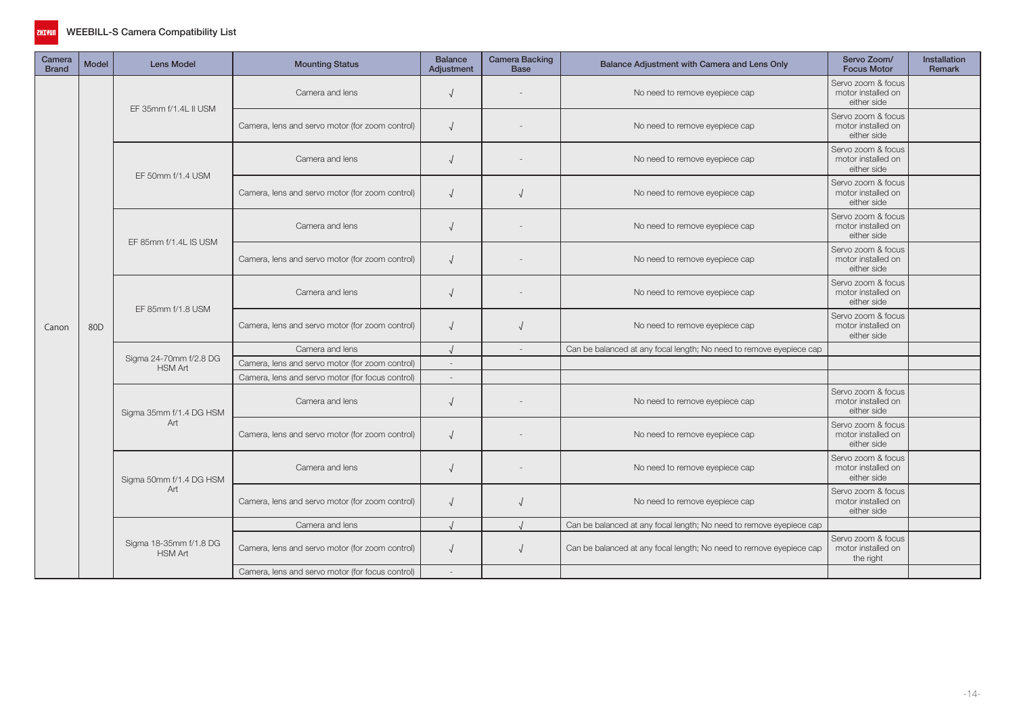

| Camera<br><b>Brand</b> | <b>Model</b>    | <b>Lens Model</b>                        | <b>Mounting Status</b>                           | <b>Balance</b><br>Adjustment | <b>Camera Backing</b><br><b>Base</b> | Balance Adjustment with Camera and Lens Only                        | Servo Zoom/<br><b>Focus Motor</b>                                                                                                                                                                                                        | Installation<br><b>Remark</b> |
|------------------------|-----------------|------------------------------------------|--------------------------------------------------|------------------------------|--------------------------------------|---------------------------------------------------------------------|------------------------------------------------------------------------------------------------------------------------------------------------------------------------------------------------------------------------------------------|-------------------------------|
|                        |                 | EF 35mm f/1.4L II USM                    | Camera and lens                                  | $\sqrt{ }$                   |                                      | No need to remove eyepiece cap                                      | Servo zoom & focus<br>motor installed on<br>either side                                                                                                                                                                                  |                               |
|                        |                 |                                          | Camera, lens and servo motor (for zoom control)  | $\sqrt{ }$                   |                                      | No need to remove eyepiece cap                                      | Servo zoom & focus<br>motor installed on<br>either side                                                                                                                                                                                  |                               |
|                        |                 | EF 50mm f/1.4 USM                        | Camera and lens                                  |                              |                                      | No need to remove eyepiece cap                                      | Servo zoom & focus<br>motor installed on<br>either side                                                                                                                                                                                  |                               |
|                        |                 |                                          | Camera, lens and servo motor (for zoom control)  | $\sqrt{ }$                   |                                      | No need to remove eyepiece cap                                      | Servo zoom & focus<br>motor installed on<br>either side                                                                                                                                                                                  |                               |
|                        |                 | EF 85mm f/1.4L IS USM                    | Camera and lens                                  | $\sqrt{ }$                   |                                      | No need to remove eyepiece cap                                      | Servo zoom & focus<br>motor installed on<br>either side<br>Servo zoom & focus<br>motor installed on<br>either side<br>Servo zoom & focus<br>motor installed on<br>either side<br>Servo zoom & focus<br>motor installed on<br>either side |                               |
|                        | 80 <sub>D</sub> |                                          | Camera, lens and servo motor (for zoom control)  | $\sqrt{ }$                   |                                      | No need to remove eyepiece cap                                      |                                                                                                                                                                                                                                          |                               |
|                        |                 | EF 85mm f/1.8 USM                        | Camera and lens                                  | $\sqrt{ }$                   |                                      | No need to remove eyepiece cap                                      |                                                                                                                                                                                                                                          |                               |
| Canon                  |                 |                                          | Camera, lens and servo motor (for zoom control)  | $\sqrt{ }$                   |                                      | No need to remove eyepiece cap                                      |                                                                                                                                                                                                                                          |                               |
|                        |                 |                                          | Camera and lens                                  |                              | $\overline{\phantom{a}}$             | Can be balanced at any focal length; No need to remove eyepiece cap |                                                                                                                                                                                                                                          |                               |
|                        |                 | Sigma 24-70mm f/2.8 DG<br><b>HSM Art</b> | Camera, lens and servo motor (for zoom control)  | $\overline{\phantom{a}}$     |                                      |                                                                     |                                                                                                                                                                                                                                          |                               |
|                        |                 |                                          | Camera, lens and servo motor (for focus control) | $\overline{\phantom{a}}$     |                                      |                                                                     |                                                                                                                                                                                                                                          |                               |
|                        |                 | Sigma 35mm f/1.4 DG HSM                  | Camera and lens                                  | $\sqrt{ }$                   |                                      | No need to remove eyepiece cap                                      | Servo zoom & focus<br>motor installed on<br>either side                                                                                                                                                                                  |                               |
|                        |                 | Art                                      | Camera, lens and servo motor (for zoom control)  | $\sqrt{ }$                   |                                      | No need to remove eyepiece cap                                      | Servo zoom & focus<br>motor installed on<br>either side                                                                                                                                                                                  |                               |
|                        |                 | Sigma 50mm f/1.4 DG HSM                  | Camera and lens                                  | $\sqrt{ }$                   |                                      | No need to remove eyepiece cap                                      | Servo zoom & focus<br>motor installed on<br>either side                                                                                                                                                                                  |                               |
|                        |                 | Art                                      | Camera, lens and servo motor (for zoom control)  | $\sqrt{ }$                   |                                      | No need to remove eyepiece cap                                      | Servo zoom & focus<br>motor installed on<br>either side                                                                                                                                                                                  |                               |
|                        |                 |                                          | Camera and lens                                  |                              |                                      | Can be balanced at any focal length; No need to remove eyepiece cap |                                                                                                                                                                                                                                          |                               |
|                        |                 | Sigma 18-35mm f/1.8 DG<br><b>HSM Art</b> | Camera, lens and servo motor (for zoom control)  | $\sqrt{ }$                   | $\sqrt{ }$                           | Can be balanced at any focal length; No need to remove eyepiece cap | Servo zoom & focus<br>motor installed on<br>the right                                                                                                                                                                                    |                               |
|                        |                 |                                          | Camera, lens and servo motor (for focus control) |                              |                                      |                                                                     |                                                                                                                                                                                                                                          |                               |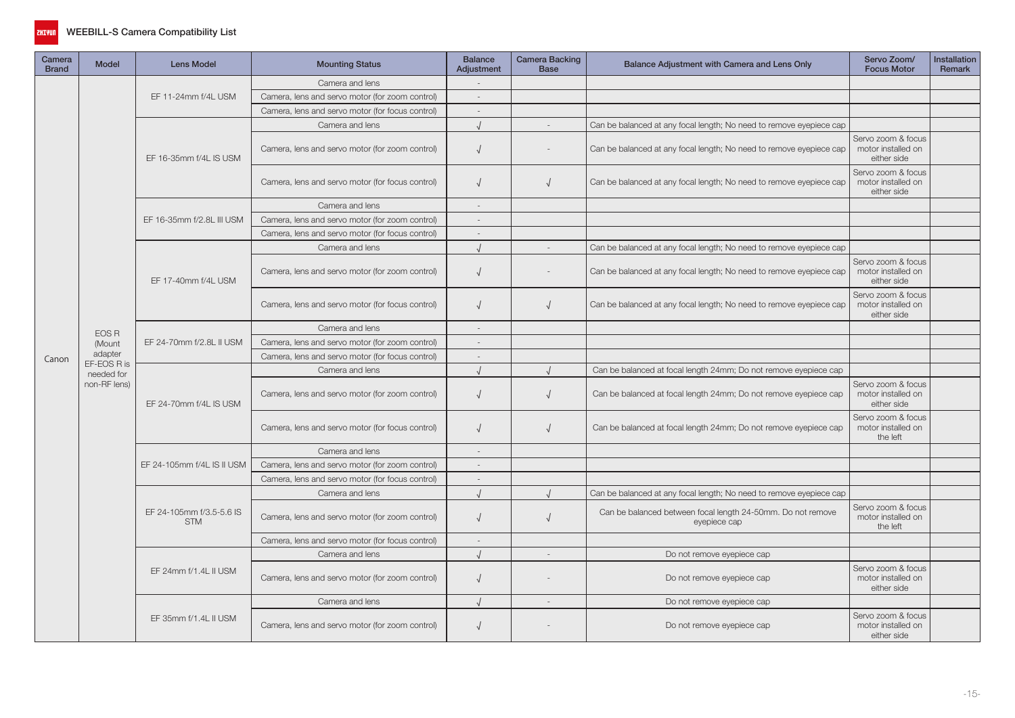

| Camera<br><b>Brand</b> | <b>Model</b>           | <b>Lens Model</b>                      | <b>Mounting Status</b>                           | <b>Balance</b><br>Adjustment | <b>Camera Backing</b><br><b>Base</b> | Balance Adjustment with Camera and Lens Only                                | Servo Zoom/<br><b>Focus Motor</b>                       | Installation<br>Remark |
|------------------------|------------------------|----------------------------------------|--------------------------------------------------|------------------------------|--------------------------------------|-----------------------------------------------------------------------------|---------------------------------------------------------|------------------------|
|                        |                        |                                        | Camera and lens                                  |                              |                                      |                                                                             |                                                         |                        |
|                        |                        | EF 11-24mm f/4L USM                    | Camera, lens and servo motor (for zoom control)  | $\overline{a}$               |                                      |                                                                             |                                                         |                        |
|                        |                        |                                        | Camera, lens and servo motor (for focus control) | $\overline{\phantom{a}}$     |                                      |                                                                             |                                                         |                        |
|                        |                        |                                        | Camera and lens                                  |                              | $\overline{a}$                       | Can be balanced at any focal length; No need to remove eyepiece cap         |                                                         |                        |
|                        |                        | EF 16-35mm f/4L IS USM                 | Camera, lens and servo motor (for zoom control)  | $\sqrt{ }$                   |                                      | Can be balanced at any focal length; No need to remove eyepiece cap         | Servo zoom & focus<br>motor installed on<br>either side |                        |
|                        |                        |                                        | Camera, lens and servo motor (for focus control) | $\sqrt{ }$                   | V                                    | Can be balanced at any focal length; No need to remove eyepiece cap         | Servo zoom & focus<br>motor installed on<br>either side |                        |
|                        |                        |                                        | Camera and lens                                  | $\overline{\phantom{a}}$     |                                      |                                                                             |                                                         |                        |
|                        |                        | EF 16-35mm f/2.8L III USM              | Camera, lens and servo motor (for zoom control)  | $\overline{a}$               |                                      |                                                                             |                                                         |                        |
|                        |                        |                                        | Camera, lens and servo motor (for focus control) | $\sim$                       |                                      |                                                                             |                                                         |                        |
|                        |                        |                                        | Camera and lens                                  | $\cdot$                      |                                      | Can be balanced at any focal length; No need to remove eyepiece cap         |                                                         |                        |
|                        |                        | EF 17-40mm f/4L USM                    | Camera, lens and servo motor (for zoom control)  | $\sqrt{ }$                   |                                      | Can be balanced at any focal length; No need to remove eyepiece cap         | Servo zoom & focus<br>motor installed on<br>either side |                        |
|                        |                        |                                        | Camera, lens and servo motor (for focus control) | $\sqrt{ }$                   | V                                    | Can be balanced at any focal length; No need to remove eyepiece cap         | Servo zoom & focus<br>motor installed on<br>either side |                        |
|                        | EOS R                  |                                        | Camera and lens                                  | $\overline{a}$               |                                      |                                                                             |                                                         |                        |
|                        | (Mount                 | EF 24-70mm f/2.8L II USM               | Camera, lens and servo motor (for zoom control)  | $\sim$                       |                                      |                                                                             |                                                         |                        |
| Canon                  | adapter<br>EF-EOS R is |                                        | Camera, lens and servo motor (for focus control) | $\overline{a}$               |                                      |                                                                             |                                                         |                        |
|                        | needed for             |                                        | Camera and lens                                  |                              |                                      | Can be balanced at focal length 24mm; Do not remove eyepiece cap            |                                                         |                        |
|                        | non-RF lens)           | EF 24-70mm f/4L IS USM                 | Camera, lens and servo motor (for zoom control)  | $\sqrt{ }$                   |                                      | Can be balanced at focal length 24mm; Do not remove eyepiece cap            | Servo zoom & focus<br>motor installed on<br>either side |                        |
|                        |                        |                                        | Camera, lens and servo motor (for focus control) | $\sqrt{ }$                   |                                      | Can be balanced at focal length 24mm; Do not remove eyepiece cap            | Servo zoom & focus<br>motor installed on<br>the left    |                        |
|                        |                        |                                        | Camera and lens                                  |                              |                                      |                                                                             |                                                         |                        |
|                        |                        | EF 24-105mm f/4L IS II USM             | Camera, lens and servo motor (for zoom control)  | $\sim$                       |                                      |                                                                             |                                                         |                        |
|                        |                        |                                        | Camera, lens and servo motor (for focus control) | $\sim$                       |                                      |                                                                             |                                                         |                        |
|                        |                        |                                        | Camera and lens                                  |                              |                                      | Can be balanced at any focal length; No need to remove eyepiece cap         |                                                         |                        |
|                        |                        | EF 24-105mm f/3.5-5.6 IS<br><b>STM</b> | Camera, lens and servo motor (for zoom control)  | $\sqrt{ }$                   |                                      | Can be balanced between focal length 24-50mm. Do not remove<br>eyepiece cap | Servo zoom & focus<br>motor installed on<br>the left    |                        |
|                        |                        |                                        | Camera, lens and servo motor (for focus control) |                              |                                      |                                                                             |                                                         |                        |
|                        |                        |                                        | Camera and lens                                  |                              |                                      | Do not remove eyepiece cap                                                  |                                                         |                        |
|                        |                        | EF 24mm f/1.4L II USM                  | Camera, lens and servo motor (for zoom control)  | $\sqrt{ }$                   |                                      | Do not remove eyepiece cap                                                  | Servo zoom & focus<br>motor installed on<br>either side |                        |
|                        |                        |                                        | Camera and lens                                  |                              | $\overline{a}$                       | Do not remove eyepiece cap                                                  |                                                         |                        |
|                        |                        | EF 35mm f/1.4L II USM                  | Camera, lens and servo motor (for zoom control)  | $\sqrt{ }$                   |                                      | Do not remove eyepiece cap                                                  | Servo zoom & focus<br>motor installed on<br>either side |                        |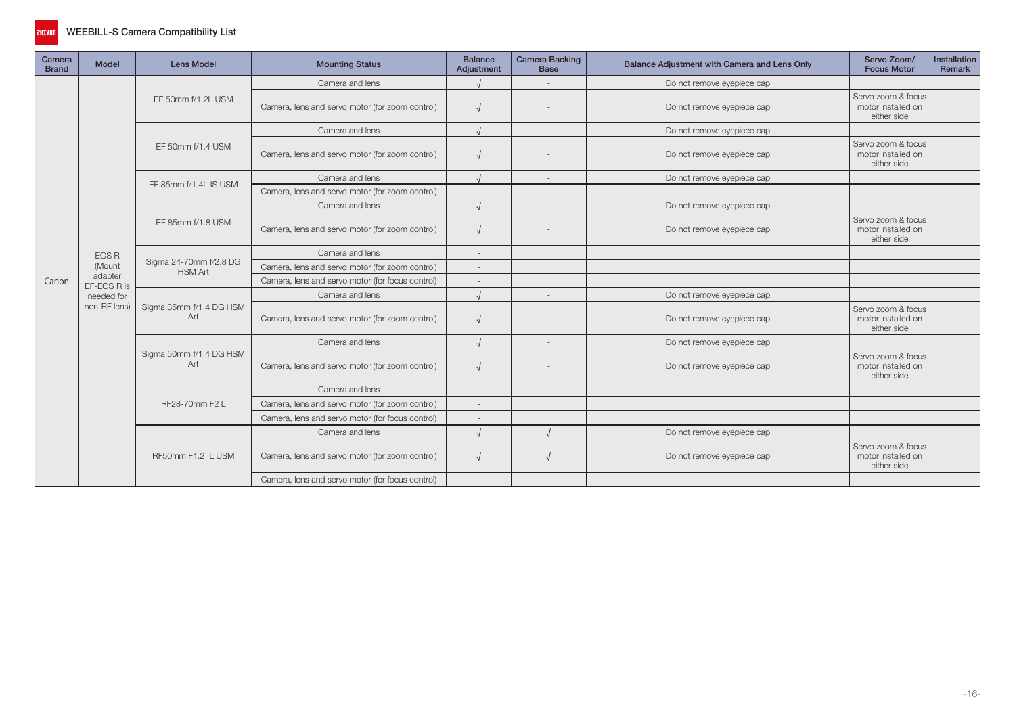

| Camera<br><b>Brand</b> | <b>Model</b>           | <b>Lens Model</b>                               | <b>Mounting Status</b>                           | <b>Balance</b><br>Adjustment                                                           | <b>Camera Backing</b><br><b>Base</b> | Balance Adjustment with Camera and Lens Only | Servo Zoom/<br><b>Focus Motor</b>                                                                                                                                                                                                                                                    | Installation<br>Remark |
|------------------------|------------------------|-------------------------------------------------|--------------------------------------------------|----------------------------------------------------------------------------------------|--------------------------------------|----------------------------------------------|--------------------------------------------------------------------------------------------------------------------------------------------------------------------------------------------------------------------------------------------------------------------------------------|------------------------|
|                        |                        |                                                 | Camera and lens                                  |                                                                                        | $\sim$                               | Do not remove eyepiece cap                   |                                                                                                                                                                                                                                                                                      |                        |
|                        |                        | EF 50mm f/1.2L USM                              | Camera, lens and servo motor (for zoom control)  |                                                                                        |                                      | Do not remove eyepiece cap                   | Servo zoom & focus<br>motor installed on<br>either side<br>Servo zoom & focus<br>motor installed on<br>either side<br>Servo zoom & focus<br>motor installed on<br>either side<br>Servo zoom & focus<br>motor installed on<br>either side<br>Servo zoom & focus<br>motor installed on |                        |
|                        |                        |                                                 | Camera and lens                                  |                                                                                        | $\sim$                               | Do not remove eyepiece cap                   |                                                                                                                                                                                                                                                                                      |                        |
|                        |                        | EF 50mm f/1.4 USM                               | Camera, lens and servo motor (for zoom control)  |                                                                                        |                                      | Do not remove eyepiece cap                   |                                                                                                                                                                                                                                                                                      |                        |
|                        |                        | EF 85mm f/1.4L IS USM                           | Camera and lens                                  |                                                                                        | $\sim$                               | Do not remove eyepiece cap                   |                                                                                                                                                                                                                                                                                      |                        |
|                        |                        | Camera, lens and servo motor (for zoom control) |                                                  |                                                                                        |                                      |                                              |                                                                                                                                                                                                                                                                                      |                        |
|                        |                        | Camera and lens                                 |                                                  | $\sim$                                                                                 | Do not remove eyepiece cap           |                                              |                                                                                                                                                                                                                                                                                      |                        |
|                        |                        | EF 85mm f/1.8 USM                               | Camera, lens and servo motor (for zoom control)  |                                                                                        |                                      | Do not remove eyepiece cap                   | either side<br>Servo zoom & focus<br>motor installed on<br>either side                                                                                                                                                                                                               |                        |
|                        | <b>EOS R</b>           |                                                 | Camera and lens                                  | $\sim$                                                                                 |                                      |                                              |                                                                                                                                                                                                                                                                                      |                        |
|                        | (Mount                 | Sigma 24-70mm f/2.8 DG<br><b>HSM Art</b>        | Camera, lens and servo motor (for zoom control)  |                                                                                        |                                      |                                              |                                                                                                                                                                                                                                                                                      |                        |
| Canon                  | adapter<br>EF-EOS R is |                                                 | Camera, lens and servo motor (for focus control) |                                                                                        |                                      |                                              |                                                                                                                                                                                                                                                                                      |                        |
|                        | needed for             |                                                 | Camera and lens                                  |                                                                                        |                                      | Do not remove eyepiece cap                   |                                                                                                                                                                                                                                                                                      |                        |
|                        | non-RF lens)           | Sigma 35mm f/1.4 DG HSM<br>Art                  | Camera, lens and servo motor (for zoom control)  | Do not remove eyepiece cap<br>Do not remove eyepiece cap<br>Do not remove eyepiece cap |                                      |                                              |                                                                                                                                                                                                                                                                                      |                        |
|                        |                        |                                                 | Camera and lens                                  |                                                                                        |                                      |                                              |                                                                                                                                                                                                                                                                                      |                        |
|                        |                        | Sigma 50mm f/1.4 DG HSM<br>Art                  | Camera, lens and servo motor (for zoom control)  |                                                                                        |                                      |                                              |                                                                                                                                                                                                                                                                                      |                        |
|                        |                        |                                                 | Camera and lens                                  |                                                                                        |                                      |                                              |                                                                                                                                                                                                                                                                                      |                        |
|                        |                        | RF28-70mm F2 L                                  | Camera, lens and servo motor (for zoom control)  |                                                                                        |                                      |                                              |                                                                                                                                                                                                                                                                                      |                        |
|                        |                        |                                                 | Camera, lens and servo motor (for focus control) |                                                                                        |                                      |                                              |                                                                                                                                                                                                                                                                                      |                        |
|                        |                        |                                                 | Camera and lens                                  |                                                                                        |                                      | Do not remove eyepiece cap                   |                                                                                                                                                                                                                                                                                      |                        |
|                        |                        | RF50mm F1.2 L USM                               | Camera, lens and servo motor (for zoom control)  |                                                                                        |                                      | Do not remove eyepiece cap                   |                                                                                                                                                                                                                                                                                      |                        |
|                        |                        |                                                 | Camera, lens and servo motor (for focus control) |                                                                                        |                                      |                                              |                                                                                                                                                                                                                                                                                      |                        |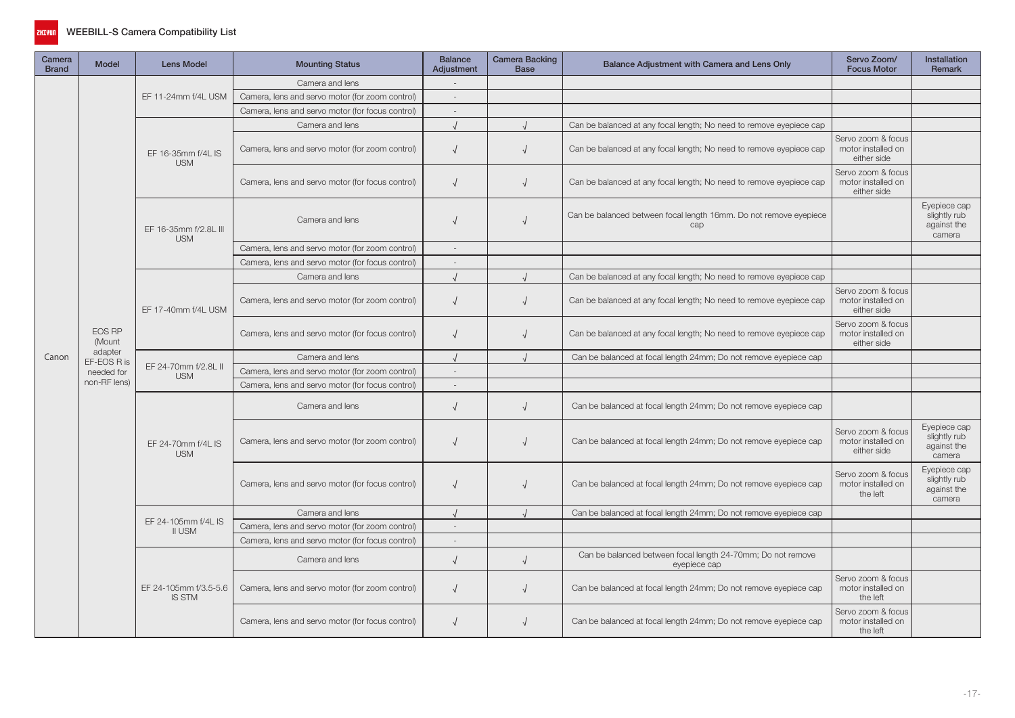

| Camera<br><b>Brand</b> | <b>Model</b>           | <b>Lens Model</b>                      | <b>Mounting Status</b>                           | <b>Balance</b><br>Adjustment | Camera Backing<br><b>Base</b> | Balance Adjustment with Camera and Lens Only                                | Servo Zoom/<br><b>Focus Motor</b>                       | <b>Installation</b><br>Remark                         |
|------------------------|------------------------|----------------------------------------|--------------------------------------------------|------------------------------|-------------------------------|-----------------------------------------------------------------------------|---------------------------------------------------------|-------------------------------------------------------|
|                        |                        |                                        | Camera and lens                                  |                              |                               |                                                                             |                                                         |                                                       |
|                        |                        | EF 11-24mm f/4L USM                    | Camera, lens and servo motor (for zoom control)  | $\overline{\phantom{a}}$     |                               |                                                                             |                                                         |                                                       |
|                        |                        |                                        | Camera, lens and servo motor (for focus control) | $\sim$                       |                               |                                                                             |                                                         |                                                       |
|                        |                        |                                        | Camera and lens                                  |                              |                               | Can be balanced at any focal length; No need to remove eyepiece cap         |                                                         |                                                       |
|                        |                        | EF 16-35mm f/4L IS<br><b>USM</b>       | Camera, lens and servo motor (for zoom control)  |                              | $\sqrt{2}$                    | Can be balanced at any focal length; No need to remove eyepiece cap         | Servo zoom & focus<br>motor installed on<br>either side |                                                       |
|                        |                        |                                        | Camera, lens and servo motor (for focus control) | $\overline{ }$               | $\sqrt{ }$                    | Can be balanced at any focal length; No need to remove eyepiece cap         | Servo zoom & focus<br>motor installed on<br>either side |                                                       |
|                        |                        | EF 16-35mm f/2.8L III<br><b>USM</b>    | Camera and lens                                  |                              |                               | Can be balanced between focal length 16mm. Do not remove eyepiece<br>cap    |                                                         | Evepiece cap<br>slightly rub<br>against the<br>camera |
|                        |                        |                                        | Camera, lens and servo motor (for zoom control)  | $\sim$                       |                               |                                                                             |                                                         |                                                       |
|                        |                        |                                        | Camera, lens and servo motor (for focus control) | $\sim$                       |                               |                                                                             |                                                         |                                                       |
|                        |                        |                                        | Camera and lens                                  |                              | $\sqrt{ }$                    | Can be balanced at any focal length; No need to remove eyepiece cap         |                                                         |                                                       |
|                        |                        | EF 17-40mm f/4L USM                    | Camera, lens and servo motor (for zoom control)  |                              |                               | Can be balanced at any focal length; No need to remove eyepiece cap         | Servo zoom & focus<br>motor installed on<br>either side |                                                       |
|                        | EOS RP<br>(Mount       |                                        | Camera, lens and servo motor (for focus control) |                              |                               | Can be balanced at any focal length; No need to remove eyepiece cap         | Servo zoom & focus<br>motor installed on<br>either side |                                                       |
| Canon                  | adapter<br>EF-EOS R is |                                        | Camera and lens                                  |                              |                               | Can be balanced at focal length 24mm; Do not remove eyepiece cap            |                                                         |                                                       |
|                        | needed for             | EF 24-70mm f/2.8L II<br><b>USM</b>     | Camera, lens and servo motor (for zoom control)  | $\sim$                       |                               |                                                                             |                                                         |                                                       |
|                        | non-RF lens)           |                                        | Camera, lens and servo motor (for focus control) | $\sim$                       |                               |                                                                             |                                                         |                                                       |
|                        |                        |                                        | Camera and lens                                  | $\sqrt{ }$                   | $\sqrt{2}$                    | Can be balanced at focal length 24mm; Do not remove eyepiece cap            |                                                         |                                                       |
|                        |                        | EF 24-70mm f/4L IS<br><b>USM</b>       | Camera, lens and servo motor (for zoom control)  |                              |                               | Can be balanced at focal length 24mm; Do not remove eyepiece cap            | Servo zoom & focus<br>motor installed on<br>either side | Eyepiece cap<br>slightly rub<br>against the<br>camera |
|                        |                        |                                        | Camera, lens and servo motor (for focus control) |                              |                               | Can be balanced at focal length 24mm; Do not remove eyepiece cap            | Servo zoom & focus<br>motor installed on<br>the left    | Eyepiece cap<br>slightly rub<br>against the<br>camera |
|                        |                        |                                        | Camera and lens                                  |                              |                               | Can be balanced at focal length 24mm; Do not remove eyepiece cap            |                                                         |                                                       |
|                        |                        | EF 24-105mm f/4L IS<br>II USM          | Camera, lens and servo motor (for zoom control)  | $\sim$                       |                               |                                                                             |                                                         |                                                       |
|                        |                        |                                        | Camera, lens and servo motor (for focus control) | $\overline{\phantom{a}}$     |                               |                                                                             |                                                         |                                                       |
|                        |                        |                                        | Camera and lens                                  | $\sqrt{2}$                   | $\sqrt{ }$                    | Can be balanced between focal length 24-70mm; Do not remove<br>eyepiece cap |                                                         |                                                       |
|                        |                        | EF 24-105mm f/3.5-5.6<br><b>IS STM</b> | Camera, lens and servo motor (for zoom control)  |                              |                               | Can be balanced at focal length 24mm; Do not remove eyepiece cap            | Servo zoom & focus<br>motor installed on<br>the left    |                                                       |
|                        |                        |                                        | Camera, lens and servo motor (for focus control) |                              |                               | Can be balanced at focal length 24mm; Do not remove eyepiece cap            | Servo zoom & focus<br>motor installed on<br>the left    |                                                       |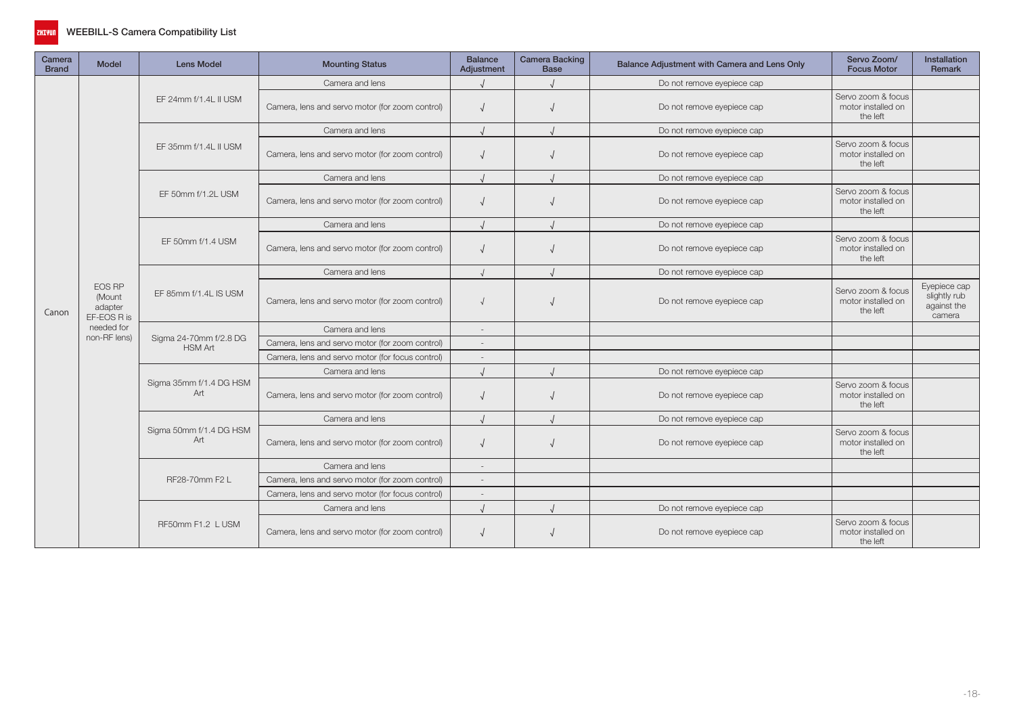

| Camera<br><b>Brand</b> | <b>Model</b>                               | <b>Lens Model</b>                        | <b>Mounting Status</b>                           | <b>Balance</b><br>Adjustment | <b>Camera Backing</b><br><b>Base</b> | Balance Adjustment with Camera and Lens Only | Servo Zoom/<br><b>Focus Motor</b>                    | <b>Installation</b><br><b>Remark</b>                  |
|------------------------|--------------------------------------------|------------------------------------------|--------------------------------------------------|------------------------------|--------------------------------------|----------------------------------------------|------------------------------------------------------|-------------------------------------------------------|
|                        |                                            |                                          | Camera and lens                                  |                              |                                      | Do not remove eyepiece cap                   |                                                      |                                                       |
|                        |                                            | EF 24mm f/1.4L II USM                    | Camera, lens and servo motor (for zoom control)  | $\sqrt{ }$                   |                                      | Do not remove eyepiece cap                   | Servo zoom & focus<br>motor installed on<br>the left |                                                       |
|                        |                                            |                                          | Camera and lens                                  | $\prime$                     |                                      | Do not remove eyepiece cap                   |                                                      |                                                       |
|                        |                                            | EF 35mm f/1.4L II USM                    | Camera, lens and servo motor (for zoom control)  |                              |                                      | Do not remove eyepiece cap                   | Servo zoom & focus<br>motor installed on<br>the left |                                                       |
|                        |                                            |                                          | Camera and lens                                  | $\prime$                     |                                      | Do not remove eyepiece cap                   |                                                      |                                                       |
|                        |                                            | EF 50mm f/1.2L USM                       | Camera, lens and servo motor (for zoom control)  | $\sqrt{ }$                   |                                      | Do not remove eyepiece cap                   | Servo zoom & focus<br>motor installed on<br>the left |                                                       |
|                        |                                            |                                          | Camera and lens                                  |                              |                                      | Do not remove eyepiece cap                   |                                                      |                                                       |
|                        |                                            | EF 50mm f/1.4 USM                        | Camera, lens and servo motor (for zoom control)  |                              |                                      | Do not remove eyepiece cap                   | Servo zoom & focus<br>motor installed on<br>the left |                                                       |
|                        |                                            |                                          | Camera and lens                                  | $\cdot$                      |                                      | Do not remove eyepiece cap                   |                                                      |                                                       |
| Canon                  | EOS RP<br>(Mount<br>adapter<br>EF-EOS R is | EF 85mm f/1.4L IS USM                    | Camera, lens and servo motor (for zoom control)  |                              |                                      | Do not remove eyepiece cap                   | Servo zoom & focus<br>motor installed on<br>the left | Eyepiece cap<br>slightly rub<br>against the<br>camera |
|                        | needed for<br>non-RF lens)                 |                                          | Camera and lens                                  | $\overline{a}$               |                                      |                                              |                                                      |                                                       |
|                        |                                            | Sigma 24-70mm f/2.8 DG<br><b>HSM Art</b> | Camera, lens and servo motor (for zoom control)  | $\overline{\phantom{a}}$     |                                      |                                              |                                                      |                                                       |
|                        |                                            |                                          | Camera, lens and servo motor (for focus control) | $\overline{\phantom{a}}$     |                                      |                                              |                                                      |                                                       |
|                        |                                            |                                          | Camera and lens                                  |                              |                                      | Do not remove eyepiece cap                   |                                                      |                                                       |
|                        |                                            | Sigma 35mm f/1.4 DG HSM<br>Art           | Camera, lens and servo motor (for zoom control)  | $\sqrt{ }$                   |                                      | Do not remove eyepiece cap                   | Servo zoom & focus<br>motor installed on<br>the left |                                                       |
|                        |                                            |                                          | Camera and lens                                  |                              |                                      | Do not remove eyepiece cap                   |                                                      |                                                       |
|                        |                                            | Sigma 50mm f/1.4 DG HSM<br>Art           | Camera, lens and servo motor (for zoom control)  | $\sqrt{ }$                   |                                      | Do not remove eyepiece cap                   | Servo zoom & focus<br>motor installed on<br>the left |                                                       |
|                        |                                            |                                          | Camera and lens                                  | $\sim$                       |                                      |                                              |                                                      |                                                       |
|                        |                                            | RF28-70mm F2 L                           | Camera, lens and servo motor (for zoom control)  | $\overline{\phantom{a}}$     |                                      |                                              |                                                      |                                                       |
|                        |                                            |                                          | Camera, lens and servo motor (for focus control) | $\overline{\phantom{a}}$     |                                      |                                              |                                                      |                                                       |
|                        |                                            |                                          | Camera and lens                                  | $\prime$                     |                                      | Do not remove eyepiece cap                   | Servo zoom & focus<br>motor installed on<br>the left |                                                       |
|                        |                                            | RF50mm F1.2 L USM                        | Camera, lens and servo motor (for zoom control)  |                              |                                      | Do not remove eyepiece cap                   |                                                      |                                                       |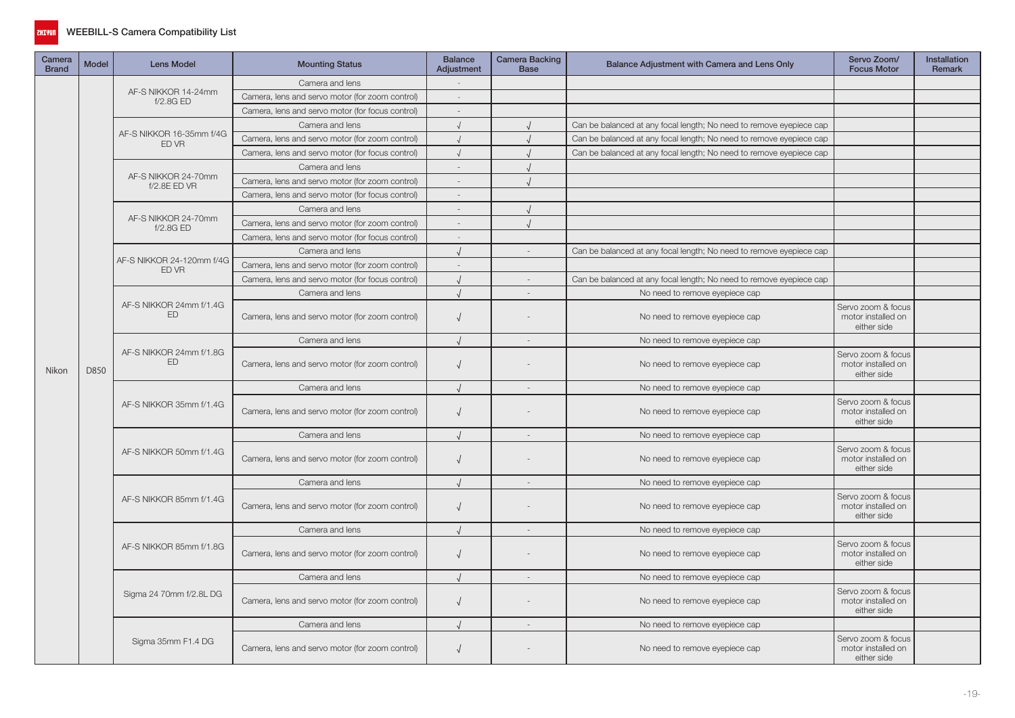

| Camera<br><b>Brand</b> | <b>Model</b> | Lens Model                                | <b>Mounting Status</b>                           | <b>Balance</b><br>Adjustment | <b>Camera Backing</b><br><b>Base</b> | Balance Adjustment with Camera and Lens Only                                                                                                                                                                                                                                                                   | Servo Zoom/<br><b>Focus Motor</b>                       | Installation<br>Remark |
|------------------------|--------------|-------------------------------------------|--------------------------------------------------|------------------------------|--------------------------------------|----------------------------------------------------------------------------------------------------------------------------------------------------------------------------------------------------------------------------------------------------------------------------------------------------------------|---------------------------------------------------------|------------------------|
|                        |              |                                           | Camera and lens                                  | $\sim$                       |                                      |                                                                                                                                                                                                                                                                                                                |                                                         |                        |
|                        |              | AF-S NIKKOR 14-24mm<br>f/2.8G ED          | Camera, lens and servo motor (for zoom control)  |                              |                                      |                                                                                                                                                                                                                                                                                                                |                                                         |                        |
|                        |              |                                           | Camera, lens and servo motor (for focus control) | $\overline{a}$               |                                      |                                                                                                                                                                                                                                                                                                                |                                                         |                        |
|                        |              |                                           | Camera and lens                                  | $\sqrt{ }$                   |                                      | Can be balanced at any focal length; No need to remove eyepiece cap                                                                                                                                                                                                                                            |                                                         |                        |
|                        |              | AF-S NIKKOR 16-35mm f/4G<br>ED VR         | Camera, lens and servo motor (for zoom control)  | $\sqrt{ }$                   |                                      | Can be balanced at any focal length; No need to remove eyepiece cap                                                                                                                                                                                                                                            |                                                         |                        |
|                        |              |                                           | Camera, lens and servo motor (for focus control) | $\sqrt{ }$                   |                                      | Can be balanced at any focal length; No need to remove eyepiece cap                                                                                                                                                                                                                                            |                                                         |                        |
|                        |              |                                           | Camera and lens                                  |                              |                                      |                                                                                                                                                                                                                                                                                                                |                                                         |                        |
|                        |              | AF-S NIKKOR 24-70mm<br>f/2.8E ED VR       | Camera, lens and servo motor (for zoom control)  | $\sim$                       |                                      |                                                                                                                                                                                                                                                                                                                |                                                         |                        |
|                        |              |                                           | Camera, lens and servo motor (for focus control) |                              |                                      |                                                                                                                                                                                                                                                                                                                |                                                         |                        |
|                        |              |                                           | Camera and lens                                  |                              |                                      |                                                                                                                                                                                                                                                                                                                |                                                         |                        |
|                        |              | AF-S NIKKOR 24-70mm<br>f/2.8GED           | Camera, lens and servo motor (for zoom control)  | $\overline{a}$               |                                      |                                                                                                                                                                                                                                                                                                                |                                                         |                        |
|                        |              |                                           | Camera, lens and servo motor (for focus control) | $\sim$                       |                                      |                                                                                                                                                                                                                                                                                                                |                                                         |                        |
|                        |              |                                           | Camera and lens                                  |                              |                                      | Can be balanced at any focal length; No need to remove eyepiece cap                                                                                                                                                                                                                                            |                                                         |                        |
|                        |              | AF-S NIKKOR 24-120mm f/4G<br><b>ED VR</b> | Camera, lens and servo motor (for zoom control)  |                              |                                      |                                                                                                                                                                                                                                                                                                                |                                                         |                        |
|                        |              |                                           | Camera, lens and servo motor (for focus control) |                              |                                      | Can be balanced at any focal length; No need to remove eyepiece cap                                                                                                                                                                                                                                            |                                                         |                        |
|                        |              |                                           | Camera and lens                                  | $\cdot$                      |                                      | No need to remove eyepiece cap                                                                                                                                                                                                                                                                                 |                                                         |                        |
|                        |              | AF-S NIKKOR 24mm f/1.4G<br>ED             | Camera, lens and servo motor (for zoom control)  | $\sqrt{ }$                   |                                      | No need to remove eyepiece cap                                                                                                                                                                                                                                                                                 | Servo zoom & focus<br>motor installed on<br>either side |                        |
|                        |              | AF-S NIKKOR 24mm f/1.8G<br>ED             | Camera and lens                                  | $\cdot$                      | $\overline{a}$                       | No need to remove eyepiece cap                                                                                                                                                                                                                                                                                 |                                                         |                        |
| Nikon                  | D850         |                                           | Camera, lens and servo motor (for zoom control)  | $\sqrt{ }$                   |                                      | No need to remove eyepiece cap                                                                                                                                                                                                                                                                                 | Servo zoom & focus<br>motor installed on<br>either side |                        |
|                        |              |                                           | Camera and lens                                  | $\cdot$                      |                                      | No need to remove eyepiece cap                                                                                                                                                                                                                                                                                 |                                                         |                        |
|                        |              | AF-S NIKKOR 35mm f/1.4G                   | Camera, lens and servo motor (for zoom control)  | $\sqrt{ }$                   |                                      | No need to remove eyepiece cap                                                                                                                                                                                                                                                                                 | Servo zoom & focus<br>motor installed on<br>either side |                        |
|                        |              |                                           | Camera and lens                                  | $\sqrt{ }$                   | $\sim$                               | No need to remove eyepiece cap                                                                                                                                                                                                                                                                                 |                                                         |                        |
|                        |              | AF-S NIKKOR 50mm f/1.4G                   | Camera, lens and servo motor (for zoom control)  | $\sqrt{ }$                   |                                      | No need to remove eyepiece cap<br>No need to remove eyepiece cap<br>No need to remove eyepiece cap<br>No need to remove eyepiece cap<br>No need to remove eyepiece cap<br>No need to remove eyepiece cap<br>No need to remove eyepiece cap<br>No need to remove eyepiece cap<br>No need to remove eyepiece cap | Servo zoom & focus<br>motor installed on<br>either side |                        |
|                        |              |                                           | Camera and lens                                  |                              |                                      |                                                                                                                                                                                                                                                                                                                |                                                         |                        |
|                        |              | AF-S NIKKOR 85mm f/1.4G                   | Camera, lens and servo motor (for zoom control)  | $\sqrt{ }$                   |                                      |                                                                                                                                                                                                                                                                                                                | Servo zoom & focus<br>motor installed on<br>either side |                        |
|                        |              |                                           | Camera and lens                                  |                              |                                      |                                                                                                                                                                                                                                                                                                                |                                                         |                        |
|                        |              | AF-S NIKKOR 85mm f/1.8G                   | Camera, lens and servo motor (for zoom control)  | $\sqrt{ }$                   |                                      |                                                                                                                                                                                                                                                                                                                | Servo zoom & focus<br>motor installed on<br>either side |                        |
|                        |              |                                           | Camera and lens                                  |                              |                                      |                                                                                                                                                                                                                                                                                                                |                                                         |                        |
|                        |              | Sigma 24 70mm f/2.8L DG                   | Camera, lens and servo motor (for zoom control)  | $\sqrt{ }$                   |                                      |                                                                                                                                                                                                                                                                                                                | Servo zoom & focus<br>motor installed on<br>either side |                        |
|                        |              |                                           | Camera and lens                                  | $\cdot$                      | $\sim$                               |                                                                                                                                                                                                                                                                                                                |                                                         |                        |
|                        |              | Sigma 35mm F1.4 DG                        | Camera, lens and servo motor (for zoom control)  | $\sqrt{ }$                   |                                      |                                                                                                                                                                                                                                                                                                                | Servo zoom & focus<br>motor installed on<br>either side |                        |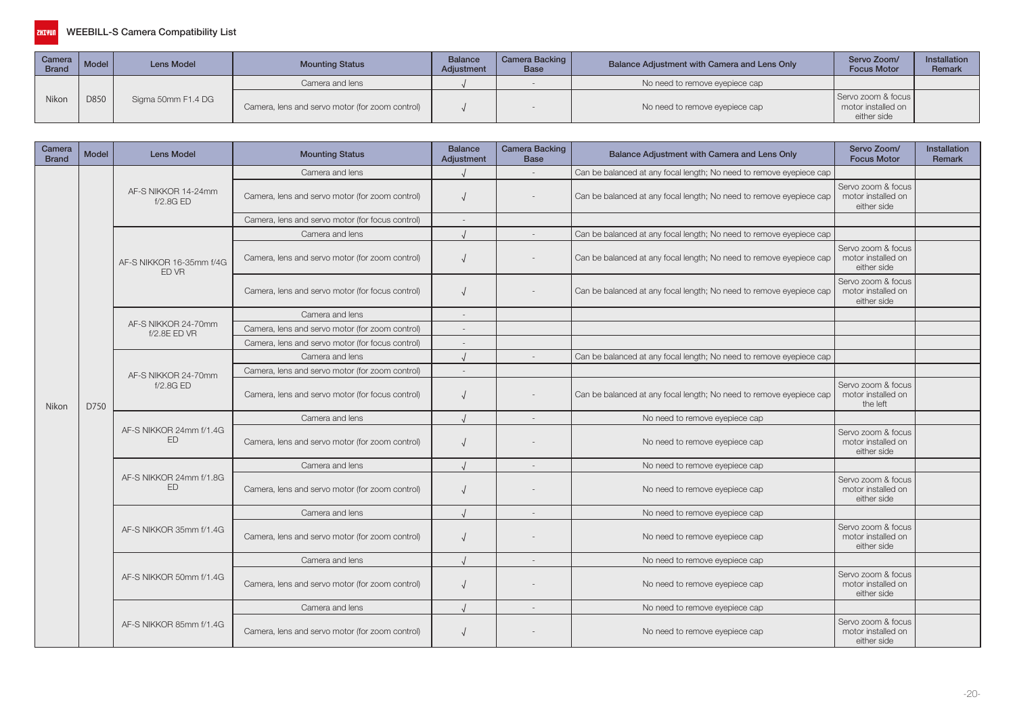| Camera   Model  <br><b>Brand</b> |      | Lens Model         | <b>Mounting Status</b>                          | <b>Balance</b><br>Adjustment | Camera Backing  <br><b>Base</b> | Balance Adjustment with Camera and Lens Only | Servo Zoom/<br><b>Focus Motor</b>                       | <b>Installation</b><br>Remark |
|----------------------------------|------|--------------------|-------------------------------------------------|------------------------------|---------------------------------|----------------------------------------------|---------------------------------------------------------|-------------------------------|
|                                  |      |                    | Camera and lens                                 |                              |                                 | No need to remove eyepiece cap               |                                                         |                               |
| Nikon                            | D850 | Sigma 50mm F1.4 DG | Camera, lens and servo motor (for zoom control) |                              |                                 | No need to remove eyepiece cap               | Servo zoom & focus<br>motor installed on<br>either side |                               |

| Camera<br><b>Brand</b> | <b>Model</b>                                                                                                                                                     | <b>Lens Model</b>                    | <b>Mounting Status</b>                           | <b>Balance</b><br>Adjustment | <b>Camera Backing</b><br><b>Base</b> | Balance Adjustment with Camera and Lens Only                                                                                | Servo Zoom/<br><b>Focus Motor</b>                       | Installation<br><b>Remark</b> |
|------------------------|------------------------------------------------------------------------------------------------------------------------------------------------------------------|--------------------------------------|--------------------------------------------------|------------------------------|--------------------------------------|-----------------------------------------------------------------------------------------------------------------------------|---------------------------------------------------------|-------------------------------|
|                        |                                                                                                                                                                  |                                      | Camera and lens                                  |                              |                                      | Can be balanced at any focal length; No need to remove eyepiece cap                                                         |                                                         |                               |
|                        |                                                                                                                                                                  | AF-S NIKKOR 14-24mm<br>f/2.8GED      | Camera, lens and servo motor (for zoom control)  |                              |                                      | Can be balanced at any focal length; No need to remove eyepiece cap                                                         | Servo zoom & focus<br>motor installed on<br>either side |                               |
|                        |                                                                                                                                                                  |                                      | Camera, lens and servo motor (for focus control) |                              |                                      |                                                                                                                             |                                                         |                               |
|                        |                                                                                                                                                                  |                                      | Camera and lens                                  |                              |                                      | Can be balanced at any focal length; No need to remove eyepiece cap                                                         |                                                         |                               |
|                        |                                                                                                                                                                  | AF-S NIKKOR 16-35mm f/4G<br>ED VR    | Camera, lens and servo motor (for zoom control)  |                              |                                      | Can be balanced at any focal length; No need to remove eyepiece cap                                                         | Servo zoom & focus<br>motor installed on<br>either side |                               |
|                        |                                                                                                                                                                  |                                      | Camera, lens and servo motor (for focus control) |                              |                                      | Can be balanced at any focal length; No need to remove eyepiece cap                                                         | Servo zoom & focus<br>motor installed on<br>either side |                               |
|                        |                                                                                                                                                                  |                                      | Camera and lens                                  |                              |                                      |                                                                                                                             |                                                         |                               |
|                        |                                                                                                                                                                  | AF-S NIKKOR 24-70mm<br>f/2.8E ED VR  | Camera, lens and servo motor (for zoom control)  |                              |                                      |                                                                                                                             |                                                         |                               |
|                        |                                                                                                                                                                  |                                      | Camera, lens and servo motor (for focus control) |                              |                                      |                                                                                                                             |                                                         |                               |
|                        | Camera and lens<br>Can be balanced at any focal length; No need to remove eyepiece cap<br>Camera, lens and servo motor (for zoom control)<br>AF-S NIKKOR 24-70mm |                                      |                                                  |                              |                                      |                                                                                                                             |                                                         |                               |
|                        |                                                                                                                                                                  |                                      |                                                  |                              |                                      | Servo zoom & focus<br>Can be balanced at any focal length; No need to remove eyepiece cap<br>motor installed on<br>the left |                                                         |                               |
| Nikon                  | D750                                                                                                                                                             | f/2.8GED                             | Camera, lens and servo motor (for focus control) |                              |                                      |                                                                                                                             |                                                         |                               |
|                        |                                                                                                                                                                  | AF-S NIKKOR 24mm f/1.4G<br>ED        | Camera and lens                                  |                              |                                      | No need to remove eyepiece cap                                                                                              |                                                         |                               |
|                        |                                                                                                                                                                  |                                      | Camera, lens and servo motor (for zoom control)  |                              |                                      | No need to remove eyepiece cap                                                                                              | Servo zoom & focus<br>motor installed on<br>either side |                               |
|                        |                                                                                                                                                                  |                                      | Camera and lens                                  |                              |                                      | No need to remove eyepiece cap                                                                                              |                                                         |                               |
|                        |                                                                                                                                                                  | AF-S NIKKOR 24mm f/1.8G<br><b>FD</b> | Camera, lens and servo motor (for zoom control)  |                              |                                      | No need to remove eyepiece cap                                                                                              | Servo zoom & focus<br>motor installed on<br>either side |                               |
|                        |                                                                                                                                                                  |                                      | Camera and lens                                  |                              |                                      | No need to remove eyepiece cap                                                                                              |                                                         |                               |
|                        |                                                                                                                                                                  | AF-S NIKKOR 35mm f/1.4G              | Camera, lens and servo motor (for zoom control)  |                              |                                      | No need to remove eyepiece cap                                                                                              | Servo zoom & focus<br>motor installed on<br>either side |                               |
|                        |                                                                                                                                                                  |                                      | Camera and lens                                  |                              |                                      | No need to remove eyepiece cap                                                                                              |                                                         |                               |
|                        |                                                                                                                                                                  | AF-S NIKKOR 50mm f/1.4G              | Camera, lens and servo motor (for zoom control)  |                              |                                      | No need to remove eyepiece cap                                                                                              | Servo zoom & focus<br>motor installed on<br>either side |                               |
|                        |                                                                                                                                                                  |                                      | Camera and lens                                  |                              |                                      | No need to remove eyepiece cap                                                                                              |                                                         |                               |
|                        |                                                                                                                                                                  | AF-S NIKKOR 85mm f/1.4G              | Camera, lens and servo motor (for zoom control)  |                              |                                      | No need to remove eyepiece cap                                                                                              | Servo zoom & focus<br>motor installed on<br>either side |                               |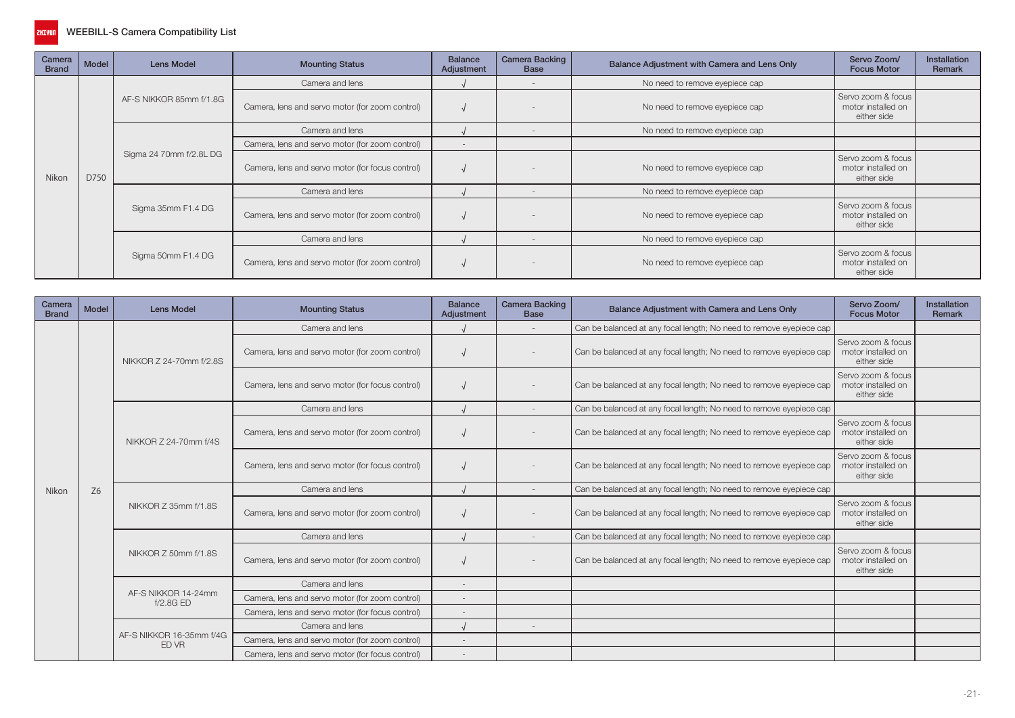

| Camera<br><b>Brand</b> | Model | <b>Lens Model</b>       | <b>Mounting Status</b>                           | <b>Balance</b><br>Adjustment | <b>Camera Backing</b><br><b>Base</b> | Balance Adjustment with Camera and Lens Only | Servo Zoom/<br><b>Focus Motor</b>                       | <b>Installation</b><br>Remark |
|------------------------|-------|-------------------------|--------------------------------------------------|------------------------------|--------------------------------------|----------------------------------------------|---------------------------------------------------------|-------------------------------|
|                        |       |                         | Camera and lens                                  |                              | $\overline{\phantom{a}}$             | No need to remove eyepiece cap               |                                                         |                               |
|                        |       | AF-S NIKKOR 85mm f/1.8G | Camera, lens and servo motor (for zoom control)  |                              |                                      | No need to remove eyepiece cap               | Servo zoom & focus<br>motor installed on<br>either side |                               |
|                        |       |                         | Camera and lens                                  |                              | $\overline{\phantom{a}}$             | No need to remove eyepiece cap               |                                                         |                               |
|                        |       |                         | Camera, lens and servo motor (for zoom control)  |                              |                                      |                                              | Servo zoom & focus<br>motor installed on                |                               |
| Nikon                  | D750  | Sigma 24 70mm f/2.8L DG | Camera, lens and servo motor (for focus control) |                              |                                      | No need to remove eyepiece cap               | either side                                             |                               |
|                        |       |                         | Camera and lens                                  |                              |                                      | No need to remove eyepiece cap               |                                                         |                               |
|                        |       | Sigma 35mm F1.4 DG      | Camera, lens and servo motor (for zoom control)  |                              |                                      | No need to remove eyepiece cap               | Servo zoom & focus<br>motor installed on<br>either side |                               |
|                        |       |                         | Camera and lens                                  |                              | $\overline{\phantom{a}}$             | No need to remove eyepiece cap               |                                                         |                               |
|                        |       | Sigma 50mm F1.4 DG      | Camera, lens and servo motor (for zoom control)  |                              |                                      | No need to remove eyepiece cap               | Servo zoom & focus<br>motor installed on<br>either side |                               |

| Camera<br><b>Brand</b> | <b>Model</b>   | <b>Lens Model</b>                 | <b>Mounting Status</b>                           | <b>Balance</b><br>Adjustment | <b>Camera Backing</b><br><b>Base</b> | Balance Adjustment with Camera and Lens Only                        | Servo Zoom/<br><b>Focus Motor</b>                                                                   | Installation<br><b>Remark</b> |
|------------------------|----------------|-----------------------------------|--------------------------------------------------|------------------------------|--------------------------------------|---------------------------------------------------------------------|-----------------------------------------------------------------------------------------------------|-------------------------------|
|                        |                |                                   | Camera and lens                                  |                              |                                      | Can be balanced at any focal length; No need to remove eyepiece cap |                                                                                                     |                               |
|                        |                | NIKKOR Z 24-70mm f/2.8S           | Camera, lens and servo motor (for zoom control)  |                              |                                      | Can be balanced at any focal length; No need to remove eyepiece cap | Servo zoom & focus<br>motor installed on<br>either side                                             |                               |
|                        |                |                                   | Camera, lens and servo motor (for focus control) |                              |                                      | Can be balanced at any focal length; No need to remove eyepiece cap | Servo zoom & focus<br>motor installed on<br>either side                                             |                               |
|                        |                |                                   | Camera and lens                                  |                              |                                      | Can be balanced at any focal length; No need to remove eyepiece cap |                                                                                                     |                               |
|                        |                | NIKKOR Z 24-70mm f/4S             | Camera, lens and servo motor (for zoom control)  |                              |                                      | Can be balanced at any focal length; No need to remove eyepiece cap | Servo zoom & focus<br>motor installed on<br>either side                                             |                               |
|                        |                |                                   | Camera, lens and servo motor (for focus control) |                              |                                      | Can be balanced at any focal length; No need to remove eyepiece cap | Servo zoom & focus<br>motor installed on<br>either side<br>Servo zoom & focus<br>motor installed on |                               |
| Nikon                  | Z <sub>6</sub> |                                   | Camera and lens                                  |                              |                                      | Can be balanced at any focal length; No need to remove eyepiece cap |                                                                                                     |                               |
|                        |                | NIKKOR Z 35mm f/1.8S              | Camera, lens and servo motor (for zoom control)  |                              |                                      | Can be balanced at any focal length; No need to remove eyepiece cap | either side                                                                                         |                               |
|                        |                |                                   | Camera and lens                                  |                              |                                      | Can be balanced at any focal length; No need to remove eyepiece cap |                                                                                                     |                               |
|                        |                | NIKKOR Z 50mm f/1.8S              | Camera, lens and servo motor (for zoom control)  |                              |                                      | Can be balanced at any focal length; No need to remove eyepiece cap | Servo zoom & focus<br>motor installed on<br>either side                                             |                               |
|                        |                |                                   | Camera and lens                                  |                              |                                      |                                                                     |                                                                                                     |                               |
|                        |                | AF-S NIKKOR 14-24mm<br>f/2.8GED   | Camera, lens and servo motor (for zoom control)  |                              |                                      |                                                                     |                                                                                                     |                               |
|                        |                |                                   | Camera, lens and servo motor (for focus control) | $\overline{\phantom{a}}$     |                                      |                                                                     |                                                                                                     |                               |
|                        |                |                                   | Camera and lens                                  |                              | $\overline{\phantom{a}}$             |                                                                     |                                                                                                     |                               |
|                        |                | AF-S NIKKOR 16-35mm f/4G<br>ED VR | Camera, lens and servo motor (for zoom control)  | $\overline{\phantom{a}}$     |                                      |                                                                     |                                                                                                     |                               |
|                        |                |                                   | Camera, lens and servo motor (for focus control) | $\overline{\phantom{a}}$     |                                      |                                                                     |                                                                                                     |                               |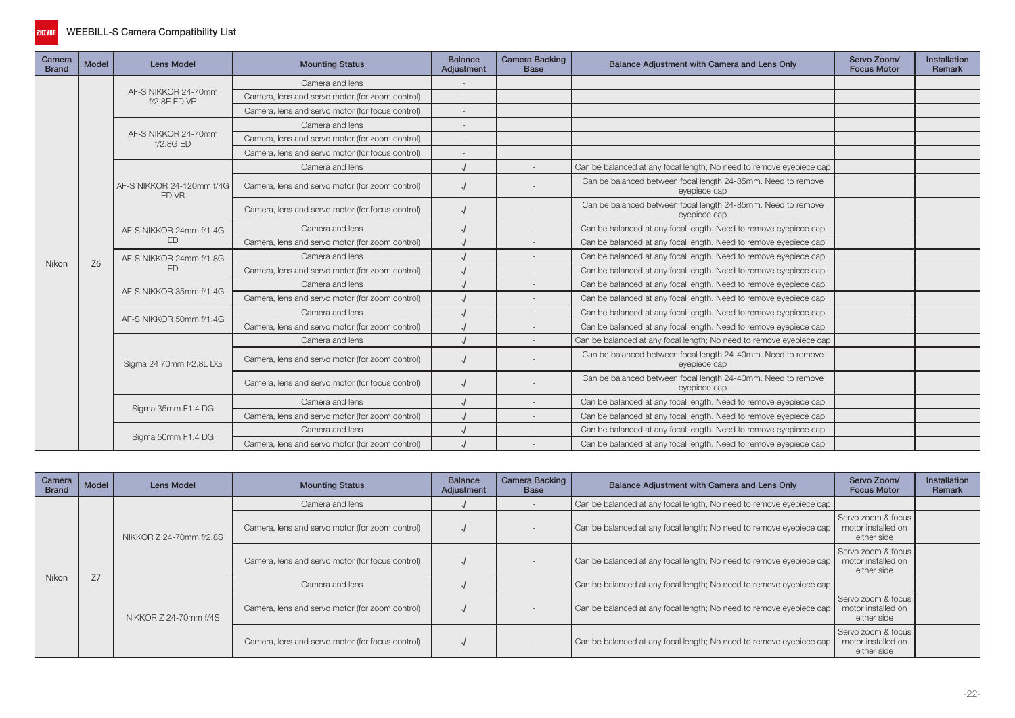

| Camera<br><b>Brand</b> | Model          | <b>Lens Model</b>                         | <b>Mounting Status</b>                           | <b>Balance</b><br>Adjustment | <b>Camera Backing</b><br><b>Base</b> | Balance Adjustment with Camera and Lens Only                                 | Servo Zoom/<br><b>Focus Motor</b> | <b>Installation</b><br><b>Remark</b> |
|------------------------|----------------|-------------------------------------------|--------------------------------------------------|------------------------------|--------------------------------------|------------------------------------------------------------------------------|-----------------------------------|--------------------------------------|
|                        |                |                                           | Camera and lens                                  |                              |                                      |                                                                              |                                   |                                      |
|                        |                | AF-S NIKKOR 24-70mm<br>f/2.8E ED VR       | Camera, lens and servo motor (for zoom control)  | $\overline{\phantom{a}}$     |                                      |                                                                              |                                   |                                      |
|                        |                |                                           | Camera, lens and servo motor (for focus control) |                              |                                      |                                                                              |                                   |                                      |
|                        |                |                                           | Camera and lens                                  |                              |                                      |                                                                              |                                   |                                      |
|                        |                | AF-S NIKKOR 24-70mm<br>f/2.8GED           | Camera, lens and servo motor (for zoom control)  |                              |                                      |                                                                              |                                   |                                      |
|                        |                |                                           | Camera, lens and servo motor (for focus control) |                              |                                      |                                                                              |                                   |                                      |
|                        |                |                                           | Camera and lens                                  |                              |                                      | Can be balanced at any focal length; No need to remove eyepiece cap          |                                   |                                      |
|                        |                | AF-S NIKKOR 24-120mm f/4G<br><b>ED VR</b> | Camera, lens and servo motor (for zoom control)  |                              |                                      | Can be balanced between focal length 24-85mm. Need to remove<br>eyepiece cap |                                   |                                      |
|                        |                |                                           | Camera, lens and servo motor (for focus control) |                              |                                      | Can be balanced between focal length 24-85mm. Need to remove<br>eyepiece cap |                                   |                                      |
|                        |                | AF-S NIKKOR 24mm f/1.4G<br><b>ED</b>      | Camera and lens                                  |                              |                                      | Can be balanced at any focal length. Need to remove eyepiece cap             |                                   |                                      |
|                        |                |                                           | Camera, lens and servo motor (for zoom control)  |                              |                                      | Can be balanced at any focal length. Need to remove eyepiece cap             |                                   |                                      |
| Nikon                  | Z <sub>6</sub> | AF-S NIKKOR 24mm f/1.8G                   | Camera and lens                                  |                              | $\overline{\phantom{a}}$             | Can be balanced at any focal length. Need to remove eyepiece cap             |                                   |                                      |
|                        |                | <b>FD</b>                                 | Camera, lens and servo motor (for zoom control)  |                              |                                      | Can be balanced at any focal length. Need to remove eyepiece cap             |                                   |                                      |
|                        |                | AF-S NIKKOR 35mm f/1.4G                   | Camera and lens                                  |                              |                                      | Can be balanced at any focal length. Need to remove eyepiece cap             |                                   |                                      |
|                        |                |                                           | Camera, lens and servo motor (for zoom control)  |                              |                                      | Can be balanced at any focal length. Need to remove eyepiece cap             |                                   |                                      |
|                        |                | AF-S NIKKOR 50mm f/1.4G                   | Camera and lens                                  |                              |                                      | Can be balanced at any focal length. Need to remove eyepiece cap             |                                   |                                      |
|                        |                |                                           | Camera, lens and servo motor (for zoom control)  |                              |                                      | Can be balanced at any focal length. Need to remove eyepiece cap             |                                   |                                      |
|                        |                |                                           | Camera and lens                                  |                              |                                      | Can be balanced at any focal length; No need to remove eyepiece cap          |                                   |                                      |
|                        |                | Sigma 24 70mm f/2.8L DG                   | Camera, lens and servo motor (for zoom control)  |                              |                                      | Can be balanced between focal length 24-40mm. Need to remove<br>eyepiece cap |                                   |                                      |
|                        |                |                                           | Camera, lens and servo motor (for focus control) |                              |                                      | Can be balanced between focal length 24-40mm. Need to remove<br>eyepiece cap |                                   |                                      |
|                        |                |                                           | Camera and lens                                  |                              |                                      | Can be balanced at any focal length. Need to remove eyepiece cap             |                                   |                                      |
|                        |                | Sigma 35mm F1.4 DG                        | Camera, lens and servo motor (for zoom control)  |                              |                                      | Can be balanced at any focal length. Need to remove eyepiece cap             |                                   |                                      |
|                        |                |                                           | Camera and lens                                  |                              |                                      | Can be balanced at any focal length. Need to remove eyepiece cap             |                                   |                                      |
|                        |                | Sigma 50mm F1.4 DG                        | Camera, lens and servo motor (for zoom control)  |                              |                                      | Can be balanced at any focal length. Need to remove eyepiece cap             |                                   |                                      |

| Camera<br><b>Brand</b> | Model | Lens Model              | <b>Mounting Status</b>                           | <b>Balance</b><br>Adjustment | <b>Camera Backing</b><br>Base | Balance Adjustment with Camera and Lens Only                        | Servo Zoom/<br><b>Focus Motor</b>                       | Installation<br>Remark |
|------------------------|-------|-------------------------|--------------------------------------------------|------------------------------|-------------------------------|---------------------------------------------------------------------|---------------------------------------------------------|------------------------|
|                        |       |                         | Camera and lens                                  |                              |                               | Can be balanced at any focal length; No need to remove eyepiece cap |                                                         |                        |
|                        |       | NIKKOR Z 24-70mm f/2.8S | Camera, lens and servo motor (for zoom control)  |                              |                               | Can be balanced at any focal length; No need to remove eyepiece cap | Servo zoom & focus<br>motor installed on<br>either side |                        |
|                        | Z7    |                         | Camera, lens and servo motor (for focus control) |                              |                               | Can be balanced at any focal length; No need to remove eyepiece cap | Servo zoom & focus<br>motor installed on<br>either side |                        |
| Nikon                  |       |                         | Camera and lens                                  |                              |                               | Can be balanced at any focal length; No need to remove eyepiece cap |                                                         |                        |
|                        |       | NIKKOR Z 24-70mm f/4S   | Camera, lens and servo motor (for zoom control)  |                              |                               | Can be balanced at any focal length; No need to remove eyepiece cap | Servo zoom & focus<br>motor installed on<br>either side |                        |
|                        |       |                         | Camera, lens and servo motor (for focus control) |                              |                               | Can be balanced at any focal length; No need to remove eyepiece cap | Servo zoom & focus<br>motor installed on<br>either side |                        |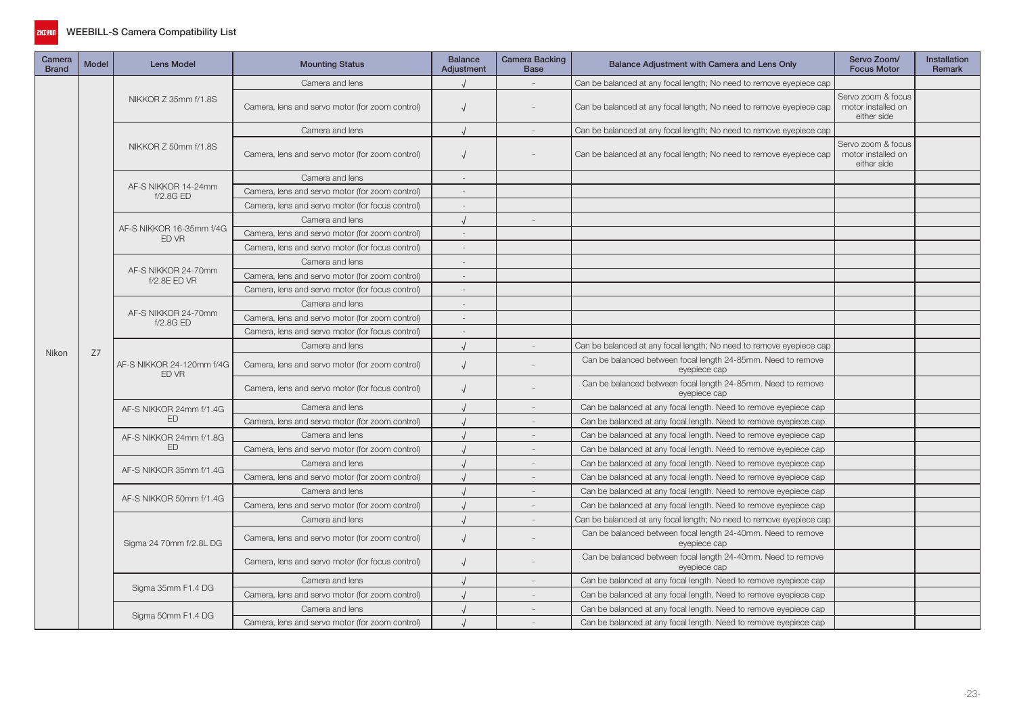

| Camera<br><b>Brand</b> | Model | <b>Lens Model</b>                   | <b>Mounting Status</b>                           | <b>Balance</b><br><b>Adjustment</b> | Camera Backing<br><b>Base</b> | Balance Adjustment with Camera and Lens Only                                 | Servo Zoom/<br><b>Focus Motor</b>                       | <b>Installation</b><br>Remark |
|------------------------|-------|-------------------------------------|--------------------------------------------------|-------------------------------------|-------------------------------|------------------------------------------------------------------------------|---------------------------------------------------------|-------------------------------|
| Nikon                  |       |                                     | Camera and lens                                  |                                     |                               | Can be balanced at any focal length; No need to remove eyepiece cap          |                                                         |                               |
|                        |       | NIKKOR Z 35mm f/1.8S                | Camera, lens and servo motor (for zoom control)  | $\sqrt{ }$                          |                               | Can be balanced at any focal length; No need to remove eyepiece cap          | Servo zoom & focus<br>motor installed on<br>either side |                               |
|                        |       |                                     | Camera and lens                                  |                                     |                               | Can be balanced at any focal length; No need to remove eyepiece cap          |                                                         |                               |
|                        |       | NIKKOR Z 50mm f/1.8S                | Camera, lens and servo motor (for zoom control)  | $\sqrt{ }$                          |                               | Can be balanced at any focal length; No need to remove eyepiece cap          | Servo zoom & focus<br>motor installed on<br>either side |                               |
|                        |       |                                     | Camera and lens                                  |                                     |                               |                                                                              |                                                         |                               |
|                        |       | AF-S NIKKOR 14-24mm<br>f/2.8GED     | Camera, lens and servo motor (for zoom control)  |                                     |                               |                                                                              |                                                         |                               |
|                        |       |                                     | Camera, lens and servo motor (for focus control) |                                     |                               |                                                                              |                                                         |                               |
|                        |       |                                     | Camera and lens                                  |                                     | $\sim$                        |                                                                              |                                                         |                               |
|                        |       | AF-S NIKKOR 16-35mm f/4G<br>ED VR   | Camera, lens and servo motor (for zoom control)  | $\sim$                              |                               |                                                                              |                                                         |                               |
|                        |       |                                     | Camera, lens and servo motor (for focus control) |                                     |                               |                                                                              |                                                         |                               |
|                        |       | AF-S NIKKOR 24-70mm<br>f/2.8E ED VR | Camera and lens                                  |                                     |                               |                                                                              |                                                         |                               |
|                        |       |                                     | Camera, lens and servo motor (for zoom control)  |                                     |                               |                                                                              |                                                         |                               |
|                        |       |                                     | Camera, lens and servo motor (for focus control) |                                     |                               |                                                                              |                                                         |                               |
|                        |       |                                     | Camera and lens                                  |                                     |                               |                                                                              |                                                         |                               |
|                        |       | AF-S NIKKOR 24-70mm<br>f/2.8G ED    | Camera, lens and servo motor (for zoom control)  | $\overline{\phantom{a}}$            |                               |                                                                              |                                                         |                               |
|                        | Z7    |                                     | Camera, lens and servo motor (for focus control) | $\overline{\phantom{a}}$            |                               |                                                                              |                                                         |                               |
|                        |       |                                     | Camera and lens                                  |                                     |                               | Can be balanced at any focal length; No need to remove eyepiece cap          |                                                         |                               |
|                        |       | AF-S NIKKOR 24-120mm f/4G<br>ED VR  | Camera, lens and servo motor (for zoom control)  | $\sqrt{ }$                          |                               | Can be balanced between focal length 24-85mm. Need to remove<br>eyepiece cap |                                                         |                               |
|                        |       |                                     | Camera, lens and servo motor (for focus control) | $\sqrt{ }$                          |                               | Can be balanced between focal length 24-85mm. Need to remove<br>eyepiece cap |                                                         |                               |
|                        |       | AF-S NIKKOR 24mm f/1.4G             | Camera and lens                                  |                                     |                               | Can be balanced at any focal length. Need to remove eyepiece cap             |                                                         |                               |
|                        |       | <b>ED</b>                           | Camera, lens and servo motor (for zoom control)  |                                     |                               | Can be balanced at any focal length. Need to remove eyepiece cap             |                                                         |                               |
|                        |       | AF-S NIKKOR 24mm f/1.8G             | Camera and lens                                  |                                     |                               | Can be balanced at any focal length. Need to remove eyepiece cap             |                                                         |                               |
|                        |       | ED                                  | Camera, lens and servo motor (for zoom control)  |                                     | $\overline{\phantom{a}}$      | Can be balanced at any focal length. Need to remove eyepiece cap             |                                                         |                               |
|                        |       | AF-S NIKKOR 35mm f/1.4G             | Camera and lens                                  |                                     |                               | Can be balanced at any focal length. Need to remove eyepiece cap             |                                                         |                               |
|                        |       |                                     | Camera, lens and servo motor (for zoom control)  |                                     |                               | Can be balanced at any focal length. Need to remove eyepiece cap             |                                                         |                               |
|                        |       | AF-S NIKKOR 50mm f/1.4G             | Camera and lens                                  |                                     |                               | Can be balanced at any focal length. Need to remove eyepiece cap             |                                                         |                               |
|                        |       |                                     | Camera, lens and servo motor (for zoom control)  |                                     | $\sim$                        | Can be balanced at any focal length. Need to remove eyepiece cap             |                                                         |                               |
|                        |       |                                     | Camera and lens                                  |                                     | $\sim$                        | Can be balanced at any focal length; No need to remove eyepiece cap          |                                                         |                               |
|                        |       | Sigma 24 70mm f/2.8L DG             | Camera, lens and servo motor (for zoom control)  | $\sqrt{ }$                          |                               | Can be balanced between focal length 24-40mm. Need to remove<br>eyepiece cap |                                                         |                               |
|                        |       |                                     | Camera, lens and servo motor (for focus control) | $\sqrt{ }$                          |                               | Can be balanced between focal length 24-40mm. Need to remove<br>eyepiece cap |                                                         |                               |
|                        |       | Sigma 35mm F1.4 DG                  | Camera and lens                                  |                                     | $\sim$                        | Can be balanced at any focal length. Need to remove eyepiece cap             |                                                         |                               |
|                        |       |                                     | Camera, lens and servo motor (for zoom control)  |                                     |                               | Can be balanced at any focal length. Need to remove eyepiece cap             |                                                         |                               |
|                        |       |                                     | Camera and lens                                  |                                     |                               | Can be balanced at any focal length. Need to remove eyepiece cap             |                                                         |                               |
|                        |       | Sigma 50mm F1.4 DG                  | Camera, lens and servo motor (for zoom control)  |                                     |                               | Can be balanced at any focal length. Need to remove eyepiece cap             |                                                         |                               |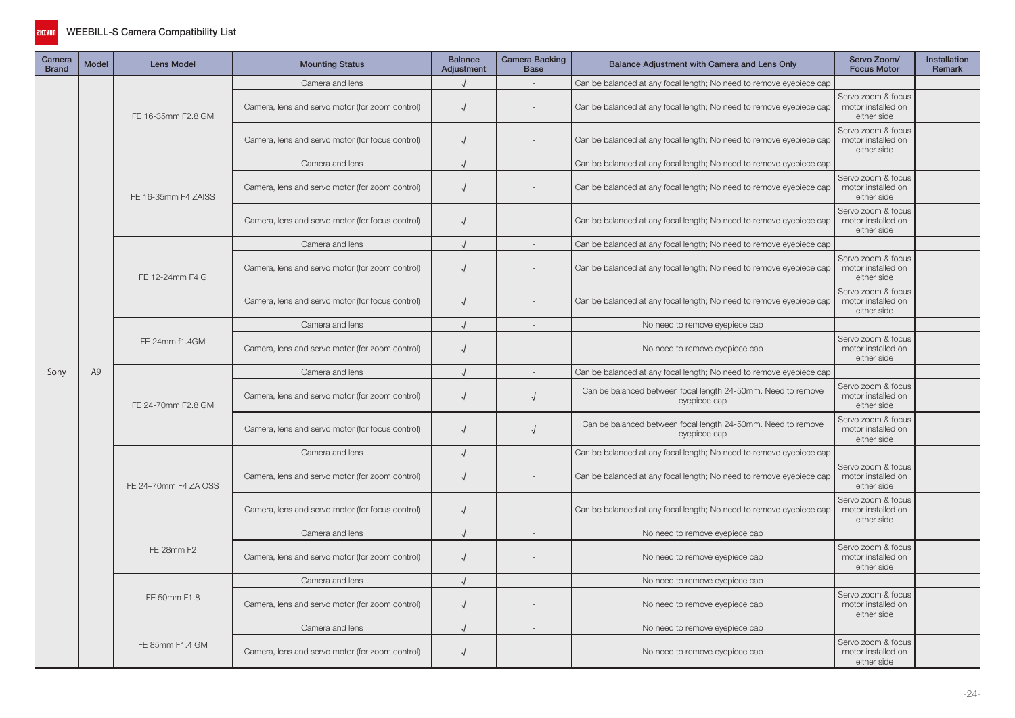

| Camera<br><b>Brand</b> | <b>Model</b>                                                                                                                                                                                                                                                                                                                                                                                                                                                                                                                                                                                                                                                                                                                                                                                                                       | <b>Lens Model</b>                                                   | <b>Mounting Status</b>                                  | <b>Balance</b><br>Adjustment | <b>Camera Backing</b><br><b>Base</b> | Balance Adjustment with Camera and Lens Only                        | Servo Zoom/<br><b>Focus Motor</b>                                                                                                                                                                                                                                                                                                                                               | Installation<br>Remark |
|------------------------|------------------------------------------------------------------------------------------------------------------------------------------------------------------------------------------------------------------------------------------------------------------------------------------------------------------------------------------------------------------------------------------------------------------------------------------------------------------------------------------------------------------------------------------------------------------------------------------------------------------------------------------------------------------------------------------------------------------------------------------------------------------------------------------------------------------------------------|---------------------------------------------------------------------|---------------------------------------------------------|------------------------------|--------------------------------------|---------------------------------------------------------------------|---------------------------------------------------------------------------------------------------------------------------------------------------------------------------------------------------------------------------------------------------------------------------------------------------------------------------------------------------------------------------------|------------------------|
|                        |                                                                                                                                                                                                                                                                                                                                                                                                                                                                                                                                                                                                                                                                                                                                                                                                                                    |                                                                     | Camera and lens                                         |                              | $\sim$                               | Can be balanced at any focal length; No need to remove eyepiece cap |                                                                                                                                                                                                                                                                                                                                                                                 |                        |
|                        |                                                                                                                                                                                                                                                                                                                                                                                                                                                                                                                                                                                                                                                                                                                                                                                                                                    | FE 16-35mm F2.8 GM                                                  | Camera, lens and servo motor (for zoom control)         | $\sqrt{ }$                   |                                      | Can be balanced at any focal length; No need to remove eyepiece cap | Servo zoom & focus<br>motor installed on<br>either side                                                                                                                                                                                                                                                                                                                         |                        |
|                        |                                                                                                                                                                                                                                                                                                                                                                                                                                                                                                                                                                                                                                                                                                                                                                                                                                    |                                                                     | Camera, lens and servo motor (for focus control)        | $\sqrt{ }$                   |                                      | Can be balanced at any focal length; No need to remove eyepiece cap | Servo zoom & focus<br>motor installed on<br>either side                                                                                                                                                                                                                                                                                                                         |                        |
|                        |                                                                                                                                                                                                                                                                                                                                                                                                                                                                                                                                                                                                                                                                                                                                                                                                                                    |                                                                     | Camera and lens                                         | $\sqrt{ }$                   | $\overline{\phantom{a}}$             | Can be balanced at any focal length; No need to remove eyepiece cap |                                                                                                                                                                                                                                                                                                                                                                                 |                        |
|                        |                                                                                                                                                                                                                                                                                                                                                                                                                                                                                                                                                                                                                                                                                                                                                                                                                                    | FE 16-35mm F4 ZAISS                                                 | Camera, lens and servo motor (for zoom control)         | $\sqrt{ }$                   |                                      | Can be balanced at any focal length; No need to remove eyepiece cap | Servo zoom & focus<br>motor installed on<br>either side                                                                                                                                                                                                                                                                                                                         |                        |
|                        | Camera, lens and servo motor (for focus control)<br>$\sqrt{ }$<br>Camera and lens<br>$\sqrt{ }$<br>Camera, lens and servo motor (for zoom control)<br>$\sqrt{ }$<br>FE 12-24mm F4 G<br>Camera, lens and servo motor (for focus control)<br>$\sqrt{ }$<br>Camera and lens<br>FE 24mm f1.4GM<br>Camera, lens and servo motor (for zoom control)<br>$\sqrt{ }$<br>Camera and lens<br>Sony<br>A9<br>$\sqrt{ }$<br>$\sqrt{ }$<br>Camera, lens and servo motor (for zoom control)<br>FE 24-70mm F2.8 GM<br>$\sqrt{ }$<br>Camera, lens and servo motor (for focus control)<br>$\sqrt{ }$<br>Camera and lens<br>$\sim$<br>Camera, lens and servo motor (for zoom control)<br>$\sqrt{ }$<br>FE 24-70mm F4 ZA OSS<br>Camera, lens and servo motor (for focus control)<br>$\sqrt{ }$<br>$\sqrt{ }$<br>Camera and lens<br>$\sim$<br>FE 28mm F2 | Can be balanced at any focal length; No need to remove eyepiece cap | Servo zoom & focus<br>motor installed on<br>either side |                              |                                      |                                                                     |                                                                                                                                                                                                                                                                                                                                                                                 |                        |
|                        |                                                                                                                                                                                                                                                                                                                                                                                                                                                                                                                                                                                                                                                                                                                                                                                                                                    |                                                                     |                                                         |                              |                                      | Can be balanced at any focal length; No need to remove eyepiece cap | Servo zoom & focus<br>motor installed on<br>either side<br>Servo zoom & focus<br>motor installed on<br>either side<br>Servo zoom & focus<br>motor installed on<br>either side<br>Servo zoom & focus<br>motor installed on<br>eyepiece cap<br>either side<br>Servo zoom & focus<br>motor installed on<br>eyepiece cap<br>either side<br>Servo zoom & focus<br>motor installed on |                        |
|                        |                                                                                                                                                                                                                                                                                                                                                                                                                                                                                                                                                                                                                                                                                                                                                                                                                                    |                                                                     |                                                         |                              |                                      | Can be balanced at any focal length; No need to remove eyepiece cap |                                                                                                                                                                                                                                                                                                                                                                                 |                        |
|                        |                                                                                                                                                                                                                                                                                                                                                                                                                                                                                                                                                                                                                                                                                                                                                                                                                                    |                                                                     |                                                         |                              |                                      | Can be balanced at any focal length; No need to remove eyepiece cap |                                                                                                                                                                                                                                                                                                                                                                                 |                        |
|                        |                                                                                                                                                                                                                                                                                                                                                                                                                                                                                                                                                                                                                                                                                                                                                                                                                                    |                                                                     |                                                         |                              |                                      | No need to remove eyepiece cap                                      |                                                                                                                                                                                                                                                                                                                                                                                 |                        |
|                        |                                                                                                                                                                                                                                                                                                                                                                                                                                                                                                                                                                                                                                                                                                                                                                                                                                    |                                                                     |                                                         |                              |                                      | No need to remove eyepiece cap                                      |                                                                                                                                                                                                                                                                                                                                                                                 |                        |
|                        |                                                                                                                                                                                                                                                                                                                                                                                                                                                                                                                                                                                                                                                                                                                                                                                                                                    |                                                                     |                                                         |                              |                                      | Can be balanced at any focal length; No need to remove eyepiece cap |                                                                                                                                                                                                                                                                                                                                                                                 |                        |
|                        |                                                                                                                                                                                                                                                                                                                                                                                                                                                                                                                                                                                                                                                                                                                                                                                                                                    |                                                                     |                                                         |                              |                                      | Can be balanced between focal length 24-50mm. Need to remove        |                                                                                                                                                                                                                                                                                                                                                                                 |                        |
|                        |                                                                                                                                                                                                                                                                                                                                                                                                                                                                                                                                                                                                                                                                                                                                                                                                                                    |                                                                     |                                                         |                              |                                      | Can be balanced between focal length 24-50mm. Need to remove        |                                                                                                                                                                                                                                                                                                                                                                                 |                        |
|                        |                                                                                                                                                                                                                                                                                                                                                                                                                                                                                                                                                                                                                                                                                                                                                                                                                                    |                                                                     |                                                         |                              |                                      | Can be balanced at any focal length; No need to remove eyepiece cap |                                                                                                                                                                                                                                                                                                                                                                                 |                        |
|                        |                                                                                                                                                                                                                                                                                                                                                                                                                                                                                                                                                                                                                                                                                                                                                                                                                                    |                                                                     |                                                         |                              |                                      | Can be balanced at any focal length; No need to remove eyepiece cap | either side                                                                                                                                                                                                                                                                                                                                                                     |                        |
|                        |                                                                                                                                                                                                                                                                                                                                                                                                                                                                                                                                                                                                                                                                                                                                                                                                                                    |                                                                     |                                                         |                              |                                      | Can be balanced at any focal length; No need to remove eyepiece cap | Servo zoom & focus<br>motor installed on<br>either side                                                                                                                                                                                                                                                                                                                         |                        |
|                        |                                                                                                                                                                                                                                                                                                                                                                                                                                                                                                                                                                                                                                                                                                                                                                                                                                    |                                                                     |                                                         |                              |                                      | No need to remove eyepiece cap                                      |                                                                                                                                                                                                                                                                                                                                                                                 |                        |
|                        |                                                                                                                                                                                                                                                                                                                                                                                                                                                                                                                                                                                                                                                                                                                                                                                                                                    |                                                                     | Camera, lens and servo motor (for zoom control)         | $\sqrt{ }$                   |                                      | No need to remove eyepiece cap                                      | Servo zoom & focus<br>motor installed on<br>either side                                                                                                                                                                                                                                                                                                                         |                        |
|                        |                                                                                                                                                                                                                                                                                                                                                                                                                                                                                                                                                                                                                                                                                                                                                                                                                                    |                                                                     | Camera and lens                                         |                              | $\overline{\phantom{a}}$             | No need to remove eyepiece cap                                      |                                                                                                                                                                                                                                                                                                                                                                                 |                        |
|                        |                                                                                                                                                                                                                                                                                                                                                                                                                                                                                                                                                                                                                                                                                                                                                                                                                                    | FE 50mm F1.8                                                        | Camera, lens and servo motor (for zoom control)         | $\sqrt{2}$                   |                                      | No need to remove eyepiece cap                                      | Servo zoom & focus<br>motor installed on<br>either side                                                                                                                                                                                                                                                                                                                         |                        |
|                        |                                                                                                                                                                                                                                                                                                                                                                                                                                                                                                                                                                                                                                                                                                                                                                                                                                    |                                                                     | Camera and lens                                         |                              |                                      | No need to remove eyepiece cap                                      |                                                                                                                                                                                                                                                                                                                                                                                 |                        |
|                        |                                                                                                                                                                                                                                                                                                                                                                                                                                                                                                                                                                                                                                                                                                                                                                                                                                    | FE 85mm F1.4 GM                                                     | Camera, lens and servo motor (for zoom control)         | $\sqrt{ }$                   |                                      | No need to remove eyepiece cap                                      | Servo zoom & focus<br>motor installed on<br>either side                                                                                                                                                                                                                                                                                                                         |                        |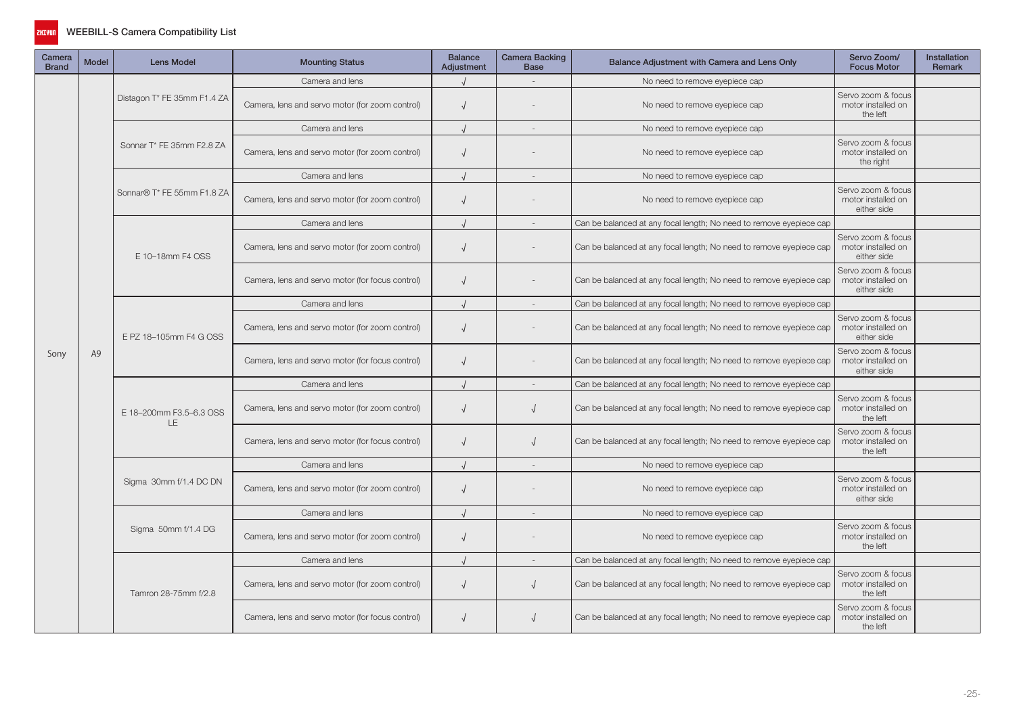

| Camera<br><b>Brand</b> | <b>Model</b> | <b>Lens Model</b>           | <b>Mounting Status</b>                           | <b>Balance</b><br>Adjustment | Camera Backing<br><b>Base</b> | Balance Adjustment with Camera and Lens Only                        | Servo Zoom/<br><b>Focus Motor</b>                       | <b>Installation</b><br><b>Remark</b> |
|------------------------|--------------|-----------------------------|--------------------------------------------------|------------------------------|-------------------------------|---------------------------------------------------------------------|---------------------------------------------------------|--------------------------------------|
|                        |              |                             | Camera and lens                                  |                              |                               | No need to remove eyepiece cap                                      |                                                         |                                      |
|                        |              | Distagon T* FE 35mm F1.4 ZA | Camera, lens and servo motor (for zoom control)  | $\sqrt{ }$                   |                               | No need to remove eyepiece cap                                      | Servo zoom & focus<br>motor installed on<br>the left    |                                      |
|                        |              |                             | Camera and lens                                  |                              |                               | No need to remove eyepiece cap                                      |                                                         |                                      |
|                        |              | Sonnar T* FE 35mm F2.8 ZA   | Camera, lens and servo motor (for zoom control)  | $\sqrt{ }$                   |                               | No need to remove eyepiece cap                                      | Servo zoom & focus<br>motor installed on<br>the right   |                                      |
|                        |              |                             | Camera and lens                                  |                              |                               | No need to remove eyepiece cap                                      |                                                         |                                      |
|                        |              | Sonnar® T* FE 55mm F1.8 ZA  | Camera, lens and servo motor (for zoom control)  | $\sqrt{ }$                   |                               | No need to remove eyepiece cap                                      | Servo zoom & focus<br>motor installed on<br>either side |                                      |
|                        | A9<br>LE     |                             | Camera and lens                                  |                              |                               | Can be balanced at any focal length; No need to remove eyepiece cap |                                                         |                                      |
|                        |              | E 10-18mm F4 OSS            | Camera, lens and servo motor (for zoom control)  | $\sqrt{ }$                   |                               | Can be balanced at any focal length; No need to remove eyepiece cap | Servo zoom & focus<br>motor installed on<br>either side |                                      |
|                        |              |                             | Camera, lens and servo motor (for focus control) | $\sqrt{ }$                   |                               | Can be balanced at any focal length; No need to remove eyepiece cap | Servo zoom & focus<br>motor installed on<br>either side |                                      |
|                        |              | E PZ 18-105mm F4 G OSS      | Camera and lens                                  |                              | $\sim$                        | Can be balanced at any focal length; No need to remove eyepiece cap |                                                         |                                      |
|                        |              |                             | Camera, lens and servo motor (for zoom control)  | $\sqrt{ }$                   |                               | Can be balanced at any focal length; No need to remove eyepiece cap | Servo zoom & focus<br>motor installed on<br>either side |                                      |
| Sony                   |              |                             | Camera, lens and servo motor (for focus control) | $\sqrt{ }$                   |                               | Can be balanced at any focal length; No need to remove eyepiece cap | Servo zoom & focus<br>motor installed on<br>either side |                                      |
|                        |              | E 18-200mm F3.5-6.3 OSS     | Camera and lens                                  |                              |                               | Can be balanced at any focal length; No need to remove eyepiece cap |                                                         |                                      |
|                        |              |                             | Camera, lens and servo motor (for zoom control)  | $\sqrt{ }$                   | $\sqrt{ }$                    | Can be balanced at any focal length; No need to remove eyepiece cap | Servo zoom & focus<br>motor installed on<br>the left    |                                      |
|                        |              |                             | Camera, lens and servo motor (for focus control) | $\sqrt{ }$                   |                               | Can be balanced at any focal length; No need to remove eyepiece cap | Servo zoom & focus<br>motor installed on<br>the left    |                                      |
|                        |              |                             | Camera and lens                                  |                              |                               | No need to remove eyepiece cap                                      |                                                         |                                      |
|                        |              | Sigma 30mm f/1.4 DC DN      | Camera, lens and servo motor (for zoom control)  | $\sqrt{ }$                   |                               | No need to remove eyepiece cap                                      | Servo zoom & focus<br>motor installed on<br>either side |                                      |
|                        |              |                             | Camera and lens                                  |                              | $\sim$                        | No need to remove eyepiece cap                                      |                                                         |                                      |
|                        |              | Sigma 50mm f/1.4 DG         | Camera, lens and servo motor (for zoom control)  | $\sqrt{ }$                   |                               | No need to remove eyepiece cap                                      | Servo zoom & focus<br>motor installed on<br>the left    |                                      |
|                        |              |                             | Camera and lens                                  | $\cdot$                      |                               | Can be balanced at any focal length; No need to remove eyepiece cap |                                                         |                                      |
|                        |              | Tamron 28-75mm f/2.8        | Camera, lens and servo motor (for zoom control)  | $\sqrt{ }$                   |                               | Can be balanced at any focal length; No need to remove eyepiece cap | Servo zoom & focus<br>motor installed on<br>the left    |                                      |
|                        |              |                             | Camera, lens and servo motor (for focus control) | $\sqrt{ }$                   |                               | Can be balanced at any focal length; No need to remove eyepiece cap | Servo zoom & focus<br>motor installed on<br>the left    |                                      |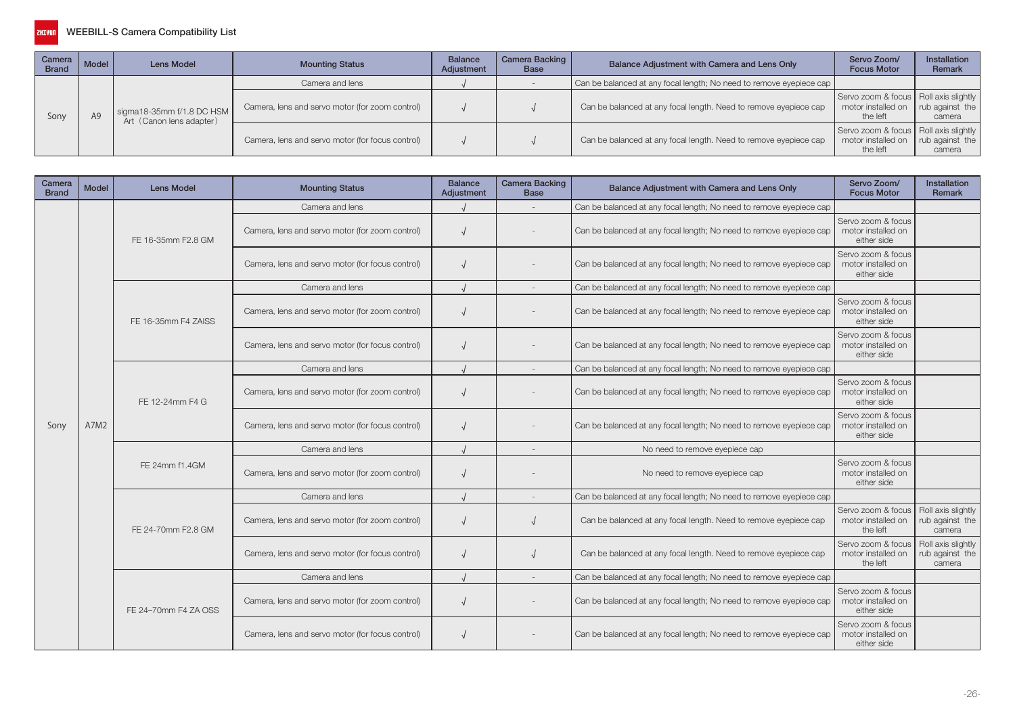

| Camera<br><b>Brand</b> | Model | Lens Model                                              | <b>Mounting Status</b>                           | <b>Balance</b><br>Adjustment | Camera Backing  <br>Base | Balance Adjustment with Camera and Lens Only                        | Servo Zoom/<br><b>Focus Motor</b>                                                                                                                          | <b>Installation</b><br>Remark |
|------------------------|-------|---------------------------------------------------------|--------------------------------------------------|------------------------------|--------------------------|---------------------------------------------------------------------|------------------------------------------------------------------------------------------------------------------------------------------------------------|-------------------------------|
|                        |       |                                                         | Camera and lens                                  |                              |                          | Can be balanced at any focal length; No need to remove eyepiece cap |                                                                                                                                                            |                               |
| Sony                   |       | sigma18-35mm $f/1.8$ DC HSM<br>Art (Canon lens adapter) | Camera, lens and servo motor (for zoom control)  |                              |                          | Can be balanced at any focal length. Need to remove eyepiece cap    | Servo zoom & focus   Roll axis slightly  <br>motor installed on<br>the left<br>Servo zoom & focus   Roll axis slightly  <br>motor installed on<br>the left | rub against the<br>camera     |
|                        |       |                                                         | Camera, lens and servo motor (for focus control) |                              |                          | Can be balanced at any focal length. Need to remove eyepiece cap    |                                                                                                                                                            | rub against the<br>camera     |

| Camera<br><b>Brand</b> | <b>Model</b> | <b>Lens Model</b>    | <b>Mounting Status</b>                           | <b>Balance</b><br>Adjustment | <b>Camera Backing</b><br><b>Base</b> | Balance Adjustment with Camera and Lens Only                        | Servo Zoom/<br><b>Focus Motor</b>                       | <b>Installation</b><br><b>Remark</b>            |
|------------------------|--------------|----------------------|--------------------------------------------------|------------------------------|--------------------------------------|---------------------------------------------------------------------|---------------------------------------------------------|-------------------------------------------------|
|                        |              |                      | Camera and lens                                  |                              |                                      | Can be balanced at any focal length; No need to remove eyepiece cap |                                                         |                                                 |
|                        |              | FE 16-35mm F2.8 GM   | Camera, lens and servo motor (for zoom control)  |                              |                                      | Can be balanced at any focal length; No need to remove eyepiece cap | Servo zoom & focus<br>motor installed on<br>either side |                                                 |
|                        |              |                      | Camera, lens and servo motor (for focus control) |                              |                                      | Can be balanced at any focal length; No need to remove eyepiece cap | Servo zoom & focus<br>motor installed on<br>either side |                                                 |
|                        |              |                      | Camera and lens                                  |                              |                                      | Can be balanced at any focal length; No need to remove eyepiece cap |                                                         |                                                 |
|                        |              | FE 16-35mm F4 ZAISS  | Camera, lens and servo motor (for zoom control)  |                              |                                      | Can be balanced at any focal length; No need to remove eyepiece cap | Servo zoom & focus<br>motor installed on<br>either side |                                                 |
|                        |              |                      | Camera, lens and servo motor (for focus control) |                              |                                      | Can be balanced at any focal length; No need to remove eyepiece cap | Servo zoom & focus<br>motor installed on<br>either side |                                                 |
|                        |              |                      | Camera and lens                                  |                              |                                      | Can be balanced at any focal length; No need to remove eyepiece cap |                                                         |                                                 |
|                        |              | FE 12-24mm F4 G      | Camera, lens and servo motor (for zoom control)  |                              |                                      | Can be balanced at any focal length; No need to remove eyepiece cap | Servo zoom & focus<br>motor installed on<br>either side |                                                 |
| Sony                   | A7M2         |                      | Camera, lens and servo motor (for focus control) |                              |                                      | Can be balanced at any focal length; No need to remove eyepiece cap | Servo zoom & focus<br>motor installed on<br>either side |                                                 |
|                        |              | FE 24mm f1.4GM       | Camera and lens                                  |                              |                                      | No need to remove eyepiece cap                                      |                                                         |                                                 |
|                        |              |                      | Camera, lens and servo motor (for zoom control)  |                              |                                      | No need to remove eyepiece cap                                      | Servo zoom & focus<br>motor installed on<br>either side |                                                 |
|                        |              |                      | Camera and lens                                  |                              |                                      | Can be balanced at any focal length; No need to remove eyepiece cap |                                                         |                                                 |
|                        |              | FE 24-70mm F2.8 GM   | Camera, lens and servo motor (for zoom control)  |                              |                                      | Can be balanced at any focal length. Need to remove eyepiece cap    | Servo zoom & focus<br>motor installed on<br>the left    | Roll axis slightly<br>rub against the<br>camera |
|                        |              |                      | Camera, lens and servo motor (for focus control) |                              |                                      | Can be balanced at any focal length. Need to remove eyepiece cap    | Servo zoom & focus<br>motor installed on<br>the left    | Roll axis slightly<br>rub against the<br>camera |
|                        |              |                      | Camera and lens                                  |                              |                                      | Can be balanced at any focal length; No need to remove eyepiece cap |                                                         |                                                 |
|                        |              | FE 24-70mm F4 ZA OSS | Camera, lens and servo motor (for zoom control)  |                              |                                      | Can be balanced at any focal length; No need to remove eyepiece cap | Servo zoom & focus<br>motor installed on<br>either side |                                                 |
|                        |              |                      | Camera, lens and servo motor (for focus control) |                              |                                      | Can be balanced at any focal length; No need to remove eyepiece cap | Servo zoom & focus<br>motor installed on<br>either side |                                                 |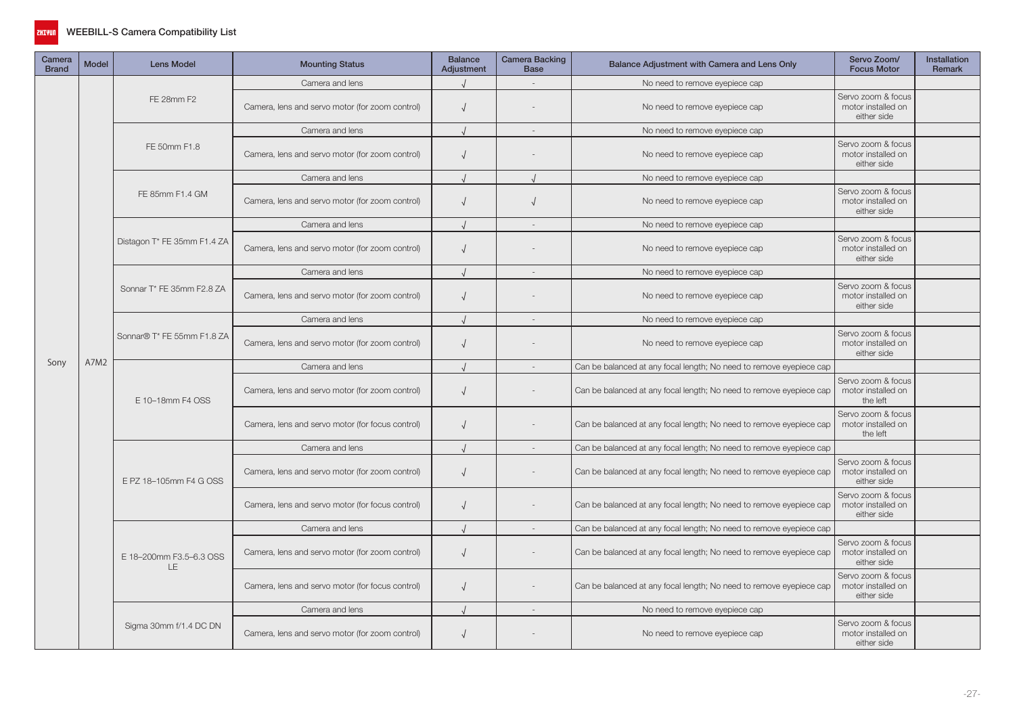

| Camera<br><b>Brand</b> | <b>Model</b> | <b>Lens Model</b>              | <b>Mounting Status</b>                           | <b>Balance</b><br>Adjustment | <b>Camera Backing</b><br><b>Base</b> | Balance Adjustment with Camera and Lens Only                        | Servo Zoom/<br><b>Focus Motor</b>                       | <b>Installation</b><br>Remark |
|------------------------|--------------|--------------------------------|--------------------------------------------------|------------------------------|--------------------------------------|---------------------------------------------------------------------|---------------------------------------------------------|-------------------------------|
|                        |              |                                | Camera and lens                                  |                              |                                      | No need to remove eyepiece cap                                      |                                                         |                               |
|                        |              | FE 28mm F2                     | Camera, lens and servo motor (for zoom control)  | $\sqrt{ }$                   |                                      | No need to remove eyepiece cap                                      | Servo zoom & focus<br>motor installed on<br>either side |                               |
|                        |              |                                | Camera and lens                                  |                              | $\sim$                               | No need to remove eyepiece cap                                      |                                                         |                               |
|                        |              | FE 50mm F1.8                   | Camera, lens and servo motor (for zoom control)  | $\sqrt{ }$                   |                                      | No need to remove eyepiece cap                                      | Servo zoom & focus<br>motor installed on<br>either side |                               |
|                        |              |                                | Camera and lens                                  |                              |                                      | No need to remove eyepiece cap                                      |                                                         |                               |
|                        |              | FE 85mm F1.4 GM                | Camera, lens and servo motor (for zoom control)  | $\sqrt{ }$                   |                                      | No need to remove eyepiece cap                                      | Servo zoom & focus<br>motor installed on<br>either side |                               |
|                        |              |                                | Camera and lens                                  |                              | $\sim$                               | No need to remove eyepiece cap                                      |                                                         |                               |
|                        |              | Distagon T* FE 35mm F1.4 ZA    | Camera, lens and servo motor (for zoom control)  | $\sqrt{ }$                   |                                      | No need to remove eyepiece cap                                      | Servo zoom & focus<br>motor installed on<br>either side |                               |
|                        |              |                                | Camera and lens                                  |                              | $\overline{\phantom{a}}$             | No need to remove eyepiece cap                                      |                                                         |                               |
|                        |              | Sonnar T* FE 35mm F2.8 ZA      | Camera, lens and servo motor (for zoom control)  | $\sqrt{ }$                   |                                      | No need to remove eyepiece cap                                      | Servo zoom & focus<br>motor installed on<br>either side |                               |
|                        |              | Sonnar® T* FE 55mm F1.8 ZA     | Camera and lens                                  |                              | $\sim$                               | No need to remove eyepiece cap                                      |                                                         |                               |
|                        |              |                                | Camera, lens and servo motor (for zoom control)  | $\sqrt{ }$                   |                                      | No need to remove eyepiece cap                                      | Servo zoom & focus<br>motor installed on<br>either side |                               |
| Sony                   | A7M2         |                                | Camera and lens                                  |                              | $\sim$                               | Can be balanced at any focal length; No need to remove eyepiece cap |                                                         |                               |
|                        |              | E 10-18mm F4 OSS               | Camera, lens and servo motor (for zoom control)  | $\sqrt{ }$                   |                                      | Can be balanced at any focal length; No need to remove eyepiece cap | Servo zoom & focus<br>motor installed on<br>the left    |                               |
|                        |              |                                | Camera, lens and servo motor (for focus control) | $\sqrt{ }$                   |                                      | Can be balanced at any focal length; No need to remove eyepiece cap | Servo zoom & focus<br>motor installed on<br>the left    |                               |
|                        |              |                                | Camera and lens                                  |                              | $\sim$                               | Can be balanced at any focal length; No need to remove eyepiece cap |                                                         |                               |
|                        |              | E PZ 18-105mm F4 G OSS         | Camera, lens and servo motor (for zoom control)  | $\sqrt{ }$                   |                                      | Can be balanced at any focal length; No need to remove eyepiece cap | Servo zoom & focus<br>motor installed on<br>either side |                               |
|                        |              |                                | Camera, lens and servo motor (for focus control) | $\sqrt{ }$                   |                                      | Can be balanced at any focal length; No need to remove eyepiece cap | Servo zoom & focus<br>motor installed on<br>either side |                               |
|                        |              |                                | Camera and lens                                  |                              |                                      | Can be balanced at any focal length; No need to remove eyepiece cap |                                                         |                               |
|                        |              | E 18-200mm F3.5-6.3 OSS<br>LE. | Camera, lens and servo motor (for zoom control)  | $\sqrt{ }$                   |                                      | Can be balanced at any focal length; No need to remove eyepiece cap | Servo zoom & focus<br>motor installed on<br>either side |                               |
|                        |              |                                | Camera, lens and servo motor (for focus control) | $\sqrt{ }$                   |                                      | Can be balanced at any focal length; No need to remove eyepiece cap | Servo zoom & focus<br>motor installed on<br>either side |                               |
|                        |              |                                | Camera and lens                                  |                              | $\sim$                               | No need to remove eyepiece cap                                      |                                                         |                               |
|                        |              | Sigma 30mm f/1.4 DC DN         | Camera, lens and servo motor (for zoom control)  | $\sqrt{ }$                   |                                      | No need to remove eyepiece cap                                      | Servo zoom & focus<br>motor installed on<br>either side |                               |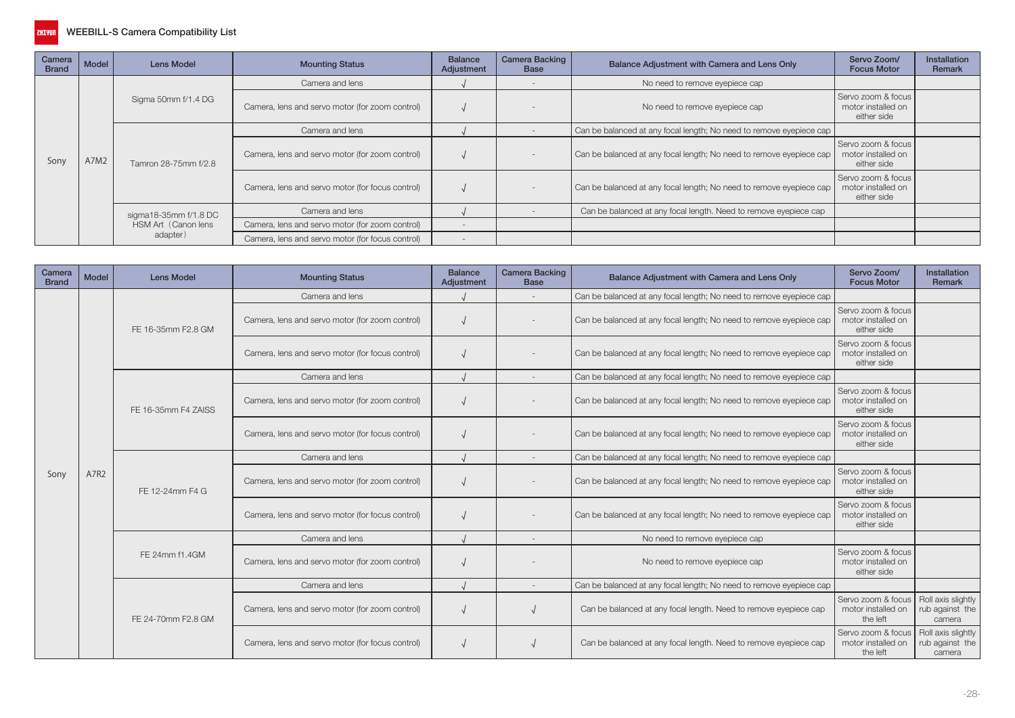

| Camera<br><b>Brand</b> | Model | <b>Lens Model</b>                            | <b>Mounting Status</b>                           | <b>Balance</b><br>Adjustment | <b>Camera Backing</b><br><b>Base</b> | Balance Adjustment with Camera and Lens Only                        | Servo Zoom/<br><b>Focus Motor</b>                       | <b>Installation</b><br><b>Remark</b> |
|------------------------|-------|----------------------------------------------|--------------------------------------------------|------------------------------|--------------------------------------|---------------------------------------------------------------------|---------------------------------------------------------|--------------------------------------|
|                        |       |                                              | Camera and lens                                  |                              |                                      | No need to remove eyepiece cap                                      |                                                         |                                      |
|                        |       | Sigma 50mm f/1.4 DG                          | Camera, lens and servo motor (for zoom control)  |                              |                                      | No need to remove eyepiece cap                                      | Servo zoom & focus<br>motor installed on<br>either side |                                      |
|                        |       |                                              | Camera and lens                                  |                              |                                      | Can be balanced at any focal length; No need to remove eyepiece cap |                                                         |                                      |
| Sony                   | A7M2  | Tamron 28-75mm f/2.8                         | Camera, lens and servo motor (for zoom control)  |                              |                                      | Can be balanced at any focal length; No need to remove eyepiece cap | Servo zoom & focus<br>motor installed on<br>either side |                                      |
|                        |       |                                              | Camera, lens and servo motor (for focus control) |                              |                                      | Can be balanced at any focal length; No need to remove eyepiece cap | Servo zoom & focus<br>motor installed on<br>either side |                                      |
|                        |       | sigma18-35mm f/1.8 DC<br>HSM Art (Canon lens | Camera and lens                                  |                              |                                      | Can be balanced at any focal length. Need to remove eyepiece cap    |                                                         |                                      |
|                        |       |                                              | Camera, lens and servo motor (for zoom control)  |                              |                                      |                                                                     |                                                         |                                      |
|                        |       | adapter)                                     | Camera, lens and servo motor (for focus control) |                              |                                      |                                                                     |                                                         |                                      |

| Camera<br><b>Brand</b> | Model | <b>Lens Model</b>   | <b>Mounting Status</b>                           | <b>Balance</b><br>Adjustment | <b>Camera Backing</b><br><b>Base</b> | Balance Adjustment with Camera and Lens Only                        | Servo Zoom/<br><b>Focus Motor</b>                                                                                  | <b>Installation</b><br>Remark                   |
|------------------------|-------|---------------------|--------------------------------------------------|------------------------------|--------------------------------------|---------------------------------------------------------------------|--------------------------------------------------------------------------------------------------------------------|-------------------------------------------------|
|                        |       |                     | Camera and lens                                  |                              |                                      | Can be balanced at any focal length; No need to remove eyepiece cap |                                                                                                                    |                                                 |
|                        |       | FE 16-35mm F2.8 GM  | Camera, lens and servo motor (for zoom control)  |                              |                                      | Can be balanced at any focal length; No need to remove eyepiece cap | Servo zoom & focus<br>motor installed on<br>either side                                                            |                                                 |
|                        |       |                     | Camera, lens and servo motor (for focus control) |                              |                                      | Can be balanced at any focal length; No need to remove eyepiece cap | Servo zoom & focus<br>motor installed on<br>either side                                                            |                                                 |
|                        |       |                     | Camera and lens                                  |                              |                                      | Can be balanced at any focal length; No need to remove eyepiece cap |                                                                                                                    |                                                 |
|                        |       | FE 16-35mm F4 ZAISS | Camera, lens and servo motor (for zoom control)  |                              |                                      | Can be balanced at any focal length; No need to remove eyepiece cap | Servo zoom & focus<br>motor installed on<br>either side                                                            |                                                 |
|                        |       |                     | Camera, lens and servo motor (for focus control) |                              |                                      | Can be balanced at any focal length; No need to remove eyepiece cap | Servo zoom & focus<br>motor installed on<br>either side                                                            |                                                 |
|                        |       |                     | Camera and lens                                  |                              |                                      | Can be balanced at any focal length; No need to remove eyepiece cap | Servo zoom & focus<br>motor installed on<br>either side<br>Servo zoom & focus<br>motor installed on<br>either side |                                                 |
| Sony                   | A7R2  | FE 12-24mm F4 G     | Camera, lens and servo motor (for zoom control)  |                              |                                      | Can be balanced at any focal length; No need to remove eyepiece cap |                                                                                                                    |                                                 |
|                        |       |                     | Camera, lens and servo motor (for focus control) |                              |                                      | Can be balanced at any focal length; No need to remove eyepiece cap |                                                                                                                    |                                                 |
|                        |       |                     | Camera and lens                                  |                              | $\overline{a}$                       | No need to remove eyepiece cap                                      |                                                                                                                    |                                                 |
|                        |       | FE 24mm f1.4GM      | Camera, lens and servo motor (for zoom control)  |                              |                                      | No need to remove eyepiece cap                                      | Servo zoom & focus<br>motor installed on<br>either side                                                            |                                                 |
|                        |       |                     | Camera and lens                                  |                              |                                      | Can be balanced at any focal length; No need to remove eyepiece cap |                                                                                                                    |                                                 |
|                        |       | FE 24-70mm F2.8 GM  | Camera, lens and servo motor (for zoom control)  |                              |                                      | Can be balanced at any focal length. Need to remove eyepiece cap    | Servo zoom & focus<br>motor installed on<br>the left                                                               | Roll axis slightly<br>rub against the<br>camera |
|                        |       |                     | Camera, lens and servo motor (for focus control) |                              |                                      | Can be balanced at any focal length. Need to remove eyepiece cap    | Servo zoom & focus<br>motor installed on<br>the left                                                               | Roll axis slightly<br>rub against the<br>camera |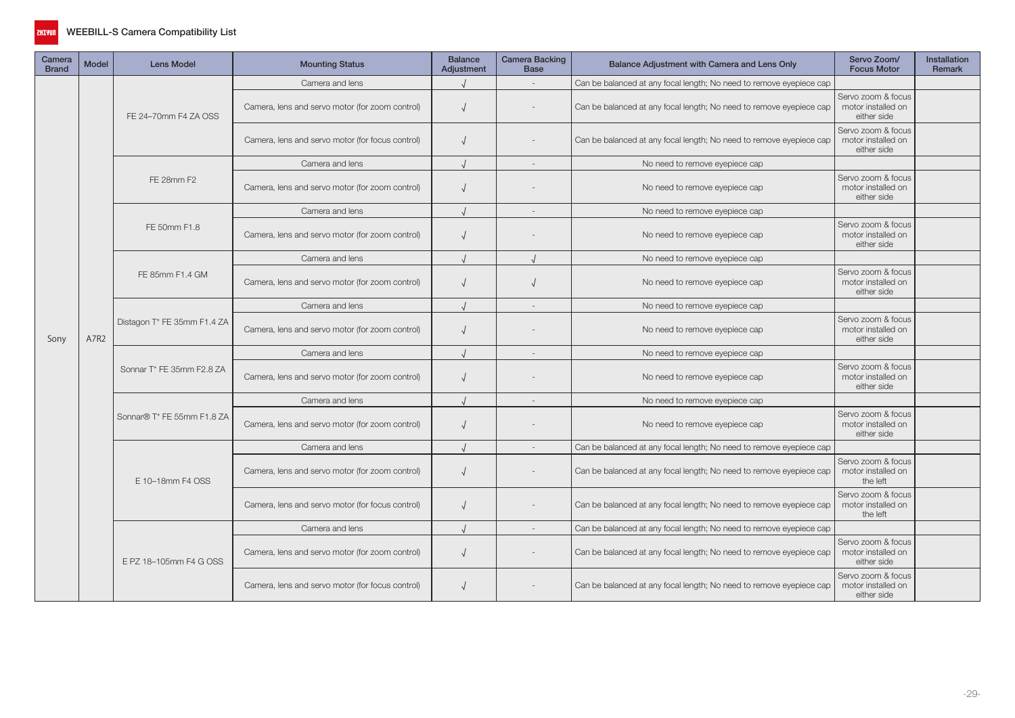

| Camera<br><b>Brand</b> | <b>Model</b> | <b>Lens Model</b>           | <b>Mounting Status</b>                           | <b>Balance</b><br>Adjustment | Camera Backing<br><b>Base</b> | Balance Adjustment with Camera and Lens Only                        | Servo Zoom/<br><b>Focus Motor</b>                                                                                                                                             | Installation<br><b>Remark</b> |
|------------------------|--------------|-----------------------------|--------------------------------------------------|------------------------------|-------------------------------|---------------------------------------------------------------------|-------------------------------------------------------------------------------------------------------------------------------------------------------------------------------|-------------------------------|
| Sony                   |              |                             | Camera and lens                                  |                              |                               | Can be balanced at any focal length; No need to remove eyepiece cap |                                                                                                                                                                               |                               |
|                        |              | FE 24-70mm F4 ZA OSS        | Camera, lens and servo motor (for zoom control)  | $\sqrt{ }$                   |                               | Can be balanced at any focal length; No need to remove eyepiece cap | Servo zoom & focus<br>motor installed on<br>either side                                                                                                                       |                               |
|                        |              |                             | Camera, lens and servo motor (for focus control) | $\sqrt{ }$                   |                               | Can be balanced at any focal length; No need to remove eyepiece cap | Servo zoom & focus<br>motor installed on<br>either side                                                                                                                       |                               |
|                        |              |                             | Camera and lens                                  |                              |                               | No need to remove eyepiece cap                                      |                                                                                                                                                                               |                               |
|                        | A7R2         | FE 28mm F2                  | Camera, lens and servo motor (for zoom control)  | $\sqrt{ }$                   |                               | No need to remove eyepiece cap                                      | Servo zoom & focus<br>motor installed on<br>either side                                                                                                                       |                               |
|                        |              |                             | Camera and lens                                  |                              |                               | No need to remove eyepiece cap                                      |                                                                                                                                                                               |                               |
|                        |              | FE 50mm F1.8                | Camera, lens and servo motor (for zoom control)  | $\sqrt{ }$                   |                               | No need to remove eyepiece cap                                      | Servo zoom & focus<br>motor installed on<br>either side                                                                                                                       |                               |
|                        |              |                             | Camera and lens                                  |                              |                               | No need to remove eyepiece cap                                      | Servo zoom & focus<br>motor installed on<br>either side<br>Servo zoom & focus<br>motor installed on<br>either side<br>Servo zoom & focus<br>motor installed on<br>either side |                               |
|                        |              | FE 85mm F1.4 GM             | Camera, lens and servo motor (for zoom control)  |                              |                               | No need to remove eyepiece cap                                      |                                                                                                                                                                               |                               |
|                        |              | Distagon T* FE 35mm F1.4 ZA | Camera and lens                                  |                              |                               | No need to remove eyepiece cap                                      |                                                                                                                                                                               |                               |
|                        |              |                             | Camera, lens and servo motor (for zoom control)  | $\sqrt{ }$                   |                               | No need to remove eyepiece cap                                      |                                                                                                                                                                               |                               |
|                        |              |                             | Camera and lens                                  |                              |                               | No need to remove eyepiece cap                                      |                                                                                                                                                                               |                               |
|                        |              | Sonnar T* FE 35mm F2.8 ZA   | Camera, lens and servo motor (for zoom control)  | $\sqrt{ }$                   |                               | No need to remove eyepiece cap                                      |                                                                                                                                                                               |                               |
|                        |              |                             | Camera and lens                                  |                              | $\sim$                        | No need to remove eyepiece cap                                      |                                                                                                                                                                               |                               |
|                        |              | Sonnar® T* FE 55mm F1.8 ZA  | Camera, lens and servo motor (for zoom control)  | $\sqrt{2}$                   |                               | No need to remove eyepiece cap                                      | Servo zoom & focus<br>motor installed on<br>either side                                                                                                                       |                               |
|                        |              |                             | Camera and lens                                  |                              |                               | Can be balanced at any focal length; No need to remove eyepiece cap |                                                                                                                                                                               |                               |
|                        |              | E 10-18mm F4 OSS            | Camera, lens and servo motor (for zoom control)  | $\sqrt{ }$                   |                               | Can be balanced at any focal length; No need to remove eyepiece cap | Servo zoom & focus<br>motor installed on<br>the left                                                                                                                          |                               |
|                        |              |                             | Camera, lens and servo motor (for focus control) | $\sqrt{2}$                   |                               | Can be balanced at any focal length; No need to remove eyepiece cap | Servo zoom & focus<br>motor installed on<br>the left                                                                                                                          |                               |
|                        |              |                             | Camera and lens                                  |                              |                               | Can be balanced at any focal length; No need to remove eyepiece cap |                                                                                                                                                                               |                               |
|                        |              | E PZ 18-105mm F4 G OSS      | Camera, lens and servo motor (for zoom control)  | $\sqrt{ }$                   |                               | Can be balanced at any focal length; No need to remove eyepiece cap | Servo zoom & focus<br>motor installed on<br>either side                                                                                                                       |                               |
|                        |              |                             | Camera, lens and servo motor (for focus control) | $\sqrt{ }$                   |                               | Can be balanced at any focal length; No need to remove eyepiece cap | Servo zoom & focus<br>motor installed on<br>either side                                                                                                                       |                               |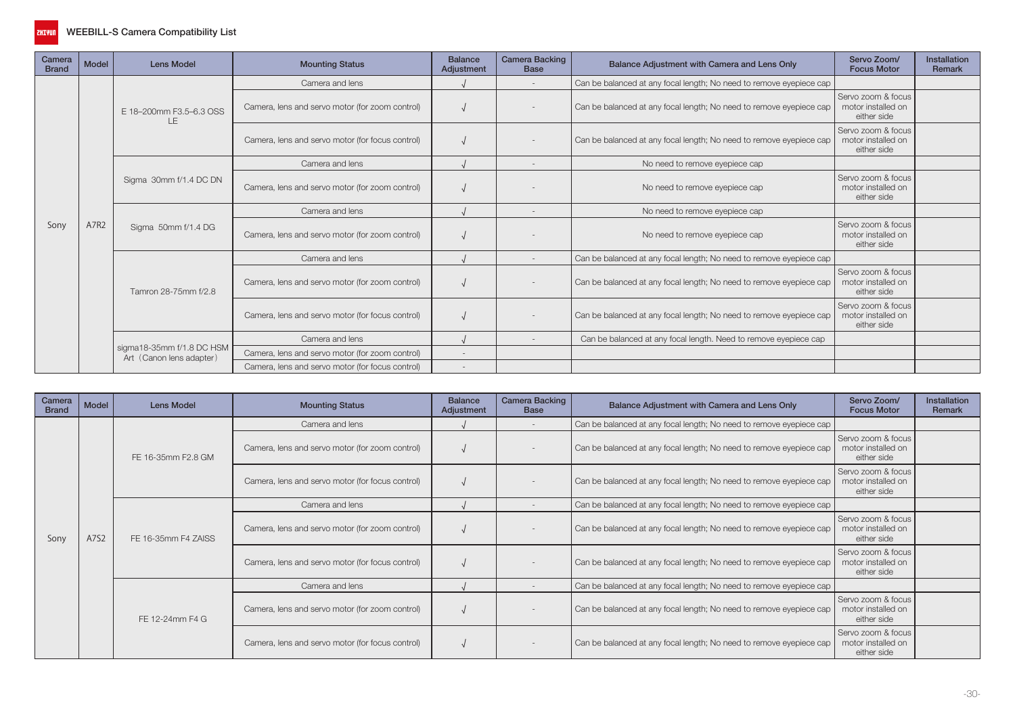

| Camera<br><b>Brand</b> | <b>Model</b> | <b>Lens Model</b>                                     | <b>Mounting Status</b>                           | <b>Balance</b><br>Adjustment | <b>Camera Backing</b><br><b>Base</b> | Balance Adjustment with Camera and Lens Only                        | Servo Zoom/<br><b>Focus Motor</b>                                                                                  | Installation<br>Remark |
|------------------------|--------------|-------------------------------------------------------|--------------------------------------------------|------------------------------|--------------------------------------|---------------------------------------------------------------------|--------------------------------------------------------------------------------------------------------------------|------------------------|
|                        |              |                                                       | Camera and lens                                  |                              |                                      | Can be balanced at any focal length; No need to remove eyepiece cap |                                                                                                                    |                        |
|                        |              | E 18-200mm F3.5-6.3 OSS<br>ΙF                         | Camera, lens and servo motor (for zoom control)  |                              |                                      | Can be balanced at any focal length; No need to remove eyepiece cap | Servo zoom & focus<br>motor installed on<br>either side                                                            |                        |
|                        |              |                                                       | Camera, lens and servo motor (for focus control) |                              |                                      | Can be balanced at any focal length; No need to remove eyepiece cap | Servo zoom & focus<br>motor installed on<br>either side                                                            |                        |
|                        |              |                                                       | Camera and lens                                  |                              |                                      | No need to remove eyepiece cap                                      | Servo zoom & focus<br>motor installed on<br>either side<br>Servo zoom & focus<br>motor installed on<br>either side |                        |
|                        |              | Sigma 30mm f/1.4 DC DN                                | Camera, lens and servo motor (for zoom control)  |                              |                                      | No need to remove eyepiece cap                                      |                                                                                                                    |                        |
|                        |              | Sigma 50mm f/1.4 DG                                   | Camera and lens                                  |                              |                                      | No need to remove eyepiece cap                                      |                                                                                                                    |                        |
| Sony                   | A7R2         |                                                       | Camera, lens and servo motor (for zoom control)  |                              |                                      | No need to remove eyepiece cap                                      |                                                                                                                    |                        |
|                        |              |                                                       | Camera and lens                                  |                              |                                      | Can be balanced at any focal length; No need to remove eyepiece cap |                                                                                                                    |                        |
|                        |              | Tamron 28-75mm f/2.8                                  | Camera, lens and servo motor (for zoom control)  |                              |                                      | Can be balanced at any focal length; No need to remove eyepiece cap | Servo zoom & focus<br>motor installed on<br>either side                                                            |                        |
|                        |              |                                                       | Camera, lens and servo motor (for focus control) |                              |                                      | Can be balanced at any focal length; No need to remove eyepiece cap | Servo zoom & focus<br>motor installed on<br>either side                                                            |                        |
|                        |              |                                                       | Camera and lens                                  |                              |                                      | Can be balanced at any focal length. Need to remove eyepiece cap    |                                                                                                                    |                        |
|                        |              | sigma18-35mm f/1.8 DC HSM<br>Art (Canon lens adapter) | Camera, lens and servo motor (for zoom control)  | $\overline{\phantom{a}}$     |                                      |                                                                     |                                                                                                                    |                        |
|                        |              |                                                       | Camera, lens and servo motor (for focus control) |                              |                                      |                                                                     |                                                                                                                    |                        |

| Camera<br><b>Brand</b> | Model | Lens Model          | <b>Mounting Status</b>                           | <b>Balance</b><br>Adjustment | <b>Camera Backing</b><br><b>Base</b> | Balance Adjustment with Camera and Lens Only                        | Servo Zoom/<br><b>Focus Motor</b>                       | <b>Installation</b><br>Remark |
|------------------------|-------|---------------------|--------------------------------------------------|------------------------------|--------------------------------------|---------------------------------------------------------------------|---------------------------------------------------------|-------------------------------|
|                        |       |                     | Camera and lens                                  |                              |                                      | Can be balanced at any focal length; No need to remove eyepiece cap |                                                         |                               |
|                        |       | FE 16-35mm F2.8 GM  | Camera, lens and servo motor (for zoom control)  |                              |                                      | Can be balanced at any focal length; No need to remove eyepiece cap | Servo zoom & focus<br>motor installed on<br>either side |                               |
|                        |       |                     | Camera, lens and servo motor (for focus control) |                              |                                      | Can be balanced at any focal length; No need to remove eyepiece cap | Servo zoom & focus<br>motor installed on<br>either side |                               |
|                        |       |                     | Camera and lens                                  |                              |                                      | Can be balanced at any focal length; No need to remove eyepiece cap |                                                         |                               |
| Sony                   | A7S2  | FE 16-35mm F4 ZAISS | Camera, lens and servo motor (for zoom control)  |                              |                                      | Can be balanced at any focal length; No need to remove eyepiece cap | Servo zoom & focus<br>motor installed on<br>either side |                               |
|                        |       |                     | Camera, lens and servo motor (for focus control) |                              |                                      | Can be balanced at any focal length; No need to remove eyepiece cap | Servo zoom & focus<br>motor installed on<br>either side |                               |
|                        |       |                     | Camera and lens                                  |                              |                                      | Can be balanced at any focal length; No need to remove eyepiece cap |                                                         |                               |
|                        |       | FE 12-24mm F4 G     | Camera, lens and servo motor (for zoom control)  |                              |                                      | Can be balanced at any focal length; No need to remove eyepiece cap | Servo zoom & focus<br>motor installed on<br>either side |                               |
|                        |       |                     | Camera, lens and servo motor (for focus control) |                              |                                      | Can be balanced at any focal length; No need to remove eyepiece cap | Servo zoom & focus<br>motor installed on<br>either side |                               |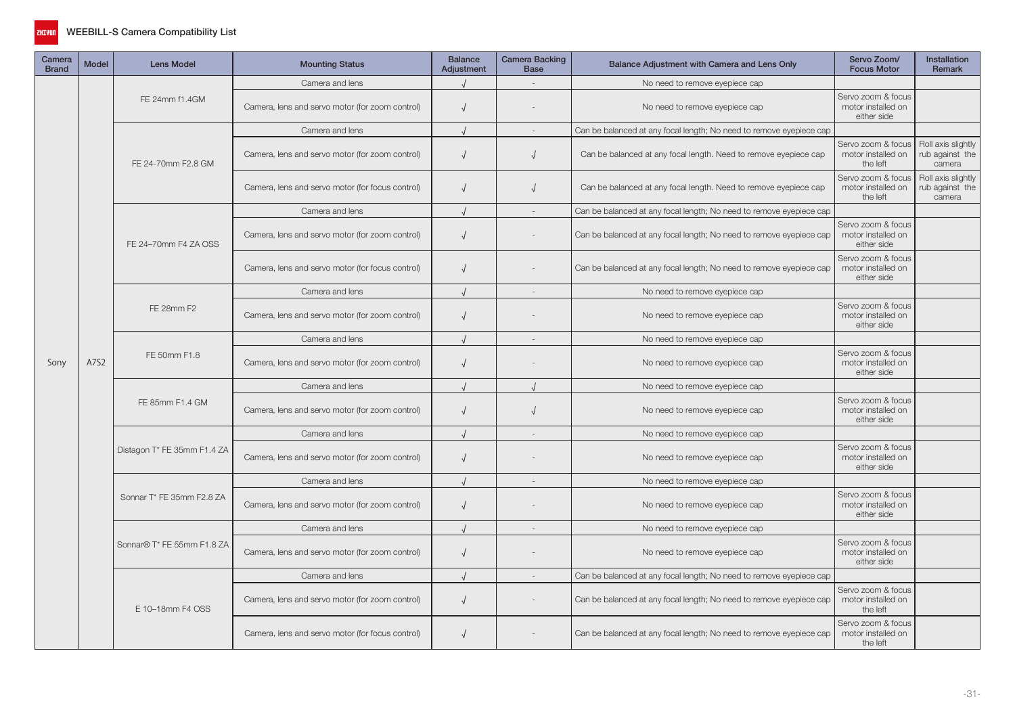

| Camera<br><b>Brand</b> | <b>Model</b> | <b>Lens Model</b>           | <b>Mounting Status</b>                           | <b>Balance</b><br>Adjustment | Camera Backing<br><b>Base</b> | Balance Adjustment with Camera and Lens Only                        | Servo Zoom/<br><b>Focus Motor</b>                                                                                                                              | Installation<br>Remark                          |
|------------------------|--------------|-----------------------------|--------------------------------------------------|------------------------------|-------------------------------|---------------------------------------------------------------------|----------------------------------------------------------------------------------------------------------------------------------------------------------------|-------------------------------------------------|
|                        |              |                             | Camera and lens                                  |                              |                               | No need to remove eyepiece cap                                      |                                                                                                                                                                |                                                 |
|                        |              | FE 24mm f1.4GM              | Camera, lens and servo motor (for zoom control)  | $\sqrt{2}$                   |                               | No need to remove eyepiece cap                                      | Servo zoom & focus<br>motor installed on<br>either side                                                                                                        |                                                 |
|                        | A7S2         |                             | Camera and lens                                  |                              |                               | Can be balanced at any focal length; No need to remove eyepiece cap |                                                                                                                                                                |                                                 |
|                        |              | FE 24-70mm F2.8 GM          | Camera, lens and servo motor (for zoom control)  | $\sqrt{ }$                   | $\sqrt{ }$                    | Can be balanced at any focal length. Need to remove eyepiece cap    | Servo zoom & focus<br>motor installed on<br>the left                                                                                                           | Roll axis slightly<br>rub against the<br>camera |
|                        |              |                             | Camera, lens and servo motor (for focus control) | $\sqrt{ }$                   | $\sqrt{ }$                    | Can be balanced at any focal length. Need to remove eyepiece cap    | Servo zoom & focus<br>motor installed on<br>the left                                                                                                           | Roll axis slightly<br>rub against the<br>camera |
|                        |              |                             | Camera and lens                                  |                              |                               | Can be balanced at any focal length; No need to remove eyepiece cap |                                                                                                                                                                |                                                 |
|                        |              | FE 24-70mm F4 ZA OSS        | Camera, lens and servo motor (for zoom control)  | $\sqrt{ }$                   |                               | Can be balanced at any focal length; No need to remove eyepiece cap | Servo zoom & focus<br>motor installed on<br>either side                                                                                                        |                                                 |
|                        |              |                             | Camera, lens and servo motor (for focus control) | $\sqrt{ }$                   |                               | Can be balanced at any focal length; No need to remove eyepiece cap | Servo zoom & focus<br>motor installed on<br>either side                                                                                                        |                                                 |
|                        |              |                             | Camera and lens                                  |                              |                               | No need to remove eyepiece cap                                      |                                                                                                                                                                |                                                 |
|                        |              | FE 28mm F2                  | Camera, lens and servo motor (for zoom control)  | $\sqrt{ }$                   |                               | No need to remove eyepiece cap                                      | Servo zoom & focus<br>motor installed on<br>either side                                                                                                        |                                                 |
|                        |              |                             | Camera and lens                                  |                              | $\sim$                        | No need to remove eyepiece cap                                      | Servo zoom & focus<br>motor installed on<br>either side<br>Servo zoom & focus<br>motor installed on<br>either side<br>Servo zoom & focus<br>motor installed on |                                                 |
| Sony                   |              | FE 50mm F1.8                | Camera, lens and servo motor (for zoom control)  | $\sqrt{ }$                   |                               | No need to remove eyepiece cap                                      |                                                                                                                                                                |                                                 |
|                        |              |                             | Camera and lens                                  |                              |                               | No need to remove eyepiece cap                                      |                                                                                                                                                                |                                                 |
|                        |              | FE 85mm F1.4 GM             | Camera, lens and servo motor (for zoom control)  | $\sqrt{ }$                   | $\sqrt{ }$                    | No need to remove eyepiece cap                                      |                                                                                                                                                                |                                                 |
|                        |              |                             | Camera and lens                                  | $\cdot$                      | $\sim$                        | No need to remove eyepiece cap                                      |                                                                                                                                                                |                                                 |
|                        |              | Distagon T* FE 35mm F1.4 ZA | Camera, lens and servo motor (for zoom control)  | $\sqrt{2}$                   |                               | No need to remove eyepiece cap                                      | either side                                                                                                                                                    |                                                 |
|                        |              |                             | Camera and lens                                  |                              | $\sim$                        | No need to remove eyepiece cap                                      |                                                                                                                                                                |                                                 |
|                        |              | Sonnar T* FE 35mm F2.8 ZA   | Camera, lens and servo motor (for zoom control)  | $\sqrt{ }$                   |                               | No need to remove eyepiece cap                                      | Servo zoom & focus<br>motor installed on<br>either side                                                                                                        |                                                 |
|                        |              |                             | Camera and lens                                  |                              | $\sim$                        | No need to remove eyepiece cap                                      |                                                                                                                                                                |                                                 |
|                        |              | Sonnar® T* FE 55mm F1.8 ZA  | Camera, lens and servo motor (for zoom control)  | $\sqrt{ }$                   |                               | No need to remove eyepiece cap                                      | Servo zoom & focus<br>motor installed on<br>either side                                                                                                        |                                                 |
|                        |              |                             | Camera and lens                                  |                              | $\sim$                        | Can be balanced at any focal length; No need to remove eyepiece cap |                                                                                                                                                                |                                                 |
|                        |              | E 10-18mm F4 OSS            | Camera, lens and servo motor (for zoom control)  | $\sqrt{ }$                   |                               | Can be balanced at any focal length; No need to remove eyepiece cap | Servo zoom & focus<br>motor installed on<br>the left                                                                                                           |                                                 |
|                        |              |                             | Camera, lens and servo motor (for focus control) | $\sqrt{2}$                   |                               | Can be balanced at any focal length; No need to remove eyepiece cap | Servo zoom & focus<br>motor installed on<br>the left                                                                                                           |                                                 |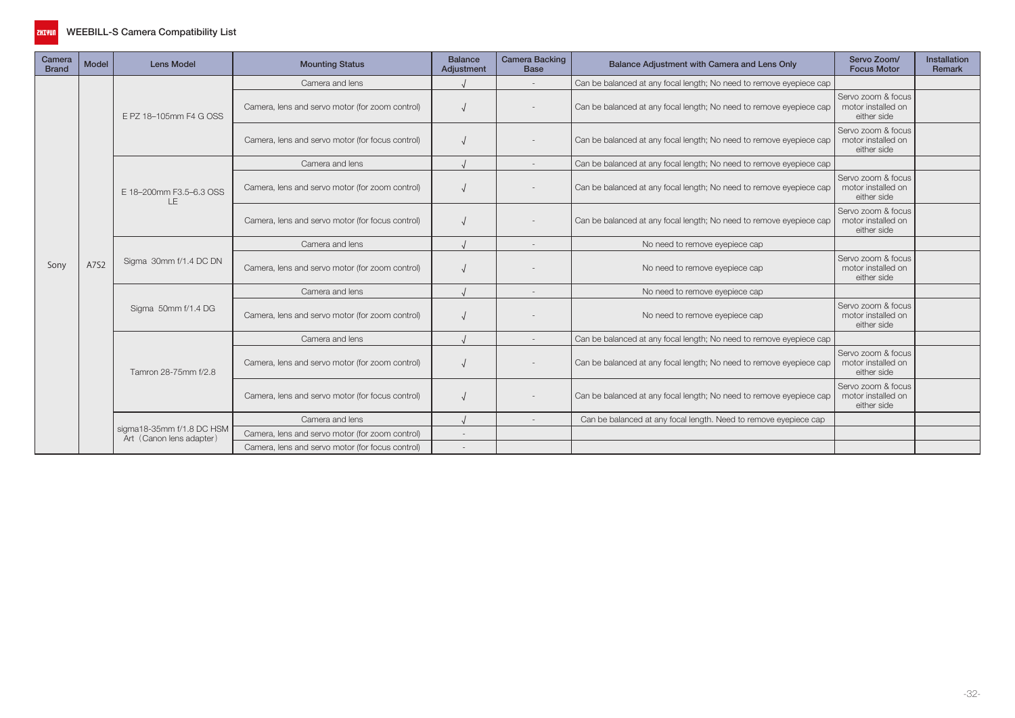

| Camera<br><b>Brand</b> | Model | <b>Lens Model</b>              | <b>Mounting Status</b>                           | <b>Balance</b><br>Adjustment | <b>Camera Backing</b><br><b>Base</b> | Balance Adjustment with Camera and Lens Only                        | Servo Zoom/<br><b>Focus Motor</b>                       | Installation<br>Remark |
|------------------------|-------|--------------------------------|--------------------------------------------------|------------------------------|--------------------------------------|---------------------------------------------------------------------|---------------------------------------------------------|------------------------|
|                        |       |                                | Camera and lens                                  |                              |                                      | Can be balanced at any focal length; No need to remove eyepiece cap |                                                         |                        |
|                        |       | E PZ 18-105mm F4 G OSS         | Camera, lens and servo motor (for zoom control)  |                              |                                      | Can be balanced at any focal length; No need to remove eyepiece cap | Servo zoom & focus<br>motor installed on<br>either side |                        |
|                        | A7S2  |                                | Camera, lens and servo motor (for focus control) |                              |                                      | Can be balanced at any focal length; No need to remove eyepiece cap | Servo zoom & focus<br>motor installed on<br>either side |                        |
|                        |       |                                | Camera and lens                                  |                              |                                      | Can be balanced at any focal length; No need to remove eyepiece cap |                                                         |                        |
|                        |       | E 18-200mm F3.5-6.3 OSS<br>LE. | Camera, lens and servo motor (for zoom control)  |                              |                                      | Can be balanced at any focal length; No need to remove eyepiece cap | Servo zoom & focus<br>motor installed on<br>either side |                        |
|                        |       |                                | Camera, lens and servo motor (for focus control) |                              |                                      | Can be balanced at any focal length; No need to remove eyepiece cap | Servo zoom & focus<br>motor installed on<br>either side |                        |
|                        |       | Sigma 30mm f/1.4 DC DN         | Camera and lens                                  |                              |                                      | No need to remove eyepiece cap                                      |                                                         |                        |
| Sony                   |       |                                | Camera, lens and servo motor (for zoom control)  |                              |                                      | No need to remove eyepiece cap                                      | Servo zoom & focus<br>motor installed on<br>either side |                        |
|                        |       |                                | Camera and lens                                  |                              |                                      | No need to remove eyepiece cap                                      |                                                         |                        |
|                        |       | Sigma 50mm f/1.4 DG            | Camera, lens and servo motor (for zoom control)  |                              |                                      | No need to remove eyepiece cap                                      | Servo zoom & focus<br>motor installed on<br>either side |                        |
|                        |       |                                | Camera and lens                                  |                              |                                      | Can be balanced at any focal length; No need to remove eyepiece cap |                                                         |                        |
|                        |       | Tamron 28-75mm f/2.8           | Camera, lens and servo motor (for zoom control)  |                              |                                      | Can be balanced at any focal length; No need to remove eyepiece cap | Servo zoom & focus<br>motor installed on<br>either side |                        |
|                        |       |                                | Camera, lens and servo motor (for focus control) |                              |                                      | Can be balanced at any focal length; No need to remove eyepiece cap | Servo zoom & focus<br>motor installed on<br>either side |                        |
|                        |       |                                | Camera and lens                                  |                              |                                      | Can be balanced at any focal length. Need to remove eyepiece cap    |                                                         |                        |
|                        |       | sigma18-35mm f/1.8 DC HSM      | Camera, lens and servo motor (for zoom control)  |                              |                                      |                                                                     |                                                         |                        |
|                        |       | Art (Canon lens adapter)       | Camera, lens and servo motor (for focus control) |                              |                                      |                                                                     |                                                         |                        |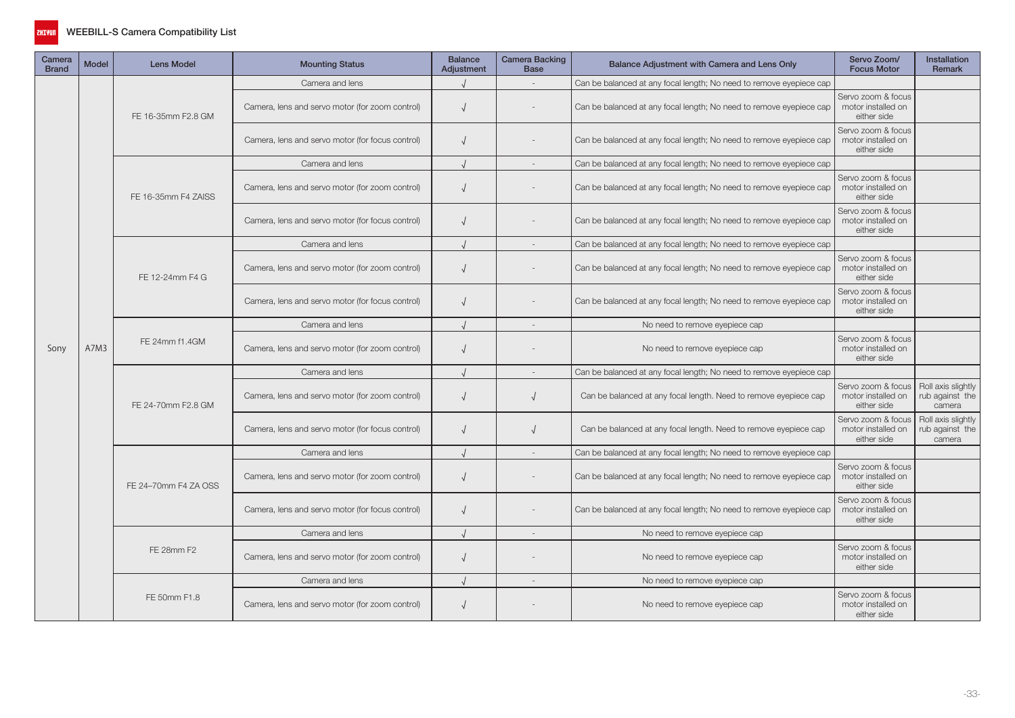

| Camera<br><b>Brand</b> | <b>Model</b> | <b>Lens Model</b>    | <b>Mounting Status</b>                           | <b>Balance</b><br>Adjustment | <b>Camera Backing</b><br><b>Base</b> | Balance Adjustment with Camera and Lens Only                        | Servo Zoom/<br><b>Focus Motor</b>                       | <b>Installation</b><br><b>Remark</b>                                                               |
|------------------------|--------------|----------------------|--------------------------------------------------|------------------------------|--------------------------------------|---------------------------------------------------------------------|---------------------------------------------------------|----------------------------------------------------------------------------------------------------|
|                        |              |                      | Camera and lens                                  |                              |                                      | Can be balanced at any focal length; No need to remove eyepiece cap |                                                         |                                                                                                    |
|                        |              | FE 16-35mm F2.8 GM   | Camera, lens and servo motor (for zoom control)  | $\sqrt{ }$                   |                                      | Can be balanced at any focal length; No need to remove eyepiece cap | Servo zoom & focus<br>motor installed on<br>either side |                                                                                                    |
|                        |              |                      | Camera, lens and servo motor (for focus control) | $\sqrt{ }$                   |                                      | Can be balanced at any focal length; No need to remove eyepiece cap | Servo zoom & focus<br>motor installed on<br>either side |                                                                                                    |
|                        |              |                      | Camera and lens                                  |                              | $\sim$                               | Can be balanced at any focal length; No need to remove eyepiece cap |                                                         |                                                                                                    |
|                        |              | FE 16-35mm F4 ZAISS  | Camera, lens and servo motor (for zoom control)  | $\sqrt{ }$                   |                                      | Can be balanced at any focal length; No need to remove eyepiece cap | Servo zoom & focus<br>motor installed on<br>either side | Roll axis slightly<br>rub against the<br>camera<br>Roll axis slightly<br>rub against the<br>camera |
|                        |              |                      | Camera, lens and servo motor (for focus control) |                              |                                      | Can be balanced at any focal length; No need to remove eyepiece cap | Servo zoom & focus<br>motor installed on<br>either side |                                                                                                    |
|                        |              |                      | Camera and lens                                  |                              | $\sim$                               | Can be balanced at any focal length; No need to remove eyepiece cap |                                                         |                                                                                                    |
|                        |              | FE 12-24mm F4 G      | Camera, lens and servo motor (for zoom control)  |                              |                                      | Can be balanced at any focal length; No need to remove eyepiece cap | Servo zoom & focus<br>motor installed on<br>either side |                                                                                                    |
|                        | A7M3         |                      | Camera, lens and servo motor (for focus control) | $\sqrt{ }$                   |                                      | Can be balanced at any focal length; No need to remove eyepiece cap | Servo zoom & focus<br>motor installed on<br>either side |                                                                                                    |
|                        |              |                      | Camera and lens                                  |                              |                                      | No need to remove eyepiece cap                                      |                                                         |                                                                                                    |
| Sony                   |              | FE 24mm f1.4GM       | Camera, lens and servo motor (for zoom control)  | $\sqrt{ }$                   |                                      | No need to remove eyepiece cap                                      | Servo zoom & focus<br>motor installed on<br>either side |                                                                                                    |
|                        |              |                      | Camera and lens                                  |                              |                                      | Can be balanced at any focal length; No need to remove eyepiece cap |                                                         |                                                                                                    |
|                        |              | FE 24-70mm F2.8 GM   | Camera, lens and servo motor (for zoom control)  |                              |                                      | Can be balanced at any focal length. Need to remove eyepiece cap    | Servo zoom & focus<br>motor installed on<br>either side |                                                                                                    |
|                        |              |                      | Camera, lens and servo motor (for focus control) |                              |                                      | Can be balanced at any focal length. Need to remove eyepiece cap    | Servo zoom & focus<br>motor installed on<br>either side |                                                                                                    |
|                        |              |                      | Camera and lens                                  |                              | $\sim$                               | Can be balanced at any focal length; No need to remove eyepiece cap |                                                         |                                                                                                    |
|                        |              | FE 24-70mm F4 ZA OSS | Camera, lens and servo motor (for zoom control)  | $\sqrt{ }$                   |                                      | Can be balanced at any focal length; No need to remove eyepiece cap | Servo zoom & focus<br>motor installed on<br>either side |                                                                                                    |
|                        |              |                      | Camera, lens and servo motor (for focus control) | $\sqrt{ }$                   |                                      | Can be balanced at any focal length; No need to remove eyepiece cap | Servo zoom & focus<br>motor installed on<br>either side |                                                                                                    |
|                        |              |                      | Camera and lens                                  |                              |                                      | No need to remove eyepiece cap                                      |                                                         |                                                                                                    |
|                        |              | FE 28mm F2           | Camera, lens and servo motor (for zoom control)  | $\sqrt{ }$                   |                                      | No need to remove eyepiece cap                                      | Servo zoom & focus<br>motor installed on<br>either side |                                                                                                    |
|                        |              |                      | Camera and lens                                  |                              | $\sim$                               | No need to remove eyepiece cap                                      |                                                         |                                                                                                    |
|                        |              | FE 50mm F1.8         | Camera, lens and servo motor (for zoom control)  |                              |                                      | No need to remove eyepiece cap                                      | Servo zoom & focus<br>motor installed on<br>either side |                                                                                                    |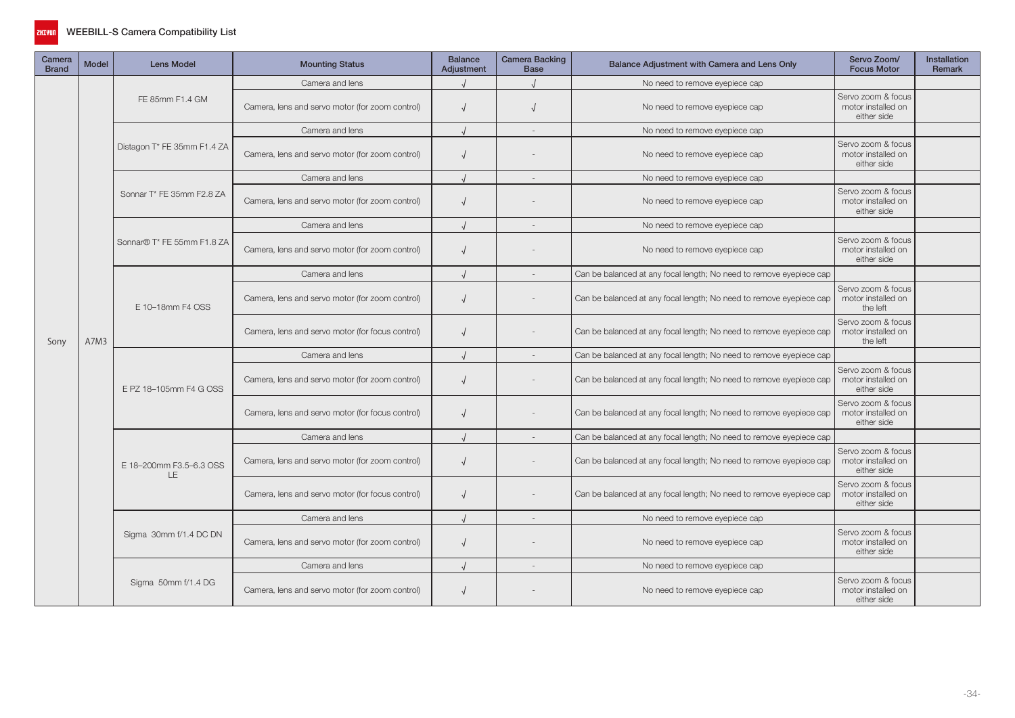

| Camera<br><b>Brand</b> | <b>Model</b> | <b>Lens Model</b>                    | <b>Mounting Status</b>                                                                                                                                                                                                                                                                                                                                                                                                                                                                                                                                                                                                                                                                                       | <b>Balance</b><br>Adjustment                            | Camera Backing<br><b>Base</b> | Balance Adjustment with Camera and Lens Only                        | Servo Zoom/<br><b>Focus Motor</b>                       | <b>Installation</b><br><b>Remark</b> |
|------------------------|--------------|--------------------------------------|--------------------------------------------------------------------------------------------------------------------------------------------------------------------------------------------------------------------------------------------------------------------------------------------------------------------------------------------------------------------------------------------------------------------------------------------------------------------------------------------------------------------------------------------------------------------------------------------------------------------------------------------------------------------------------------------------------------|---------------------------------------------------------|-------------------------------|---------------------------------------------------------------------|---------------------------------------------------------|--------------------------------------|
|                        |              |                                      | Camera and lens                                                                                                                                                                                                                                                                                                                                                                                                                                                                                                                                                                                                                                                                                              |                                                         |                               | No need to remove eyepiece cap                                      |                                                         |                                      |
|                        |              | FE 85mm F1.4 GM                      | Camera, lens and servo motor (for zoom control)                                                                                                                                                                                                                                                                                                                                                                                                                                                                                                                                                                                                                                                              |                                                         |                               | No need to remove eyepiece cap                                      | Servo zoom & focus<br>motor installed on<br>either side |                                      |
|                        |              |                                      | Camera and lens                                                                                                                                                                                                                                                                                                                                                                                                                                                                                                                                                                                                                                                                                              |                                                         | $\sim$                        | No need to remove eyepiece cap                                      |                                                         |                                      |
|                        |              | Distagon T* FE 35mm F1.4 ZA          | Camera, lens and servo motor (for zoom control)                                                                                                                                                                                                                                                                                                                                                                                                                                                                                                                                                                                                                                                              | $\sqrt{2}$                                              |                               | No need to remove eyepiece cap                                      | Servo zoom & focus<br>motor installed on<br>either side |                                      |
|                        |              |                                      | Camera and lens                                                                                                                                                                                                                                                                                                                                                                                                                                                                                                                                                                                                                                                                                              |                                                         |                               | No need to remove eyepiece cap                                      |                                                         |                                      |
|                        |              | Sonnar T* FE 35mm F2.8 ZA            | Camera, lens and servo motor (for zoom control)                                                                                                                                                                                                                                                                                                                                                                                                                                                                                                                                                                                                                                                              | $\sqrt{ }$                                              |                               | No need to remove eyepiece cap                                      | Servo zoom & focus<br>motor installed on<br>either side |                                      |
|                        |              |                                      | Camera and lens                                                                                                                                                                                                                                                                                                                                                                                                                                                                                                                                                                                                                                                                                              |                                                         | $\sim$                        | No need to remove eyepiece cap                                      |                                                         |                                      |
|                        |              | Sonnar® T* FE 55mm F1.8 ZA           | Camera, lens and servo motor (for zoom control)<br>$\sqrt{ }$<br>No need to remove eyepiece cap<br>Camera and lens<br>Can be balanced at any focal length; No need to remove eyepiece cap<br>Camera, lens and servo motor (for zoom control)<br>Can be balanced at any focal length; No need to remove eyepiece cap<br>$\sqrt{ }$<br>Camera, lens and servo motor (for focus control)<br>Can be balanced at any focal length; No need to remove eyepiece cap<br>$\sqrt{ }$<br>Camera and lens<br>Can be balanced at any focal length; No need to remove eyepiece cap<br>Can be balanced at any focal length; No need to remove eyepiece cap<br>Camera, lens and servo motor (for zoom control)<br>$\sqrt{2}$ | Servo zoom & focus<br>motor installed on<br>either side |                               |                                                                     |                                                         |                                      |
|                        |              |                                      |                                                                                                                                                                                                                                                                                                                                                                                                                                                                                                                                                                                                                                                                                                              |                                                         |                               |                                                                     |                                                         |                                      |
|                        | A7M3         | E 10-18mm F4 OSS                     |                                                                                                                                                                                                                                                                                                                                                                                                                                                                                                                                                                                                                                                                                                              |                                                         |                               |                                                                     | Servo zoom & focus<br>motor installed on<br>the left    |                                      |
| Sony                   |              |                                      |                                                                                                                                                                                                                                                                                                                                                                                                                                                                                                                                                                                                                                                                                                              |                                                         |                               |                                                                     | Servo zoom & focus<br>motor installed on<br>the left    |                                      |
|                        |              |                                      |                                                                                                                                                                                                                                                                                                                                                                                                                                                                                                                                                                                                                                                                                                              |                                                         |                               |                                                                     |                                                         |                                      |
|                        |              | E PZ 18-105mm F4 G OSS               |                                                                                                                                                                                                                                                                                                                                                                                                                                                                                                                                                                                                                                                                                                              |                                                         |                               |                                                                     | Servo zoom & focus<br>motor installed on<br>either side |                                      |
|                        |              |                                      | Camera, lens and servo motor (for focus control)                                                                                                                                                                                                                                                                                                                                                                                                                                                                                                                                                                                                                                                             |                                                         |                               | Can be balanced at any focal length; No need to remove eyepiece cap | Servo zoom & focus<br>motor installed on<br>either side |                                      |
|                        |              |                                      | Camera and lens                                                                                                                                                                                                                                                                                                                                                                                                                                                                                                                                                                                                                                                                                              |                                                         |                               | Can be balanced at any focal length; No need to remove eyepiece cap |                                                         |                                      |
|                        |              | E 18-200mm F3.5-6.3 OSS<br><b>LE</b> | Camera, lens and servo motor (for zoom control)                                                                                                                                                                                                                                                                                                                                                                                                                                                                                                                                                                                                                                                              |                                                         |                               | Can be balanced at any focal length; No need to remove eyepiece cap | Servo zoom & focus<br>motor installed on<br>either side |                                      |
|                        |              |                                      | Camera, lens and servo motor (for focus control)                                                                                                                                                                                                                                                                                                                                                                                                                                                                                                                                                                                                                                                             | $\sqrt{ }$                                              |                               | Can be balanced at any focal length; No need to remove eyepiece cap | Servo zoom & focus<br>motor installed on<br>either side |                                      |
|                        |              |                                      | Camera and lens                                                                                                                                                                                                                                                                                                                                                                                                                                                                                                                                                                                                                                                                                              |                                                         |                               | No need to remove eyepiece cap                                      |                                                         |                                      |
|                        |              | Sigma 30mm f/1.4 DC DN               | Camera, lens and servo motor (for zoom control)                                                                                                                                                                                                                                                                                                                                                                                                                                                                                                                                                                                                                                                              | $\sqrt{ }$                                              |                               | No need to remove eyepiece cap                                      | Servo zoom & focus<br>motor installed on<br>either side |                                      |
|                        |              |                                      | Camera and lens                                                                                                                                                                                                                                                                                                                                                                                                                                                                                                                                                                                                                                                                                              |                                                         | $\sim$                        | No need to remove eyepiece cap                                      |                                                         |                                      |
|                        |              | Sigma 50mm f/1.4 DG                  | Camera, lens and servo motor (for zoom control)                                                                                                                                                                                                                                                                                                                                                                                                                                                                                                                                                                                                                                                              |                                                         |                               | No need to remove eyepiece cap                                      | Servo zoom & focus<br>motor installed on<br>either side |                                      |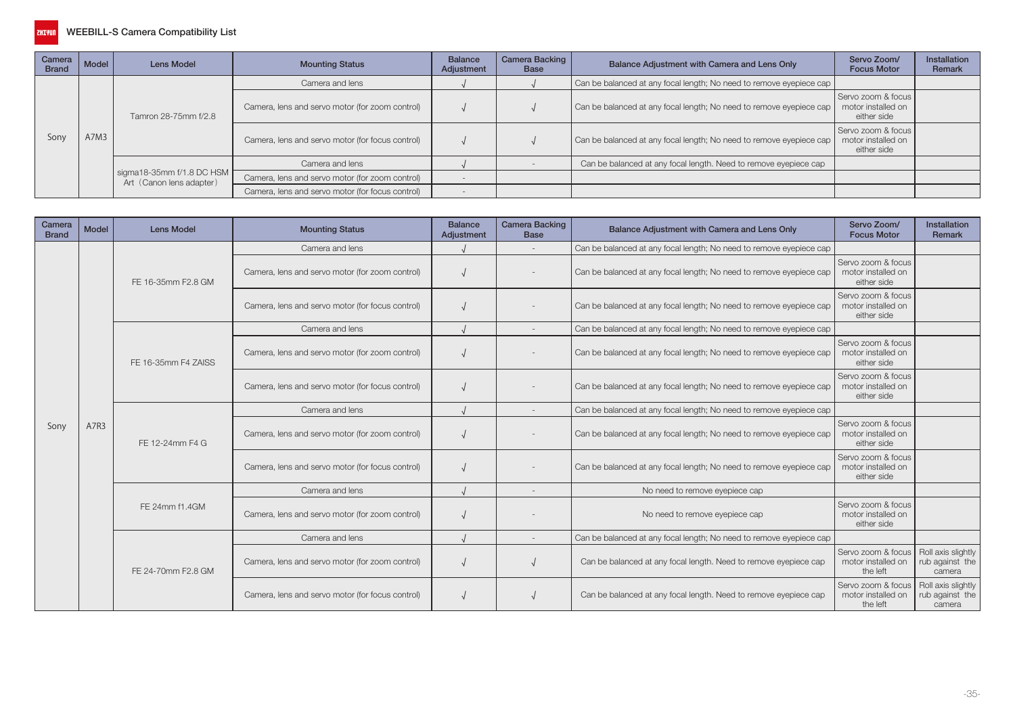

| Camera<br><b>Brand</b> | $ $ Model | <b>Lens Model</b>                                                                 | <b>Mounting Status</b>                           | <b>Balance</b><br>Adjustment | Camera Backing<br><b>Base</b> | Balance Adjustment with Camera and Lens Only                        | Servo Zoom/<br><b>Focus Motor</b>                       | <b>Installation</b><br>Remark |
|------------------------|-----------|-----------------------------------------------------------------------------------|--------------------------------------------------|------------------------------|-------------------------------|---------------------------------------------------------------------|---------------------------------------------------------|-------------------------------|
|                        |           |                                                                                   | Camera and lens                                  |                              |                               | Can be balanced at any focal length; No need to remove eyepiece cap |                                                         |                               |
|                        |           | Tamron 28-75mm f/2.8<br>  sigma18-35mm f/1.8 DC HSM  <br>Art (Canon lens adapter) | Camera, lens and servo motor (for zoom control)  |                              |                               | Can be balanced at any focal length; No need to remove eyepiece cap | Servo zoom & focus<br>motor installed on<br>either side |                               |
| Sony                   | A7M3      |                                                                                   | Camera, lens and servo motor (for focus control) |                              |                               | Can be balanced at any focal length; No need to remove eyepiece cap | Servo zoom & focus<br>motor installed on<br>either side |                               |
|                        |           |                                                                                   | Camera and lens                                  |                              |                               | Can be balanced at any focal length. Need to remove eyepiece cap    |                                                         |                               |
|                        |           |                                                                                   | Camera, lens and servo motor (for zoom control)  |                              |                               |                                                                     |                                                         |                               |
|                        |           |                                                                                   | Camera, lens and servo motor (for focus control) |                              |                               |                                                                     |                                                         |                               |

| Camera<br><b>Brand</b> | Model                                                                                                                                                                                                                                                                                                                                  | <b>Lens Model</b>                                                   | <b>Mounting Status</b>                                  | <b>Balance</b><br>Adjustment | <b>Camera Backing</b><br><b>Base</b> | Balance Adjustment with Camera and Lens Only                        | Servo Zoom/<br><b>Focus Motor</b>                                                                                                                           | Installation<br>Remark                          |
|------------------------|----------------------------------------------------------------------------------------------------------------------------------------------------------------------------------------------------------------------------------------------------------------------------------------------------------------------------------------|---------------------------------------------------------------------|---------------------------------------------------------|------------------------------|--------------------------------------|---------------------------------------------------------------------|-------------------------------------------------------------------------------------------------------------------------------------------------------------|-------------------------------------------------|
|                        |                                                                                                                                                                                                                                                                                                                                        |                                                                     | Camera and lens                                         |                              |                                      | Can be balanced at any focal length; No need to remove eyepiece cap |                                                                                                                                                             |                                                 |
|                        |                                                                                                                                                                                                                                                                                                                                        | FE 16-35mm F2.8 GM                                                  | Camera, lens and servo motor (for zoom control)         |                              |                                      | Can be balanced at any focal length; No need to remove eyepiece cap | Servo zoom & focus<br>motor installed on<br>either side                                                                                                     |                                                 |
|                        | Camera, lens and servo motor (for focus control)<br>Camera and lens<br>Camera, lens and servo motor (for zoom control)<br>FE 16-35mm F4 ZAISS<br>Camera, lens and servo motor (for focus control)<br>Camera and lens<br>$\overline{\phantom{a}}$<br>A7R3<br>Sony<br>Camera, lens and servo motor (for zoom control)<br>FE 12-24mm F4 G | Can be balanced at any focal length; No need to remove eyepiece cap | Servo zoom & focus<br>motor installed on<br>either side |                              |                                      |                                                                     |                                                                                                                                                             |                                                 |
|                        |                                                                                                                                                                                                                                                                                                                                        |                                                                     |                                                         |                              |                                      | Can be balanced at any focal length; No need to remove eyepiece cap |                                                                                                                                                             |                                                 |
|                        |                                                                                                                                                                                                                                                                                                                                        |                                                                     |                                                         |                              |                                      | Can be balanced at any focal length; No need to remove eyepiece cap | Servo zoom & focus<br>motor installed on<br>either side                                                                                                     |                                                 |
|                        |                                                                                                                                                                                                                                                                                                                                        |                                                                     |                                                         |                              |                                      | Can be balanced at any focal length; No need to remove eyepiece cap | Servo zoom & focus<br>motor installed on<br>either side                                                                                                     |                                                 |
|                        |                                                                                                                                                                                                                                                                                                                                        |                                                                     |                                                         |                              |                                      | Can be balanced at any focal length; No need to remove eyepiece cap |                                                                                                                                                             |                                                 |
|                        |                                                                                                                                                                                                                                                                                                                                        |                                                                     |                                                         |                              |                                      | Can be balanced at any focal length; No need to remove eyepiece cap | Servo zoom & focus<br>motor installed on<br>either side                                                                                                     |                                                 |
|                        |                                                                                                                                                                                                                                                                                                                                        |                                                                     | Camera, lens and servo motor (for focus control)        |                              |                                      | Can be balanced at any focal length; No need to remove eyepiece cap | Servo zoom & focus<br>motor installed on<br>either side                                                                                                     |                                                 |
|                        |                                                                                                                                                                                                                                                                                                                                        |                                                                     | Camera and lens                                         |                              |                                      | No need to remove eyepiece cap                                      | Servo zoom & focus<br>motor installed on<br>either side<br>Servo zoom & focus<br>motor installed on<br>the left<br>Servo zoom & focus<br>motor installed on |                                                 |
|                        |                                                                                                                                                                                                                                                                                                                                        | FE 24mm f1.4GM                                                      | Camera, lens and servo motor (for zoom control)         |                              |                                      | No need to remove eyepiece cap                                      |                                                                                                                                                             |                                                 |
|                        |                                                                                                                                                                                                                                                                                                                                        |                                                                     | Camera and lens                                         |                              | $\overline{\phantom{a}}$             | Can be balanced at any focal length; No need to remove eyepiece cap |                                                                                                                                                             |                                                 |
|                        |                                                                                                                                                                                                                                                                                                                                        | FE 24-70mm F2.8 GM                                                  | Camera, lens and servo motor (for zoom control)         |                              |                                      | Can be balanced at any focal length. Need to remove eyepiece cap    |                                                                                                                                                             | Roll axis slightly<br>rub against the<br>camera |
|                        |                                                                                                                                                                                                                                                                                                                                        |                                                                     | Camera, lens and servo motor (for focus control)        |                              |                                      | Can be balanced at any focal length. Need to remove eyepiece cap    | the left                                                                                                                                                    | Roll axis slightly<br>rub against the<br>camera |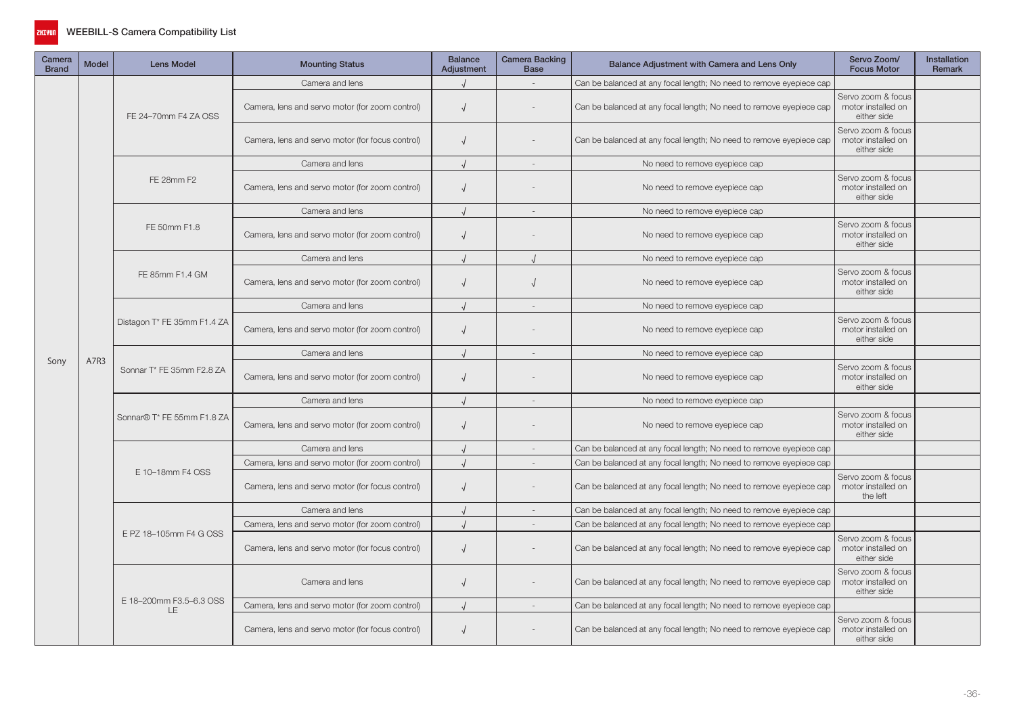

| Camera<br><b>Brand</b> | Model | <b>Lens Model</b>              | <b>Mounting Status</b>                           | <b>Balance</b><br>Adjustment                                                      | <b>Camera Backing</b><br><b>Base</b> | Balance Adjustment with Camera and Lens Only                        | Servo Zoom/<br><b>Focus Motor</b>                       | <b>Installation</b><br>Remark |
|------------------------|-------|--------------------------------|--------------------------------------------------|-----------------------------------------------------------------------------------|--------------------------------------|---------------------------------------------------------------------|---------------------------------------------------------|-------------------------------|
|                        |       |                                | Camera and lens                                  |                                                                                   |                                      | Can be balanced at any focal length; No need to remove eyepiece cap |                                                         |                               |
|                        |       | FE 24-70mm F4 ZA OSS           | Camera, lens and servo motor (for zoom control)  | $\sqrt{ }$                                                                        |                                      | Can be balanced at any focal length; No need to remove eyepiece cap | Servo zoom & focus<br>motor installed on<br>either side |                               |
|                        |       |                                | Camera, lens and servo motor (for focus control) | $\sqrt{ }$                                                                        |                                      | Can be balanced at any focal length; No need to remove eyepiece cap | Servo zoom & focus<br>motor installed on<br>either side |                               |
|                        |       |                                | Camera and lens                                  |                                                                                   |                                      | No need to remove eyepiece cap                                      |                                                         |                               |
|                        |       | FE 28mm F2                     | Camera, lens and servo motor (for zoom control)  | $\sqrt{ }$                                                                        |                                      | No need to remove eyepiece cap                                      | Servo zoom & focus<br>motor installed on<br>either side |                               |
|                        |       |                                | Camera and lens                                  |                                                                                   |                                      | No need to remove eyepiece cap                                      |                                                         |                               |
|                        | A7R3  | FE 50mm F1.8                   | Camera, lens and servo motor (for zoom control)  | $\sqrt{ }$                                                                        |                                      | No need to remove eyepiece cap                                      | Servo zoom & focus<br>motor installed on<br>either side |                               |
|                        |       |                                | Camera and lens                                  |                                                                                   |                                      | No need to remove eyepiece cap                                      |                                                         |                               |
|                        |       | FE 85mm F1.4 GM                | Camera, lens and servo motor (for zoom control)  | $\sqrt{ }$                                                                        |                                      | No need to remove eyepiece cap                                      | Servo zoom & focus<br>motor installed on<br>either side |                               |
|                        |       |                                | Camera and lens                                  |                                                                                   |                                      | No need to remove eyepiece cap                                      |                                                         |                               |
|                        |       | Distagon T* FE 35mm F1.4 ZA    | Camera, lens and servo motor (for zoom control)  | $\sqrt{ }$                                                                        |                                      | No need to remove eyepiece cap                                      | Servo zoom & focus<br>motor installed on<br>either side |                               |
|                        |       |                                | Camera and lens                                  |                                                                                   |                                      | No need to remove eyepiece cap                                      |                                                         |                               |
| Sony                   |       | Sonnar T* FE 35mm F2.8 ZA      | Camera, lens and servo motor (for zoom control)  | $\sqrt{ }$                                                                        |                                      | No need to remove eyepiece cap                                      | Servo zoom & focus<br>motor installed on<br>either side |                               |
|                        |       | Sonnar® T* FE 55mm F1.8 ZA     | Camera and lens                                  |                                                                                   |                                      | No need to remove eyepiece cap                                      |                                                         |                               |
|                        |       |                                | Camera, lens and servo motor (for zoom control)  | $\sqrt{ }$                                                                        |                                      | No need to remove eyepiece cap                                      | Servo zoom & focus<br>motor installed on<br>either side |                               |
|                        |       |                                | Camera and lens                                  | Can be balanced at any focal length; No need to remove eyepiece cap<br>$\sqrt{ }$ |                                      |                                                                     |                                                         |                               |
|                        |       |                                | Camera, lens and servo motor (for zoom control)  |                                                                                   |                                      | Can be balanced at any focal length; No need to remove eyepiece cap |                                                         |                               |
|                        |       | E 10-18mm F4 OSS               | Camera, lens and servo motor (for focus control) |                                                                                   |                                      | Can be balanced at any focal length; No need to remove eyepiece cap | Servo zoom & focus<br>motor installed on<br>the left    |                               |
|                        |       |                                | Camera and lens                                  |                                                                                   |                                      | Can be balanced at any focal length; No need to remove eyepiece cap |                                                         |                               |
|                        |       |                                | Camera, lens and servo motor (for zoom control)  |                                                                                   |                                      | Can be balanced at any focal length; No need to remove eyepiece cap |                                                         |                               |
|                        |       | E PZ 18-105mm F4 G OSS         | Camera, lens and servo motor (for focus control) | $\sqrt{ }$                                                                        |                                      | Can be balanced at any focal length; No need to remove eyepiece cap | Servo zoom & focus<br>motor installed on<br>either side |                               |
|                        |       |                                | Camera and lens                                  | $\sqrt{ }$                                                                        |                                      | Can be balanced at any focal length; No need to remove eyepiece cap | Servo zoom & focus<br>motor installed on<br>either side |                               |
|                        |       | E 18-200mm F3.5-6.3 OSS<br>LE. | Camera, lens and servo motor (for zoom control)  |                                                                                   |                                      | Can be balanced at any focal length; No need to remove eyepiece cap |                                                         |                               |
|                        |       |                                | Camera, lens and servo motor (for focus control) | $\sqrt{ }$                                                                        |                                      | Can be balanced at any focal length; No need to remove eyepiece cap | Servo zoom & focus<br>motor installed on<br>either side |                               |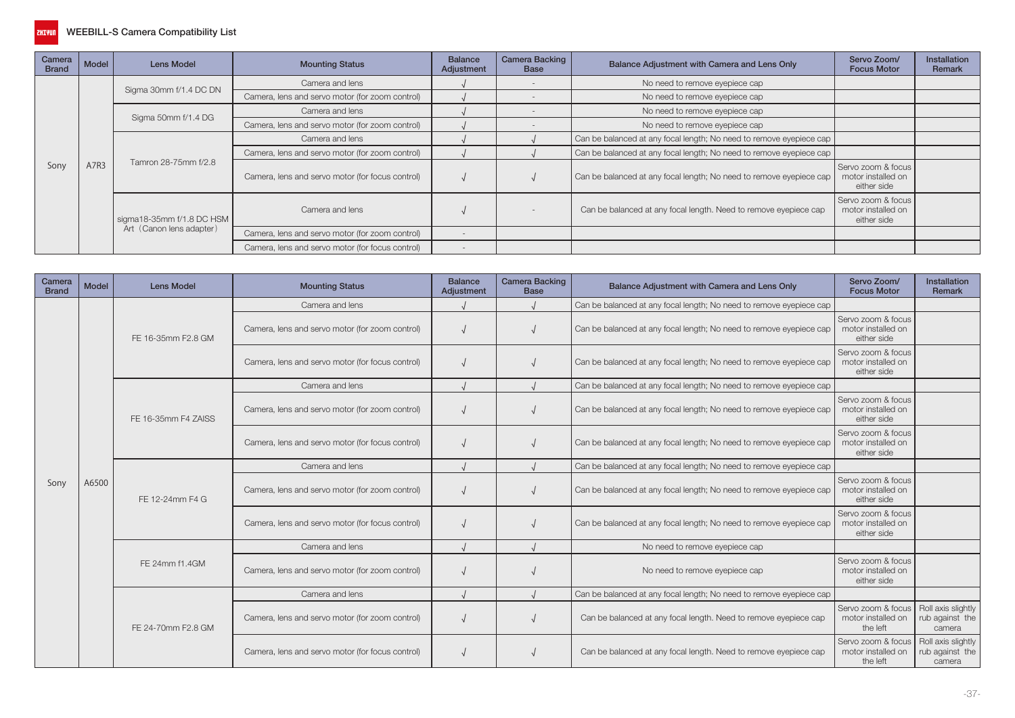

| Camera<br><b>Brand</b> | Model                        | Lens Model                | <b>Mounting Status</b>                           | <b>Balance</b><br>Adjustment | <b>Camera Backing</b><br><b>Base</b> | Balance Adjustment with Camera and Lens Only                        | Servo Zoom/<br><b>Focus Motor</b>                       | <b>Installation</b><br>Remark |
|------------------------|------------------------------|---------------------------|--------------------------------------------------|------------------------------|--------------------------------------|---------------------------------------------------------------------|---------------------------------------------------------|-------------------------------|
|                        |                              |                           | Camera and lens                                  |                              |                                      | No need to remove eyepiece cap                                      |                                                         |                               |
|                        |                              | Sigma 30mm f/1.4 DC DN    | Camera, lens and servo motor (for zoom control)  |                              |                                      | No need to remove eyepiece cap                                      |                                                         |                               |
|                        |                              |                           | Camera and lens                                  |                              |                                      | No need to remove eyepiece cap                                      |                                                         |                               |
|                        |                              | Sigma 50mm f/1.4 DG       | Camera, lens and servo motor (for zoom control)  |                              |                                      | No need to remove eyepiece cap                                      |                                                         |                               |
|                        |                              |                           | Camera and lens                                  |                              |                                      | Can be balanced at any focal length; No need to remove eyepiece cap |                                                         |                               |
|                        |                              |                           | Camera, lens and servo motor (for zoom control)  |                              |                                      | Can be balanced at any focal length; No need to remove eyepiece cap |                                                         |                               |
| Sony                   | Tamron 28-75mm f/2.8<br>A7R3 |                           | Camera, lens and servo motor (for focus control) |                              |                                      | Can be balanced at any focal length; No need to remove eyepiece cap | Servo zoom & focus<br>motor installed on<br>either side |                               |
|                        |                              | sigma18-35mm f/1.8 DC HSM | Camera and lens                                  |                              |                                      | Can be balanced at any focal length. Need to remove eyepiece cap    | Servo zoom & focus<br>motor installed on<br>either side |                               |
|                        |                              | Art (Canon lens adapter)  | Camera, lens and servo motor (for zoom control)  |                              |                                      |                                                                     |                                                         |                               |
|                        |                              |                           | Camera, lens and servo motor (for focus control) |                              |                                      |                                                                     |                                                         |                               |

| Camera<br><b>Brand</b> | Model                    | <b>Lens Model</b>                                | <b>Mounting Status</b>                           | <b>Balance</b><br>Adjustment | <b>Camera Backing</b><br><b>Base</b>                                | Balance Adjustment with Camera and Lens Only                        | Servo Zoom/<br><b>Focus Motor</b>                                                                               | <b>Installation</b><br>Remark                   |
|------------------------|--------------------------|--------------------------------------------------|--------------------------------------------------|------------------------------|---------------------------------------------------------------------|---------------------------------------------------------------------|-----------------------------------------------------------------------------------------------------------------|-------------------------------------------------|
|                        |                          |                                                  | Camera and lens                                  |                              |                                                                     | Can be balanced at any focal length; No need to remove eyepiece cap |                                                                                                                 |                                                 |
|                        |                          | FE 16-35mm F2.8 GM                               | Camera, lens and servo motor (for zoom control)  |                              |                                                                     | Can be balanced at any focal length; No need to remove eyepiece cap | Servo zoom & focus<br>motor installed on<br>either side                                                         |                                                 |
|                        |                          |                                                  | Camera, lens and servo motor (for focus control) |                              |                                                                     | Can be balanced at any focal length; No need to remove eyepiece cap | Servo zoom & focus<br>motor installed on<br>either side                                                         |                                                 |
|                        |                          |                                                  | Camera and lens                                  |                              |                                                                     | Can be balanced at any focal length; No need to remove eyepiece cap |                                                                                                                 |                                                 |
|                        |                          | FE 16-35mm F4 ZAISS                              | Camera, lens and servo motor (for zoom control)  |                              |                                                                     | Can be balanced at any focal length; No need to remove eyepiece cap | Servo zoom & focus<br>motor installed on<br>either side                                                         |                                                 |
|                        | A6500<br>FE 12-24mm F4 G | Camera, lens and servo motor (for focus control) |                                                  |                              | Can be balanced at any focal length; No need to remove eyepiece cap | Servo zoom & focus<br>motor installed on<br>either side             |                                                                                                                 |                                                 |
|                        |                          |                                                  | Camera and lens                                  |                              |                                                                     | Can be balanced at any focal length; No need to remove eyepiece cap |                                                                                                                 |                                                 |
| Sony                   |                          |                                                  | Camera, lens and servo motor (for zoom control)  |                              |                                                                     | Can be balanced at any focal length; No need to remove eyepiece cap | Servo zoom & focus<br>motor installed on<br>either side                                                         |                                                 |
|                        |                          |                                                  | Camera, lens and servo motor (for focus control) |                              |                                                                     | Can be balanced at any focal length; No need to remove eyepiece cap | Servo zoom & focus<br>motor installed on<br>either side                                                         |                                                 |
|                        |                          |                                                  | Camera and lens                                  |                              |                                                                     | No need to remove eyepiece cap                                      | Servo zoom & focus<br>motor installed on<br>either side<br>Servo zoom & focus<br>motor installed on<br>the left |                                                 |
|                        |                          | FE 24mm f1.4GM                                   | Camera, lens and servo motor (for zoom control)  |                              |                                                                     | No need to remove eyepiece cap                                      |                                                                                                                 |                                                 |
|                        |                          |                                                  | Camera and lens                                  |                              |                                                                     | Can be balanced at any focal length; No need to remove eyepiece cap |                                                                                                                 |                                                 |
|                        |                          | FE 24-70mm F2.8 GM                               | Camera, lens and servo motor (for zoom control)  |                              |                                                                     | Can be balanced at any focal length. Need to remove eyepiece cap    |                                                                                                                 | Roll axis slightly<br>rub against the<br>camera |
|                        |                          |                                                  | Camera, lens and servo motor (for focus control) |                              |                                                                     | Can be balanced at any focal length. Need to remove eyepiece cap    | Servo zoom & focus<br>motor installed on<br>the left                                                            | Roll axis slightly<br>rub against the<br>camera |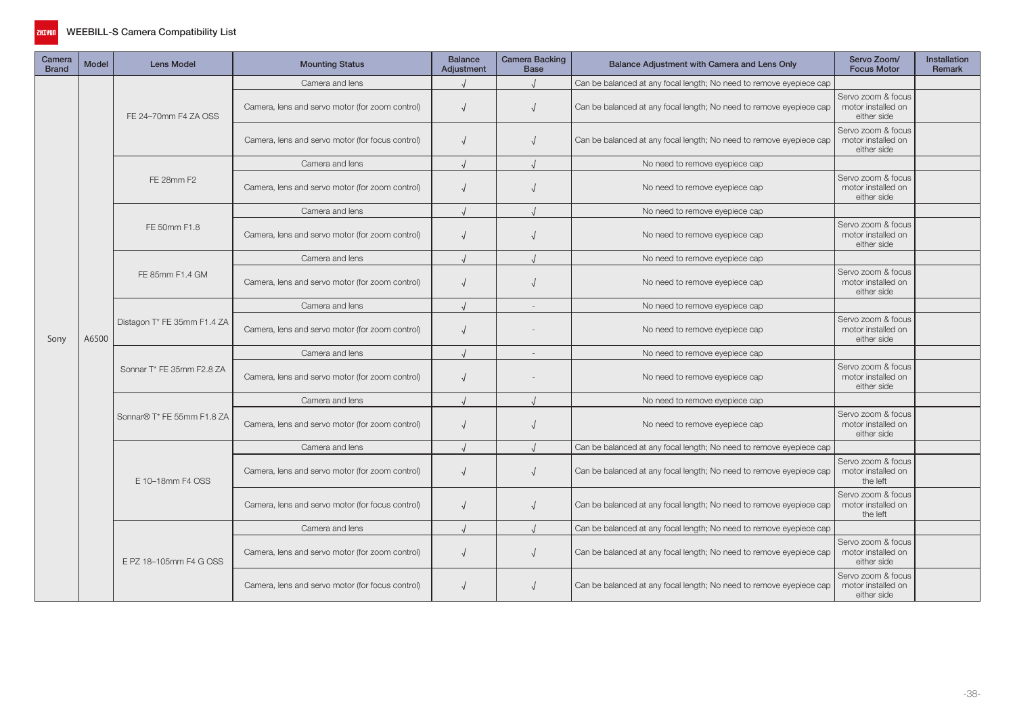

| Camera<br><b>Brand</b> | <b>Model</b> | <b>Lens Model</b>           | <b>Mounting Status</b>                           | <b>Balance</b><br>Adjustment | Camera Backing<br><b>Base</b> | Balance Adjustment with Camera and Lens Only                        | Servo Zoom/<br><b>Focus Motor</b>                       | <b>Installation</b><br><b>Remark</b> |
|------------------------|--------------|-----------------------------|--------------------------------------------------|------------------------------|-------------------------------|---------------------------------------------------------------------|---------------------------------------------------------|--------------------------------------|
|                        |              |                             | Camera and lens                                  |                              |                               | Can be balanced at any focal length; No need to remove eyepiece cap |                                                         |                                      |
|                        |              | FE 24-70mm F4 ZA OSS        | Camera, lens and servo motor (for zoom control)  | $\sqrt{ }$                   |                               | Can be balanced at any focal length; No need to remove eyepiece cap | Servo zoom & focus<br>motor installed on<br>either side |                                      |
|                        |              |                             | Camera, lens and servo motor (for focus control) | $\sqrt{ }$                   |                               | Can be balanced at any focal length; No need to remove eyepiece cap | Servo zoom & focus<br>motor installed on<br>either side |                                      |
|                        |              |                             | Camera and lens                                  |                              |                               | No need to remove eyepiece cap                                      |                                                         |                                      |
|                        |              | FE 28mm F2                  | Camera, lens and servo motor (for zoom control)  | $\sqrt{ }$                   |                               | No need to remove eyepiece cap                                      | Servo zoom & focus<br>motor installed on<br>either side |                                      |
|                        |              |                             | Camera and lens                                  |                              |                               | No need to remove eyepiece cap                                      |                                                         |                                      |
|                        |              | FE 50mm F1.8                | Camera, lens and servo motor (for zoom control)  | $\sqrt{ }$                   |                               | No need to remove eyepiece cap                                      | Servo zoom & focus<br>motor installed on<br>either side |                                      |
|                        |              | FE 85mm F1.4 GM             | Camera and lens                                  |                              |                               | No need to remove eyepiece cap                                      |                                                         |                                      |
|                        |              |                             | Camera, lens and servo motor (for zoom control)  | $\sqrt{ }$                   |                               | No need to remove eyepiece cap                                      | Servo zoom & focus<br>motor installed on<br>either side |                                      |
|                        |              | Distagon T* FE 35mm F1.4 ZA | Camera and lens                                  |                              | $\sim$                        | No need to remove eyepiece cap                                      |                                                         |                                      |
| Sony                   | A6500        |                             | Camera, lens and servo motor (for zoom control)  | $\sqrt{ }$                   |                               | No need to remove eyepiece cap                                      | Servo zoom & focus<br>motor installed on<br>either side |                                      |
|                        |              |                             | Camera and lens                                  |                              |                               | No need to remove eyepiece cap                                      |                                                         |                                      |
|                        |              | Sonnar T* FE 35mm F2.8 ZA   | Camera, lens and servo motor (for zoom control)  | $\sqrt{ }$                   |                               | No need to remove eyepiece cap                                      | Servo zoom & focus<br>motor installed on<br>either side |                                      |
|                        |              |                             | Camera and lens                                  |                              |                               | No need to remove eyepiece cap                                      |                                                         |                                      |
|                        |              | Sonnar® T* FE 55mm F1.8 ZA  | Camera, lens and servo motor (for zoom control)  | $\sqrt{ }$                   |                               | No need to remove eyepiece cap                                      | Servo zoom & focus<br>motor installed on<br>either side |                                      |
|                        |              |                             | Camera and lens                                  |                              |                               | Can be balanced at any focal length; No need to remove eyepiece cap |                                                         |                                      |
|                        |              | E 10-18mm F4 OSS            | Camera, lens and servo motor (for zoom control)  | $\sqrt{ }$                   |                               | Can be balanced at any focal length; No need to remove eyepiece cap | Servo zoom & focus<br>motor installed on<br>the left    |                                      |
|                        |              |                             | Camera, lens and servo motor (for focus control) | $\sqrt{ }$                   |                               | Can be balanced at any focal length; No need to remove eyepiece cap | Servo zoom & focus<br>motor installed on<br>the left    |                                      |
|                        |              |                             | Camera and lens                                  |                              |                               | Can be balanced at any focal length; No need to remove eyepiece cap |                                                         |                                      |
|                        |              | E PZ 18-105mm F4 G OSS      | Camera, lens and servo motor (for zoom control)  | $\sqrt{ }$                   |                               | Can be balanced at any focal length; No need to remove eyepiece cap | Servo zoom & focus<br>motor installed on<br>either side |                                      |
|                        |              |                             | Camera, lens and servo motor (for focus control) | $\sqrt{ }$                   |                               | Can be balanced at any focal length; No need to remove eyepiece cap | Servo zoom & focus<br>motor installed on<br>either side |                                      |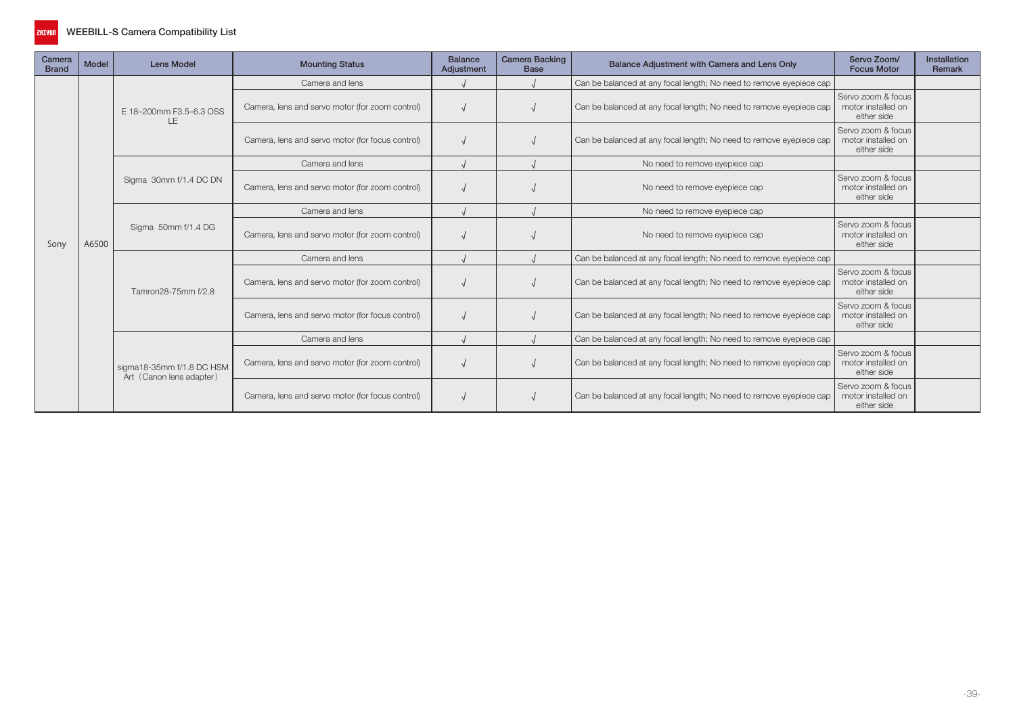

| Camera<br><b>Brand</b> | <b>Model</b>                                                                                                                                                                                                                                                                                                                                                                                                                                                                                             | <b>Lens Model</b>                                                   | <b>Mounting Status</b>                                  | <b>Balance</b><br>Adjustment | <b>Camera Backing</b><br><b>Base</b> | Balance Adjustment with Camera and Lens Only                        | Servo Zoom/<br><b>Focus Motor</b>                       | Installation<br>Remark |
|------------------------|----------------------------------------------------------------------------------------------------------------------------------------------------------------------------------------------------------------------------------------------------------------------------------------------------------------------------------------------------------------------------------------------------------------------------------------------------------------------------------------------------------|---------------------------------------------------------------------|---------------------------------------------------------|------------------------------|--------------------------------------|---------------------------------------------------------------------|---------------------------------------------------------|------------------------|
|                        |                                                                                                                                                                                                                                                                                                                                                                                                                                                                                                          |                                                                     | Camera and lens                                         |                              |                                      | Can be balanced at any focal length; No need to remove eyepiece cap |                                                         |                        |
|                        |                                                                                                                                                                                                                                                                                                                                                                                                                                                                                                          | E 18-200mm F3.5-6.3 OSS                                             | Camera, lens and servo motor (for zoom control)         |                              |                                      | Can be balanced at any focal length; No need to remove eyepiece cap | Servo zoom & focus<br>motor installed on<br>either side |                        |
|                        | <b>LE</b><br>Camera, lens and servo motor (for focus control)<br>Camera and lens<br>No need to remove eyepiece cap<br>Sigma 30mm f/1.4 DC DN<br>Camera, lens and servo motor (for zoom control)<br>No need to remove eyepiece cap<br>Camera and lens<br>No need to remove eyepiece cap<br>Sigma 50mm f/1.4 DG<br>Camera, lens and servo motor (for zoom control)<br>No need to remove eyepiece cap<br>A6500<br>Camera and lens<br>Camera, lens and servo motor (for zoom control)<br>Tamron28-75mm f/2.8 | Can be balanced at any focal length; No need to remove eyepiece cap | Servo zoom & focus<br>motor installed on<br>either side |                              |                                      |                                                                     |                                                         |                        |
|                        |                                                                                                                                                                                                                                                                                                                                                                                                                                                                                                          |                                                                     |                                                         |                              |                                      |                                                                     |                                                         |                        |
|                        |                                                                                                                                                                                                                                                                                                                                                                                                                                                                                                          |                                                                     |                                                         |                              |                                      |                                                                     | Servo zoom & focus<br>motor installed on<br>either side |                        |
|                        |                                                                                                                                                                                                                                                                                                                                                                                                                                                                                                          |                                                                     |                                                         |                              |                                      |                                                                     |                                                         |                        |
| Sony                   |                                                                                                                                                                                                                                                                                                                                                                                                                                                                                                          |                                                                     |                                                         |                              |                                      |                                                                     | Servo zoom & focus<br>motor installed on<br>either side |                        |
|                        |                                                                                                                                                                                                                                                                                                                                                                                                                                                                                                          |                                                                     |                                                         |                              |                                      | Can be balanced at any focal length; No need to remove eyepiece cap |                                                         |                        |
|                        |                                                                                                                                                                                                                                                                                                                                                                                                                                                                                                          |                                                                     |                                                         |                              |                                      | Can be balanced at any focal length; No need to remove eyepiece cap | Servo zoom & focus<br>motor installed on<br>either side |                        |
|                        |                                                                                                                                                                                                                                                                                                                                                                                                                                                                                                          |                                                                     | Camera, lens and servo motor (for focus control)        |                              |                                      | Can be balanced at any focal length; No need to remove eyepiece cap | Servo zoom & focus<br>motor installed on<br>either side |                        |
|                        |                                                                                                                                                                                                                                                                                                                                                                                                                                                                                                          |                                                                     | Camera and lens                                         |                              |                                      | Can be balanced at any focal length; No need to remove eyepiece cap |                                                         |                        |
|                        |                                                                                                                                                                                                                                                                                                                                                                                                                                                                                                          | sigma18-35mm f/1.8 DC HSM<br>Art (Canon lens adapter)               | Camera, lens and servo motor (for zoom control)         |                              |                                      | Can be balanced at any focal length; No need to remove eyepiece cap | Servo zoom & focus<br>motor installed on<br>either side |                        |
|                        |                                                                                                                                                                                                                                                                                                                                                                                                                                                                                                          |                                                                     | Camera, lens and servo motor (for focus control)        |                              |                                      | Can be balanced at any focal length; No need to remove eyepiece cap | Servo zoom & focus<br>motor installed on<br>either side |                        |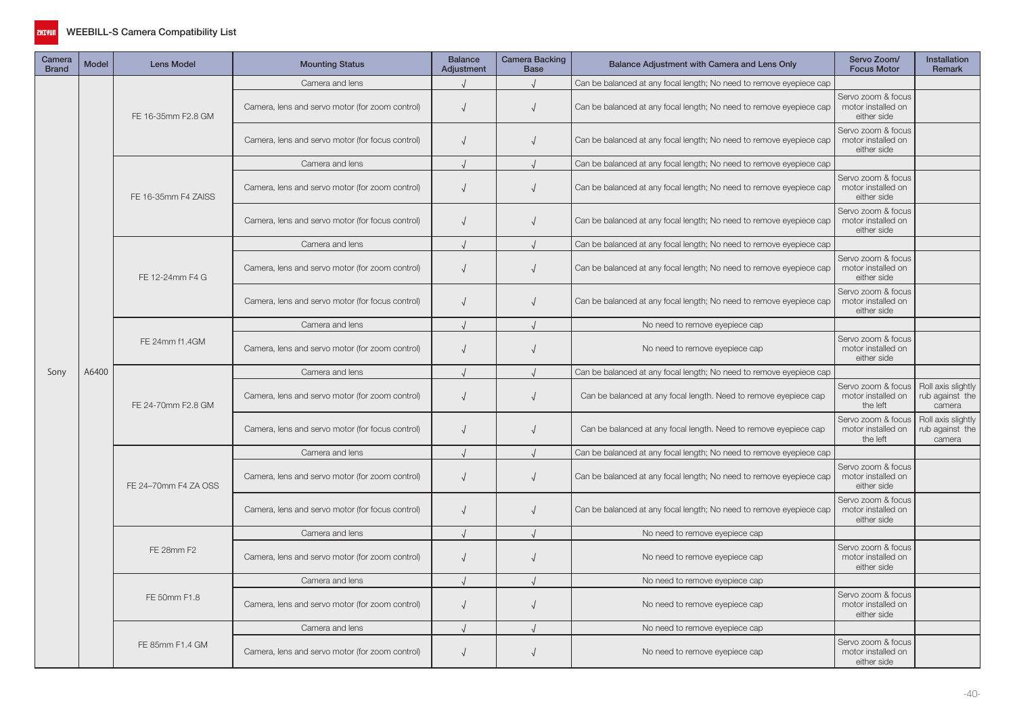

| Camera<br><b>Brand</b> | <b>Model</b>                                                                                   | <b>Lens Model</b>    | <b>Mounting Status</b>                           | <b>Balance</b><br>Adjustment | Camera Backing<br><b>Base</b> | Balance Adjustment with Camera and Lens Only                        | Servo Zoom/<br><b>Focus Motor</b>                       | Installation<br>Remark                          |
|------------------------|------------------------------------------------------------------------------------------------|----------------------|--------------------------------------------------|------------------------------|-------------------------------|---------------------------------------------------------------------|---------------------------------------------------------|-------------------------------------------------|
|                        |                                                                                                |                      | Camera and lens                                  |                              |                               | Can be balanced at any focal length; No need to remove eyepiece cap |                                                         |                                                 |
|                        |                                                                                                | FE 16-35mm F2.8 GM   | Camera, lens and servo motor (for zoom control)  | $\sqrt{ }$                   | $\sqrt{ }$                    | Can be balanced at any focal length; No need to remove eyepiece cap | Servo zoom & focus<br>motor installed on<br>either side |                                                 |
|                        |                                                                                                |                      | Camera, lens and servo motor (for focus control) | $\sqrt{ }$                   |                               | Can be balanced at any focal length; No need to remove eyepiece cap | Servo zoom & focus<br>motor installed on<br>either side |                                                 |
|                        |                                                                                                |                      | Camera and lens                                  |                              |                               | Can be balanced at any focal length; No need to remove eyepiece cap |                                                         |                                                 |
|                        |                                                                                                | FE 16-35mm F4 ZAISS  | Camera, lens and servo motor (for zoom control)  | $\sqrt{ }$                   |                               | Can be balanced at any focal length; No need to remove eyepiece cap | Servo zoom & focus<br>motor installed on<br>either side |                                                 |
|                        |                                                                                                |                      | Camera, lens and servo motor (for focus control) | $\sqrt{ }$                   |                               | Can be balanced at any focal length; No need to remove eyepiece cap | Servo zoom & focus<br>motor installed on<br>either side |                                                 |
|                        |                                                                                                |                      | Camera and lens                                  | $\cdot$                      |                               | Can be balanced at any focal length; No need to remove eyepiece cap |                                                         |                                                 |
|                        |                                                                                                | FE 12-24mm F4 G      | Camera, lens and servo motor (for zoom control)  | $\sqrt{ }$                   |                               | Can be balanced at any focal length; No need to remove eyepiece cap | Servo zoom & focus<br>motor installed on<br>either side |                                                 |
|                        |                                                                                                |                      | Camera, lens and servo motor (for focus control) | $\sqrt{ }$                   |                               | Can be balanced at any focal length; No need to remove eyepiece cap | Servo zoom & focus<br>motor installed on<br>either side |                                                 |
|                        | FE 24mm f1.4GM<br>A6400<br>FE 24-70mm F2.8 GM<br>FE 28mm F2<br>FE 50mm F1.8<br>FE 85mm F1.4 GM |                      | Camera and lens                                  |                              |                               | No need to remove eyepiece cap                                      |                                                         |                                                 |
|                        |                                                                                                |                      | Camera, lens and servo motor (for zoom control)  | $\sqrt{ }$                   | $\sqrt{ }$                    | No need to remove eyepiece cap                                      | Servo zoom & focus<br>motor installed on<br>either side |                                                 |
| Sony                   |                                                                                                |                      | Camera and lens                                  |                              |                               | Can be balanced at any focal length; No need to remove eyepiece cap |                                                         |                                                 |
|                        |                                                                                                |                      | Camera, lens and servo motor (for zoom control)  | $\sqrt{ }$                   | $\sqrt{ }$                    | Can be balanced at any focal length. Need to remove eyepiece cap    | Servo zoom & focus<br>motor installed on<br>the left    | Roll axis slightly<br>rub against the<br>camera |
|                        |                                                                                                |                      | Camera, lens and servo motor (for focus control) | $\sqrt{ }$                   |                               | Can be balanced at any focal length. Need to remove eyepiece cap    | Servo zoom & focus<br>motor installed on<br>the left    | Roll axis slightly<br>rub against the<br>camera |
|                        |                                                                                                |                      | Camera and lens                                  |                              |                               | Can be balanced at any focal length; No need to remove eyepiece cap |                                                         |                                                 |
|                        |                                                                                                | FE 24-70mm F4 ZA OSS | Camera, lens and servo motor (for zoom control)  | $\sqrt{ }$                   |                               | Can be balanced at any focal length; No need to remove eyepiece cap | Servo zoom & focus<br>motor installed on<br>either side |                                                 |
|                        |                                                                                                |                      | Camera, lens and servo motor (for focus control) | $\sqrt{ }$                   |                               | Can be balanced at any focal length; No need to remove eyepiece cap | Servo zoom & focus<br>motor installed on<br>either side |                                                 |
|                        |                                                                                                |                      | Camera and lens                                  | $\sqrt{ }$                   |                               | No need to remove eyepiece cap                                      |                                                         |                                                 |
|                        |                                                                                                |                      | Camera, lens and servo motor (for zoom control)  | $\sqrt{ }$                   | $\sqrt{ }$                    | No need to remove eyepiece cap                                      | Servo zoom & focus<br>motor installed on<br>either side |                                                 |
|                        |                                                                                                |                      | Camera and lens                                  | $\cdot$                      |                               | No need to remove eyepiece cap                                      |                                                         |                                                 |
|                        |                                                                                                |                      | Camera, lens and servo motor (for zoom control)  | $\sqrt{ }$                   | $\sqrt{ }$                    | No need to remove eyepiece cap                                      | Servo zoom & focus<br>motor installed on<br>either side |                                                 |
|                        |                                                                                                |                      | Camera and lens                                  |                              |                               | No need to remove eyepiece cap                                      |                                                         |                                                 |
|                        |                                                                                                |                      | Camera, lens and servo motor (for zoom control)  | $\sqrt{ }$                   |                               | No need to remove eyepiece cap                                      | Servo zoom & focus<br>motor installed on<br>either side |                                                 |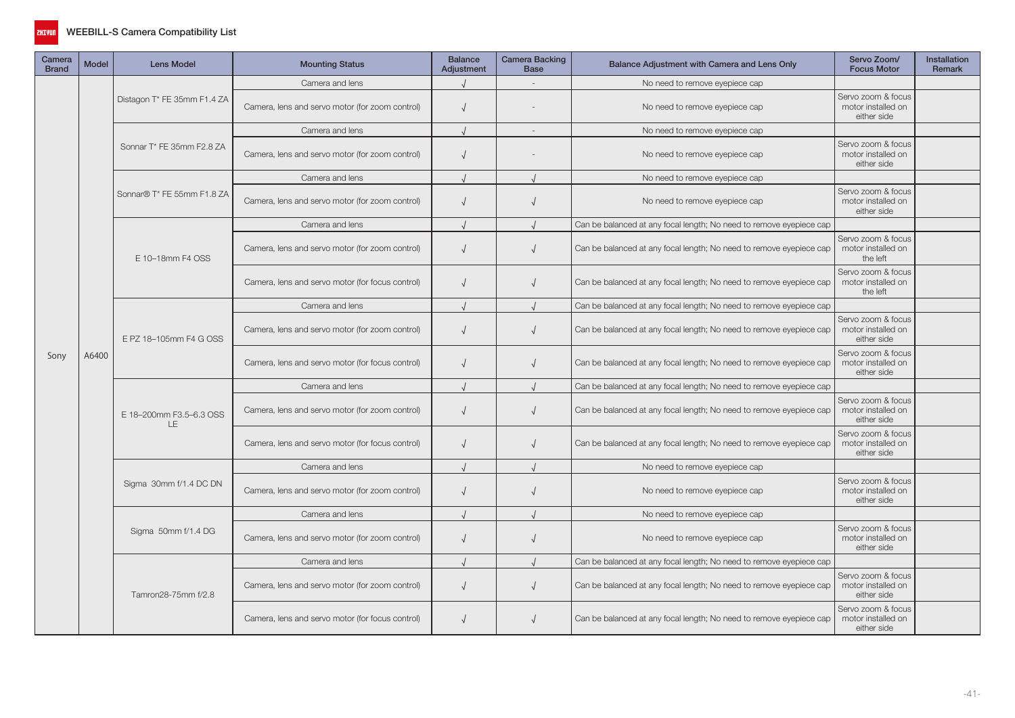

| Camera<br><b>Brand</b> | <b>Model</b> | Lens Model                     | <b>Mounting Status</b>                           | <b>Balance</b><br>Adjustment | <b>Camera Backing</b><br><b>Base</b> | Balance Adjustment with Camera and Lens Only                        | Servo Zoom/<br><b>Focus Motor</b>                                                                                                                                                                                                                                                                   | <b>Installation</b><br>Remark |
|------------------------|--------------|--------------------------------|--------------------------------------------------|------------------------------|--------------------------------------|---------------------------------------------------------------------|-----------------------------------------------------------------------------------------------------------------------------------------------------------------------------------------------------------------------------------------------------------------------------------------------------|-------------------------------|
|                        |              |                                | Camera and lens                                  |                              |                                      | No need to remove eyepiece cap                                      |                                                                                                                                                                                                                                                                                                     |                               |
|                        |              | Distagon T* FE 35mm F1.4 ZA    | Camera, lens and servo motor (for zoom control)  | $\sqrt{ }$                   |                                      | No need to remove eyepiece cap                                      | Servo zoom & focus<br>motor installed on<br>either side                                                                                                                                                                                                                                             |                               |
|                        |              |                                | Camera and lens                                  |                              |                                      | No need to remove eyepiece cap                                      |                                                                                                                                                                                                                                                                                                     |                               |
|                        |              | Sonnar T* FE 35mm F2.8 ZA      | Camera, lens and servo motor (for zoom control)  | $\sqrt{ }$                   |                                      | No need to remove eyepiece cap                                      | Servo zoom & focus<br>motor installed on<br>either side                                                                                                                                                                                                                                             |                               |
|                        |              |                                | Camera and lens                                  |                              |                                      | No need to remove eyepiece cap                                      |                                                                                                                                                                                                                                                                                                     |                               |
|                        |              | Sonnar® T* FE 55mm F1.8 ZA     | Camera, lens and servo motor (for zoom control)  | $\sqrt{ }$                   |                                      | No need to remove eyepiece cap                                      | Servo zoom & focus<br>motor installed on<br>either side                                                                                                                                                                                                                                             |                               |
|                        |              |                                | Camera and lens                                  |                              |                                      | Can be balanced at any focal length; No need to remove eyepiece cap |                                                                                                                                                                                                                                                                                                     |                               |
|                        |              | E 10-18mm F4 OSS               | Camera, lens and servo motor (for zoom control)  | $\sqrt{ }$                   |                                      | Can be balanced at any focal length; No need to remove eyepiece cap | Servo zoom & focus<br>motor installed on<br>the left                                                                                                                                                                                                                                                |                               |
|                        |              |                                | Camera, lens and servo motor (for focus control) | $\sqrt{ }$                   |                                      | Can be balanced at any focal length; No need to remove eyepiece cap | Servo zoom & focus<br>motor installed on<br>the left                                                                                                                                                                                                                                                |                               |
|                        | A6400        |                                | Camera and lens                                  |                              |                                      | Can be balanced at any focal length; No need to remove eyepiece cap |                                                                                                                                                                                                                                                                                                     |                               |
|                        |              | E PZ 18-105mm F4 G OSS         | Camera, lens and servo motor (for zoom control)  | $\sqrt{ }$                   |                                      | Can be balanced at any focal length; No need to remove eyepiece cap | Servo zoom & focus<br>motor installed on<br>either side                                                                                                                                                                                                                                             |                               |
| Sony                   |              |                                | Camera, lens and servo motor (for focus control) | $\sqrt{ }$                   |                                      | Can be balanced at any focal length; No need to remove eyepiece cap | Servo zoom & focus<br>motor installed on<br>either side                                                                                                                                                                                                                                             |                               |
|                        |              | E 18-200mm F3.5-6.3 OSS<br>LE. | Camera and lens                                  |                              |                                      | Can be balanced at any focal length; No need to remove eyepiece cap |                                                                                                                                                                                                                                                                                                     |                               |
|                        |              |                                | Camera, lens and servo motor (for zoom control)  | $\sqrt{ }$                   | $\sqrt{ }$                           | Can be balanced at any focal length; No need to remove eyepiece cap | Servo zoom & focus<br>motor installed on<br>either side                                                                                                                                                                                                                                             |                               |
|                        |              |                                | Camera, lens and servo motor (for focus control) | $\sqrt{ }$                   |                                      | Can be balanced at any focal length; No need to remove eyepiece cap | Servo zoom & focus<br>motor installed on<br>either side<br>Servo zoom & focus<br>motor installed on<br>either side<br>Servo zoom & focus<br>motor installed on<br>either side<br>Servo zoom & focus<br>motor installed on<br>either side<br>Servo zoom & focus<br>motor installed on<br>either side |                               |
|                        |              |                                | Camera and lens                                  |                              |                                      | No need to remove eyepiece cap                                      |                                                                                                                                                                                                                                                                                                     |                               |
|                        |              | Sigma 30mm f/1.4 DC DN         | Camera, lens and servo motor (for zoom control)  | $\sqrt{ }$                   |                                      | No need to remove eyepiece cap                                      |                                                                                                                                                                                                                                                                                                     |                               |
|                        |              |                                | Camera and lens                                  |                              |                                      | No need to remove eyepiece cap                                      |                                                                                                                                                                                                                                                                                                     |                               |
|                        |              | Sigma 50mm f/1.4 DG            | Camera, lens and servo motor (for zoom control)  | $\sqrt{ }$                   |                                      | No need to remove eyepiece cap                                      |                                                                                                                                                                                                                                                                                                     |                               |
|                        |              |                                | Camera and lens                                  |                              |                                      | Can be balanced at any focal length; No need to remove eyepiece cap |                                                                                                                                                                                                                                                                                                     |                               |
|                        |              | Tamron28-75mm f/2.8            | Camera, lens and servo motor (for zoom control)  | $\sqrt{ }$                   | $\sqrt{ }$                           | Can be balanced at any focal length; No need to remove eyepiece cap |                                                                                                                                                                                                                                                                                                     |                               |
|                        |              |                                | Camera, lens and servo motor (for focus control) | $\sqrt{ }$                   |                                      | Can be balanced at any focal length; No need to remove eyepiece cap |                                                                                                                                                                                                                                                                                                     |                               |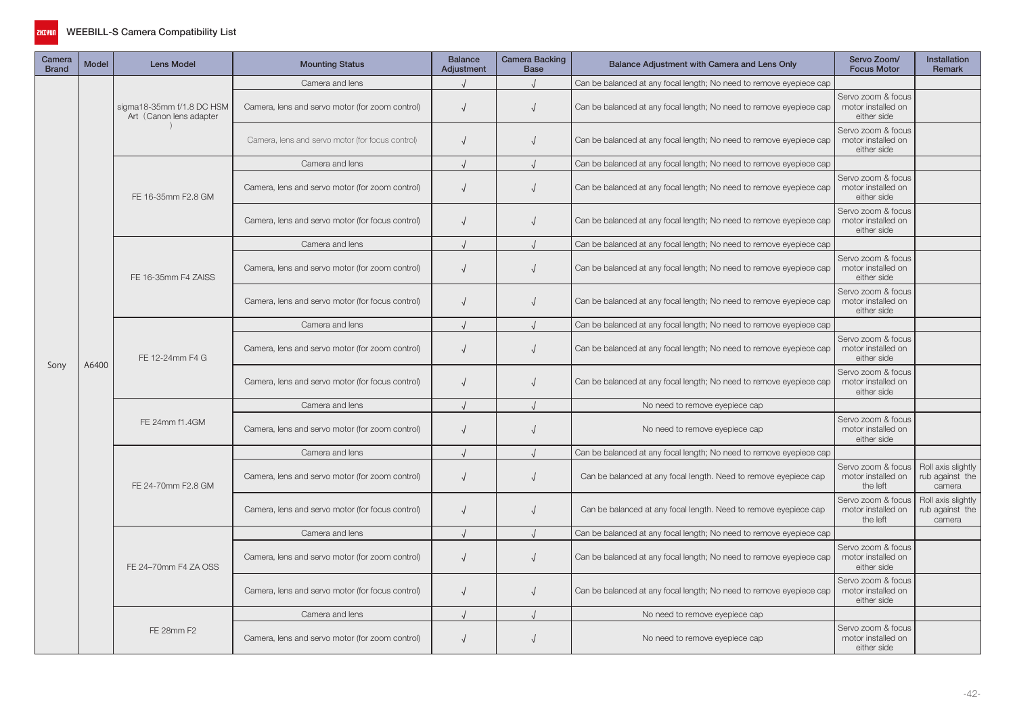

| Camera<br><b>Brand</b> | Model | <b>Lens Model</b>                                    | <b>Mounting Status</b>                           | <b>Balance</b><br>Adjustment | Camera Backing<br><b>Base</b> | Balance Adjustment with Camera and Lens Only                        | Servo Zoom/<br><b>Focus Motor</b>                                                                                                                                                                                                                                                                                                                                                                                                                                                                                                                                                                                                                                                                     | <b>Installation</b><br><b>Remark</b>  |
|------------------------|-------|------------------------------------------------------|--------------------------------------------------|------------------------------|-------------------------------|---------------------------------------------------------------------|-------------------------------------------------------------------------------------------------------------------------------------------------------------------------------------------------------------------------------------------------------------------------------------------------------------------------------------------------------------------------------------------------------------------------------------------------------------------------------------------------------------------------------------------------------------------------------------------------------------------------------------------------------------------------------------------------------|---------------------------------------|
|                        |       |                                                      | Camera and lens                                  |                              |                               | Can be balanced at any focal length; No need to remove eyepiece cap |                                                                                                                                                                                                                                                                                                                                                                                                                                                                                                                                                                                                                                                                                                       |                                       |
|                        |       | sigma18-35mm f/1.8 DC HSM<br>Art (Canon lens adapter | Camera, lens and servo motor (for zoom control)  | $\sqrt{ }$                   | $\sqrt{ }$                    | Can be balanced at any focal length; No need to remove eyepiece cap | Servo zoom & focus<br>motor installed on<br>either side                                                                                                                                                                                                                                                                                                                                                                                                                                                                                                                                                                                                                                               |                                       |
|                        |       |                                                      | Camera, lens and servo motor (for focus control) | $\sqrt{ }$                   | $\sqrt{ }$                    | Can be balanced at any focal length; No need to remove eyepiece cap | Servo zoom & focus<br>motor installed on<br>either side                                                                                                                                                                                                                                                                                                                                                                                                                                                                                                                                                                                                                                               |                                       |
|                        |       |                                                      | Camera and lens                                  |                              |                               | Can be balanced at any focal length; No need to remove eyepiece cap |                                                                                                                                                                                                                                                                                                                                                                                                                                                                                                                                                                                                                                                                                                       |                                       |
|                        |       | FE 16-35mm F2.8 GM                                   | Camera, lens and servo motor (for zoom control)  | $\sqrt{ }$                   |                               | Can be balanced at any focal length; No need to remove eyepiece cap | Servo zoom & focus<br>motor installed on<br>either side                                                                                                                                                                                                                                                                                                                                                                                                                                                                                                                                                                                                                                               |                                       |
|                        |       |                                                      | Camera, lens and servo motor (for focus control) | $\sqrt{ }$                   | $\sqrt{ }$                    | Can be balanced at any focal length; No need to remove eyepiece cap | Servo zoom & focus<br>motor installed on<br>either side                                                                                                                                                                                                                                                                                                                                                                                                                                                                                                                                                                                                                                               |                                       |
|                        |       |                                                      | Camera and lens                                  |                              |                               | Can be balanced at any focal length; No need to remove eyepiece cap |                                                                                                                                                                                                                                                                                                                                                                                                                                                                                                                                                                                                                                                                                                       |                                       |
|                        |       | FE 16-35mm F4 ZAISS                                  | Camera, lens and servo motor (for zoom control)  | $\sqrt{ }$                   |                               | Can be balanced at any focal length; No need to remove eyepiece cap | Servo zoom & focus<br>motor installed on<br>either side                                                                                                                                                                                                                                                                                                                                                                                                                                                                                                                                                                                                                                               |                                       |
|                        |       |                                                      | Camera, lens and servo motor (for focus control) | $\sqrt{ }$                   | $\sqrt{ }$                    | Can be balanced at any focal length; No need to remove eyepiece cap | Servo zoom & focus<br>motor installed on<br>either side<br>Servo zoom & focus<br>motor installed on<br>either side<br>Servo zoom & focus<br>motor installed on<br>either side<br>No need to remove eyepiece cap<br>Servo zoom & focus<br>No need to remove eyepiece cap<br>motor installed on<br>either side<br>Servo zoom & focus<br>motor installed on<br>the left<br>camera<br>Servo zoom & focus<br>motor installed on<br>the left<br>camera<br>Servo zoom & focus<br>motor installed on<br>either side<br>Servo zoom & focus<br>motor installed on<br>either side<br>No need to remove eyepiece cap<br>Servo zoom & focus<br>No need to remove eyepiece cap<br>motor installed on<br>either side |                                       |
|                        |       |                                                      | Camera and lens                                  |                              |                               | Can be balanced at any focal length; No need to remove eyepiece cap |                                                                                                                                                                                                                                                                                                                                                                                                                                                                                                                                                                                                                                                                                                       |                                       |
|                        |       | FE 12-24mm F4 G                                      | Camera, lens and servo motor (for zoom control)  | $\sqrt{ }$                   | $\sqrt{ }$                    | Can be balanced at any focal length; No need to remove eyepiece cap |                                                                                                                                                                                                                                                                                                                                                                                                                                                                                                                                                                                                                                                                                                       |                                       |
| Sony                   | A6400 |                                                      | Camera, lens and servo motor (for focus control) | $\sqrt{ }$                   | $\sqrt{ }$                    | Can be balanced at any focal length; No need to remove eyepiece cap |                                                                                                                                                                                                                                                                                                                                                                                                                                                                                                                                                                                                                                                                                                       |                                       |
|                        |       |                                                      | Camera and lens                                  | $\cdot$                      |                               |                                                                     |                                                                                                                                                                                                                                                                                                                                                                                                                                                                                                                                                                                                                                                                                                       |                                       |
|                        |       | FE 24mm f1.4GM                                       | Camera, lens and servo motor (for zoom control)  | $\sqrt{ }$                   |                               |                                                                     |                                                                                                                                                                                                                                                                                                                                                                                                                                                                                                                                                                                                                                                                                                       |                                       |
|                        |       |                                                      | Camera and lens                                  |                              |                               | Can be balanced at any focal length; No need to remove eyepiece cap |                                                                                                                                                                                                                                                                                                                                                                                                                                                                                                                                                                                                                                                                                                       |                                       |
|                        |       | FE 24-70mm F2.8 GM                                   | Camera, lens and servo motor (for zoom control)  | $\sqrt{ }$                   |                               | Can be balanced at any focal length. Need to remove eyepiece cap    |                                                                                                                                                                                                                                                                                                                                                                                                                                                                                                                                                                                                                                                                                                       | Roll axis slightly<br>rub against the |
|                        |       |                                                      | Camera, lens and servo motor (for focus control) | $\sqrt{ }$                   | $\sqrt{ }$                    | Can be balanced at any focal length. Need to remove eyepiece cap    |                                                                                                                                                                                                                                                                                                                                                                                                                                                                                                                                                                                                                                                                                                       | Roll axis slightly<br>rub against the |
|                        |       |                                                      | Camera and lens                                  |                              |                               | Can be balanced at any focal length; No need to remove eyepiece cap |                                                                                                                                                                                                                                                                                                                                                                                                                                                                                                                                                                                                                                                                                                       |                                       |
|                        |       | FE 24-70mm F4 ZA OSS                                 | Camera, lens and servo motor (for zoom control)  | $\sqrt{ }$                   |                               | Can be balanced at any focal length; No need to remove eyepiece cap |                                                                                                                                                                                                                                                                                                                                                                                                                                                                                                                                                                                                                                                                                                       |                                       |
|                        |       |                                                      | Camera, lens and servo motor (for focus control) | $\sqrt{ }$                   |                               | Can be balanced at any focal length; No need to remove eyepiece cap |                                                                                                                                                                                                                                                                                                                                                                                                                                                                                                                                                                                                                                                                                                       |                                       |
|                        |       |                                                      | Camera and lens                                  |                              |                               |                                                                     |                                                                                                                                                                                                                                                                                                                                                                                                                                                                                                                                                                                                                                                                                                       |                                       |
|                        |       | FE 28mm F2                                           | Camera, lens and servo motor (for zoom control)  | $\sqrt{ }$                   |                               |                                                                     |                                                                                                                                                                                                                                                                                                                                                                                                                                                                                                                                                                                                                                                                                                       |                                       |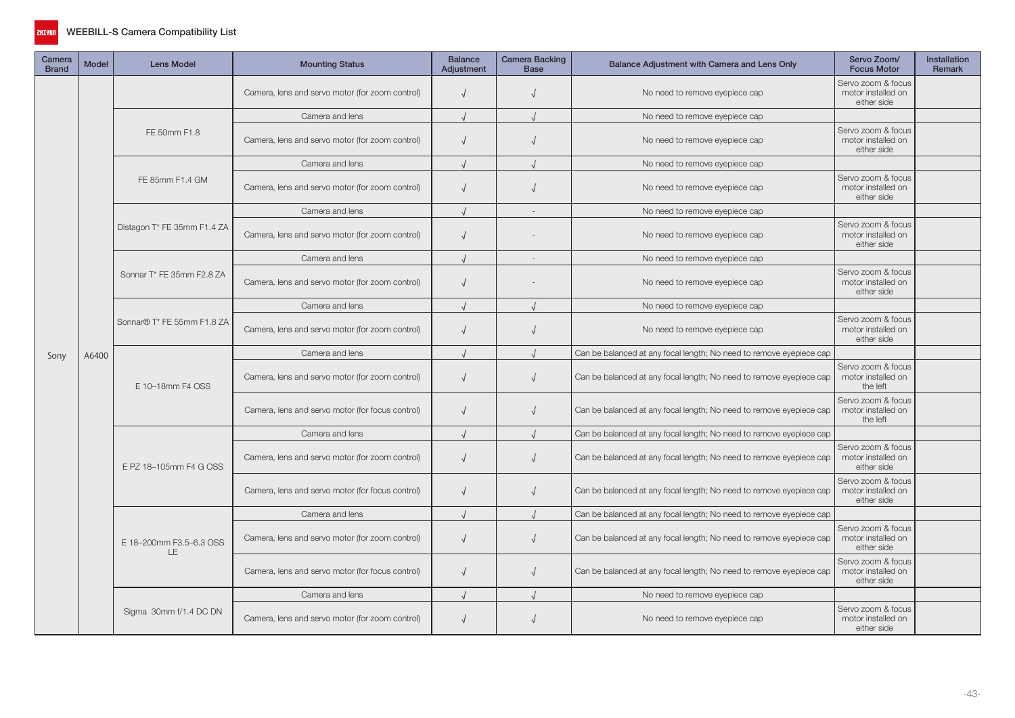

| Camera<br><b>Brand</b> | <b>Model</b> | <b>Lens Model</b>              | <b>Mounting Status</b>                           | <b>Balance</b><br>Adjustment | Camera Backing<br><b>Base</b> | Balance Adjustment with Camera and Lens Only                        | Servo Zoom/<br><b>Focus Motor</b>                                                                                                                                                                                                                                              | <b>Installation</b><br><b>Remark</b> |
|------------------------|--------------|--------------------------------|--------------------------------------------------|------------------------------|-------------------------------|---------------------------------------------------------------------|--------------------------------------------------------------------------------------------------------------------------------------------------------------------------------------------------------------------------------------------------------------------------------|--------------------------------------|
|                        |              |                                | Camera, lens and servo motor (for zoom control)  | $\sqrt{ }$                   |                               | No need to remove eyepiece cap                                      | Servo zoom & focus<br>motor installed on<br>either side                                                                                                                                                                                                                        |                                      |
|                        |              |                                | Camera and lens                                  |                              |                               | No need to remove eyepiece cap                                      |                                                                                                                                                                                                                                                                                |                                      |
|                        |              | FE 50mm F1.8                   | Camera, lens and servo motor (for zoom control)  | $\sqrt{ }$                   |                               | No need to remove eyepiece cap                                      | Servo zoom & focus<br>motor installed on<br>either side                                                                                                                                                                                                                        |                                      |
|                        |              |                                | Camera and lens                                  |                              |                               | No need to remove eyepiece cap                                      |                                                                                                                                                                                                                                                                                |                                      |
|                        |              | FE 85mm F1.4 GM                | Camera, lens and servo motor (for zoom control)  | $\sqrt{ }$                   |                               | No need to remove eyepiece cap                                      | Servo zoom & focus<br>motor installed on<br>either side                                                                                                                                                                                                                        |                                      |
|                        |              |                                | Camera and lens                                  |                              | $\overline{\phantom{a}}$      | No need to remove eyepiece cap                                      |                                                                                                                                                                                                                                                                                |                                      |
|                        |              | Distagon T* FE 35mm F1.4 ZA    | Camera, lens and servo motor (for zoom control)  | $\sqrt{ }$                   |                               | No need to remove eyepiece cap                                      | Servo zoom & focus<br>motor installed on<br>either side                                                                                                                                                                                                                        |                                      |
|                        |              |                                | Camera and lens                                  | $\cdot$                      | $\sim$                        | No need to remove eyepiece cap                                      | Servo zoom & focus<br>motor installed on<br>either side<br>Servo zoom & focus<br>motor installed on<br>either side<br>Servo zoom & focus<br>motor installed on<br>the left<br>Servo zoom & focus<br>motor installed on<br>the left<br>Servo zoom & focus<br>motor installed on |                                      |
|                        | A6400        | Sonnar T* FE 35mm F2.8 ZA      | Camera, lens and servo motor (for zoom control)  | $\sqrt{ }$                   |                               | No need to remove eyepiece cap                                      |                                                                                                                                                                                                                                                                                |                                      |
|                        |              | Sonnar® T* FE 55mm F1.8 ZA     | Camera and lens                                  | $\sqrt{ }$                   |                               | No need to remove eyepiece cap                                      |                                                                                                                                                                                                                                                                                |                                      |
|                        |              |                                | Camera, lens and servo motor (for zoom control)  | $\sqrt{ }$                   |                               | No need to remove eyepiece cap                                      |                                                                                                                                                                                                                                                                                |                                      |
| Sony                   |              |                                | Camera and lens                                  |                              |                               | Can be balanced at any focal length; No need to remove eyepiece cap |                                                                                                                                                                                                                                                                                |                                      |
|                        |              | E 10-18mm F4 OSS               | Camera, lens and servo motor (for zoom control)  | $\sqrt{ }$                   |                               | Can be balanced at any focal length; No need to remove eyepiece cap |                                                                                                                                                                                                                                                                                |                                      |
|                        |              |                                | Camera, lens and servo motor (for focus control) | $\sqrt{ }$                   |                               | Can be balanced at any focal length; No need to remove eyepiece cap |                                                                                                                                                                                                                                                                                |                                      |
|                        |              |                                | Camera and lens                                  |                              |                               | Can be balanced at any focal length; No need to remove eyepiece cap |                                                                                                                                                                                                                                                                                |                                      |
|                        |              | E PZ 18-105mm F4 G OSS         | Camera, lens and servo motor (for zoom control)  | $\sqrt{ }$                   | $\sqrt{ }$                    | Can be balanced at any focal length; No need to remove eyepiece cap | either side                                                                                                                                                                                                                                                                    |                                      |
|                        |              |                                | Camera, lens and servo motor (for focus control) | $\sqrt{ }$                   |                               | Can be balanced at any focal length; No need to remove eyepiece cap | Servo zoom & focus<br>motor installed on<br>either side                                                                                                                                                                                                                        |                                      |
|                        |              |                                | Camera and lens                                  |                              |                               | Can be balanced at any focal length; No need to remove eyepiece cap |                                                                                                                                                                                                                                                                                |                                      |
|                        |              | E 18-200mm F3.5-6.3 OSS<br>LE. | Camera, lens and servo motor (for zoom control)  | $\sqrt{ }$                   |                               | Can be balanced at any focal length; No need to remove eyepiece cap | Servo zoom & focus<br>motor installed on<br>either side                                                                                                                                                                                                                        |                                      |
|                        |              |                                | Camera, lens and servo motor (for focus control) | $\sqrt{ }$                   |                               | Can be balanced at any focal length; No need to remove eyepiece cap | Servo zoom & focus<br>motor installed on<br>either side                                                                                                                                                                                                                        |                                      |
|                        |              |                                | Camera and lens                                  |                              |                               | No need to remove eyepiece cap                                      |                                                                                                                                                                                                                                                                                |                                      |
|                        |              | Sigma 30mm f/1.4 DC DN         | Camera, lens and servo motor (for zoom control)  | $\sqrt{ }$                   |                               | No need to remove eyepiece cap                                      | Servo zoom & focus<br>motor installed on<br>either side                                                                                                                                                                                                                        |                                      |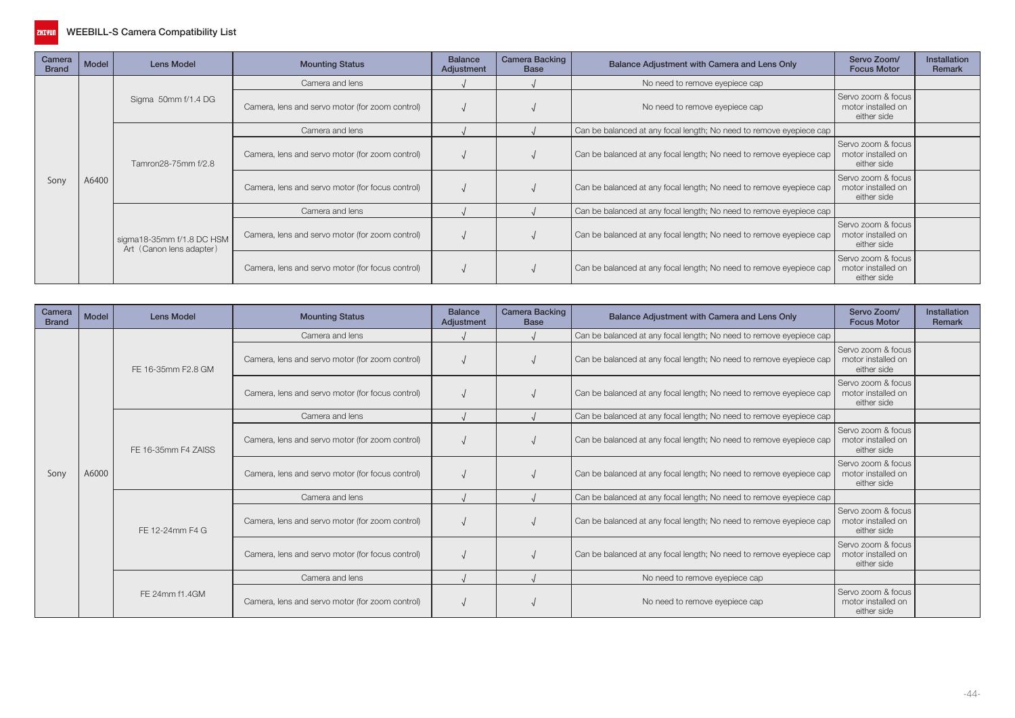

| Camera<br><b>Brand</b> | Model                        | Lens Model                                            | <b>Mounting Status</b>                           | <b>Balance</b><br>Adjustment | <b>Camera Backing</b><br><b>Base</b> | Balance Adjustment with Camera and Lens Only                        | Servo Zoom/<br><b>Focus Motor</b>                       | Installation<br>Remark |
|------------------------|------------------------------|-------------------------------------------------------|--------------------------------------------------|------------------------------|--------------------------------------|---------------------------------------------------------------------|---------------------------------------------------------|------------------------|
|                        |                              |                                                       | Camera and lens                                  |                              |                                      | No need to remove eyepiece cap                                      |                                                         |                        |
|                        |                              | Sigma 50mm f/1.4 DG                                   | Camera, lens and servo motor (for zoom control)  |                              |                                      | No need to remove eyepiece cap                                      | Servo zoom & focus<br>motor installed on<br>either side |                        |
|                        |                              |                                                       | Camera and lens                                  |                              |                                      | Can be balanced at any focal length; No need to remove eyepiece cap |                                                         |                        |
|                        | Tamron28-75mm f/2.8<br>A6400 |                                                       | Camera, lens and servo motor (for zoom control)  |                              |                                      | Can be balanced at any focal length; No need to remove eyepiece cap | Servo zoom & focus<br>motor installed on<br>either side |                        |
| Sony                   |                              |                                                       | Camera, lens and servo motor (for focus control) |                              |                                      | Can be balanced at any focal length; No need to remove eyepiece cap | Servo zoom & focus<br>motor installed on<br>either side |                        |
|                        |                              |                                                       | Camera and lens                                  |                              |                                      | Can be balanced at any focal length; No need to remove eyepiece cap |                                                         |                        |
|                        |                              | sigma18-35mm f/1.8 DC HSM<br>Art (Canon lens adapter) | Camera, lens and servo motor (for zoom control)  |                              |                                      | Can be balanced at any focal length; No need to remove eyepiece cap | Servo zoom & focus<br>motor installed on<br>either side |                        |
|                        |                              |                                                       | Camera, lens and servo motor (for focus control) |                              |                                      | Can be balanced at any focal length; No need to remove eyepiece cap | Servo zoom & focus<br>motor installed on<br>either side |                        |

| Camera<br><b>Brand</b> | <b>Model</b> | <b>Lens Model</b>                                | <b>Mounting Status</b>                           | <b>Balance</b><br>Adjustment | <b>Camera Backing</b><br><b>Base</b>                                | Balance Adjustment with Camera and Lens Only                        | Servo Zoom/<br><b>Focus Motor</b>                       | <b>Installation</b><br>Remark |
|------------------------|--------------|--------------------------------------------------|--------------------------------------------------|------------------------------|---------------------------------------------------------------------|---------------------------------------------------------------------|---------------------------------------------------------|-------------------------------|
|                        |              |                                                  | Camera and lens                                  |                              |                                                                     | Can be balanced at any focal length; No need to remove eyepiece cap |                                                         |                               |
|                        |              | FE 16-35mm F2.8 GM                               | Camera, lens and servo motor (for zoom control)  |                              |                                                                     | Can be balanced at any focal length; No need to remove eyepiece cap | Servo zoom & focus<br>motor installed on<br>either side |                               |
|                        |              | Camera, lens and servo motor (for focus control) |                                                  |                              | Can be balanced at any focal length; No need to remove eyepiece cap | Servo zoom & focus<br>motor installed on<br>either side             |                                                         |                               |
|                        |              |                                                  | Camera and lens                                  |                              |                                                                     | Can be balanced at any focal length; No need to remove eyepiece cap |                                                         |                               |
|                        |              | FE 16-35mm F4 ZAISS                              | Camera, lens and servo motor (for zoom control)  |                              |                                                                     | Can be balanced at any focal length; No need to remove eyepiece cap | Servo zoom & focus<br>motor installed on<br>either side |                               |
| Sony                   | A6000        |                                                  | Camera, lens and servo motor (for focus control) |                              |                                                                     | Can be balanced at any focal length; No need to remove eyepiece cap | Servo zoom & focus<br>motor installed on<br>either side |                               |
|                        |              |                                                  | Camera and lens                                  |                              |                                                                     | Can be balanced at any focal length; No need to remove eyepiece cap |                                                         |                               |
|                        |              | FE 12-24mm F4 G                                  | Camera, lens and servo motor (for zoom control)  |                              |                                                                     | Can be balanced at any focal length; No need to remove eyepiece cap | Servo zoom & focus<br>motor installed on<br>either side |                               |
|                        |              |                                                  | Camera, lens and servo motor (for focus control) |                              |                                                                     | Can be balanced at any focal length; No need to remove eyepiece cap | Servo zoom & focus<br>motor installed on<br>either side |                               |
|                        |              |                                                  | Camera and lens                                  |                              |                                                                     | No need to remove eyepiece cap                                      |                                                         |                               |
|                        |              | FE 24mm f1.4GM                                   | Camera, lens and servo motor (for zoom control)  |                              |                                                                     | No need to remove eyepiece cap                                      | Servo zoom & focus<br>motor installed on<br>either side |                               |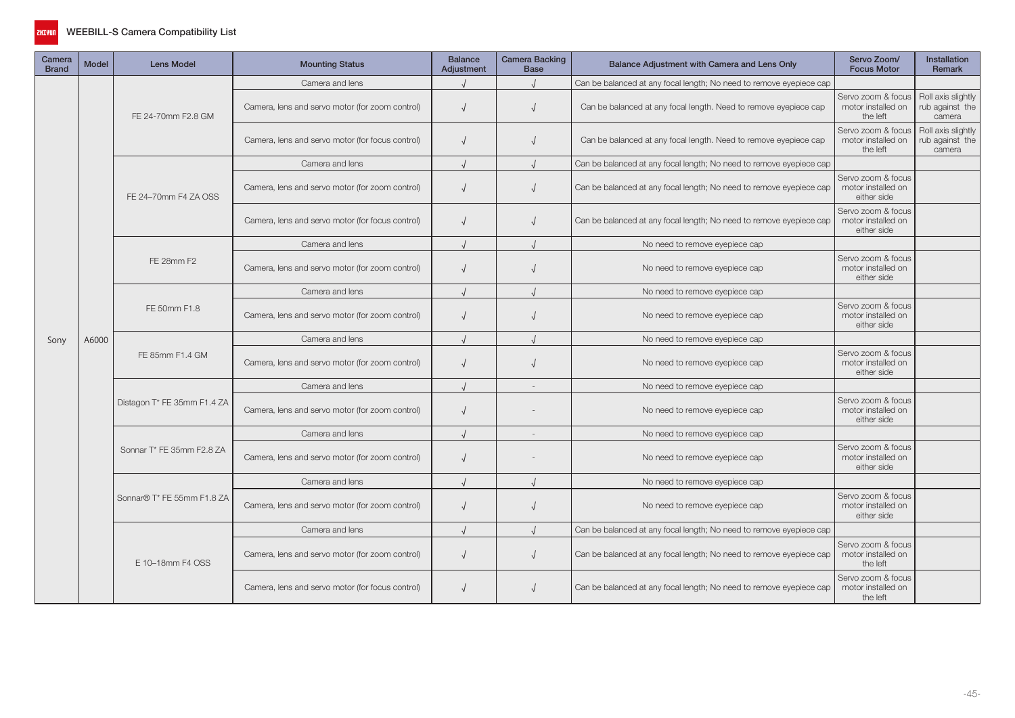

| Camera<br><b>Brand</b> | <b>Model</b> | <b>Lens Model</b>           | <b>Mounting Status</b>                           | <b>Balance</b><br>Adjustment | <b>Camera Backing</b><br><b>Base</b> | Balance Adjustment with Camera and Lens Only                        | Servo Zoom/<br><b>Focus Motor</b>                                                                                                                                                                                                                                                                                                                        | <b>Installation</b><br><b>Remark</b>            |
|------------------------|--------------|-----------------------------|--------------------------------------------------|------------------------------|--------------------------------------|---------------------------------------------------------------------|----------------------------------------------------------------------------------------------------------------------------------------------------------------------------------------------------------------------------------------------------------------------------------------------------------------------------------------------------------|-------------------------------------------------|
|                        |              |                             | Camera and lens                                  |                              |                                      | Can be balanced at any focal length; No need to remove eyepiece cap |                                                                                                                                                                                                                                                                                                                                                          |                                                 |
|                        |              | FE 24-70mm F2.8 GM          | Camera, lens and servo motor (for zoom control)  | $\sqrt{ }$                   |                                      | Can be balanced at any focal length. Need to remove eyepiece cap    | Servo zoom & focus<br>motor installed on<br>the left                                                                                                                                                                                                                                                                                                     | Roll axis slightly<br>rub against the<br>camera |
|                        |              |                             | Camera, lens and servo motor (for focus control) | $\sqrt{ }$                   |                                      | Can be balanced at any focal length. Need to remove eyepiece cap    | Servo zoom & focus<br>motor installed on<br>the left                                                                                                                                                                                                                                                                                                     | Roll axis slightly<br>rub against the<br>camera |
|                        |              |                             | Camera and lens                                  |                              |                                      | Can be balanced at any focal length; No need to remove eyepiece cap |                                                                                                                                                                                                                                                                                                                                                          |                                                 |
|                        |              | FE 24-70mm F4 ZA OSS        | Camera, lens and servo motor (for zoom control)  | $\sqrt{ }$                   |                                      | Can be balanced at any focal length; No need to remove eyepiece cap | Servo zoom & focus<br>motor installed on<br>either side                                                                                                                                                                                                                                                                                                  |                                                 |
|                        |              |                             | Camera, lens and servo motor (for focus control) | $\sqrt{ }$                   |                                      | Can be balanced at any focal length; No need to remove eyepiece cap | Servo zoom & focus<br>motor installed on<br>either side                                                                                                                                                                                                                                                                                                  |                                                 |
|                        |              |                             | Camera and lens                                  |                              |                                      | No need to remove eyepiece cap                                      |                                                                                                                                                                                                                                                                                                                                                          |                                                 |
|                        |              | FE 28mm F2                  | Camera, lens and servo motor (for zoom control)  |                              |                                      | No need to remove eyepiece cap                                      | Servo zoom & focus<br>motor installed on<br>either side                                                                                                                                                                                                                                                                                                  |                                                 |
|                        |              |                             | Camera and lens                                  |                              |                                      | No need to remove eyepiece cap                                      |                                                                                                                                                                                                                                                                                                                                                          |                                                 |
|                        |              | FE 50mm F1.8                | Camera, lens and servo motor (for zoom control)  | $\sqrt{ }$                   |                                      | No need to remove eyepiece cap                                      | Servo zoom & focus<br>motor installed on<br>either side                                                                                                                                                                                                                                                                                                  |                                                 |
| Sony                   | A6000        |                             | Camera and lens                                  |                              |                                      | No need to remove eyepiece cap                                      | Servo zoom & focus<br>motor installed on<br>either side<br>Servo zoom & focus<br>motor installed on<br>either side<br>Servo zoom & focus<br>motor installed on<br>either side<br>Servo zoom & focus<br>motor installed on<br>either side<br>Servo zoom & focus<br>motor installed on<br>the left<br>Servo zoom & focus<br>motor installed on<br>the left |                                                 |
|                        |              | FE 85mm F1.4 GM             | Camera, lens and servo motor (for zoom control)  | $\sqrt{ }$                   |                                      | No need to remove eyepiece cap                                      |                                                                                                                                                                                                                                                                                                                                                          |                                                 |
|                        |              |                             | Camera and lens                                  |                              |                                      | No need to remove eyepiece cap                                      |                                                                                                                                                                                                                                                                                                                                                          |                                                 |
|                        |              | Distagon T* FE 35mm F1.4 ZA | Camera, lens and servo motor (for zoom control)  | $\sqrt{ }$                   |                                      | No need to remove eyepiece cap                                      |                                                                                                                                                                                                                                                                                                                                                          |                                                 |
|                        |              |                             | Camera and lens                                  |                              |                                      | No need to remove eyepiece cap                                      |                                                                                                                                                                                                                                                                                                                                                          |                                                 |
|                        |              | Sonnar T* FE 35mm F2.8 ZA   | Camera, lens and servo motor (for zoom control)  | $\sqrt{ }$                   |                                      | No need to remove eyepiece cap                                      |                                                                                                                                                                                                                                                                                                                                                          |                                                 |
|                        |              |                             | Camera and lens                                  |                              |                                      | No need to remove eyepiece cap                                      |                                                                                                                                                                                                                                                                                                                                                          |                                                 |
|                        |              | Sonnar® T* FE 55mm F1.8 ZA  | Camera, lens and servo motor (for zoom control)  | $\sqrt{ }$                   | $\sqrt{2}$                           | No need to remove eyepiece cap                                      |                                                                                                                                                                                                                                                                                                                                                          |                                                 |
|                        |              |                             | Camera and lens                                  |                              |                                      | Can be balanced at any focal length; No need to remove eyepiece cap |                                                                                                                                                                                                                                                                                                                                                          |                                                 |
|                        |              | E 10-18mm F4 OSS            | Camera, lens and servo motor (for zoom control)  | $\sqrt{ }$                   |                                      | Can be balanced at any focal length; No need to remove eyepiece cap |                                                                                                                                                                                                                                                                                                                                                          |                                                 |
|                        |              |                             | Camera, lens and servo motor (for focus control) | $\sqrt{ }$                   |                                      | Can be balanced at any focal length; No need to remove eyepiece cap |                                                                                                                                                                                                                                                                                                                                                          |                                                 |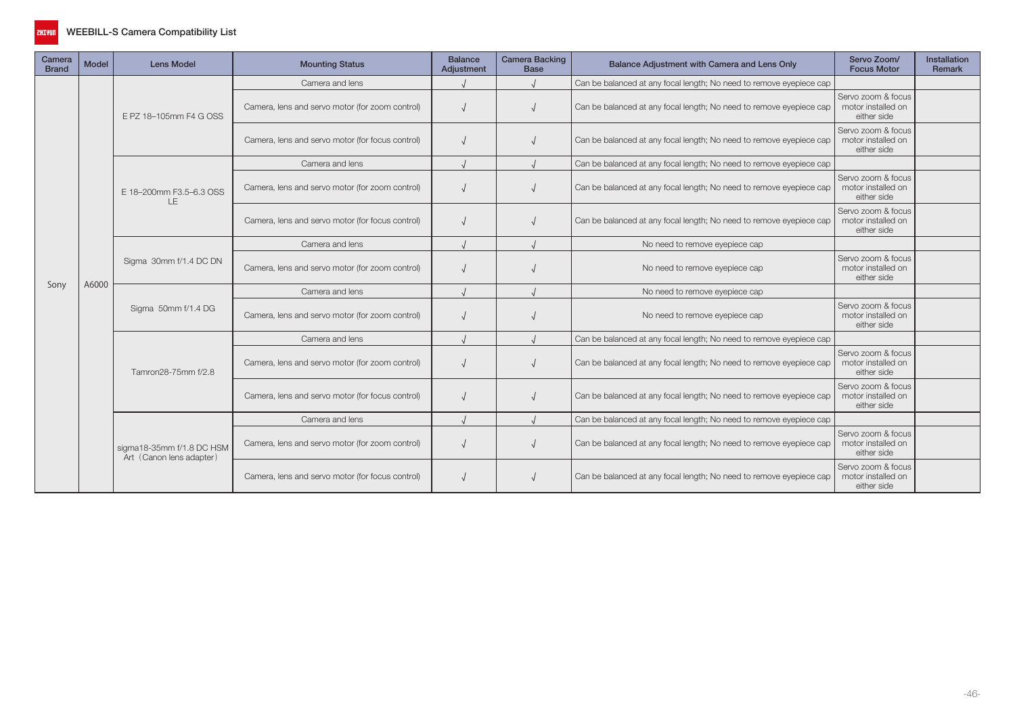

| Camera<br><b>Brand</b> | <b>Model</b> | <b>Lens Model</b>                                     | <b>Mounting Status</b>                           | <b>Balance</b><br>Adjustment | <b>Camera Backing</b><br><b>Base</b> | Balance Adjustment with Camera and Lens Only                        | Servo Zoom/<br><b>Focus Motor</b>                                                                                                                                                                                                                                                                                                                              | <b>Installation</b><br><b>Remark</b> |
|------------------------|--------------|-------------------------------------------------------|--------------------------------------------------|------------------------------|--------------------------------------|---------------------------------------------------------------------|----------------------------------------------------------------------------------------------------------------------------------------------------------------------------------------------------------------------------------------------------------------------------------------------------------------------------------------------------------------|--------------------------------------|
|                        |              |                                                       | Camera and lens                                  |                              |                                      | Can be balanced at any focal length; No need to remove eyepiece cap |                                                                                                                                                                                                                                                                                                                                                                |                                      |
|                        |              | E PZ 18-105mm F4 G OSS                                | Camera, lens and servo motor (for zoom control)  |                              |                                      | Can be balanced at any focal length; No need to remove eyepiece cap | Servo zoom & focus<br>motor installed on<br>either side                                                                                                                                                                                                                                                                                                        |                                      |
|                        | A6000        |                                                       | Camera, lens and servo motor (for focus control) |                              |                                      | Can be balanced at any focal length; No need to remove eyepiece cap | Servo zoom & focus<br>motor installed on<br>either side                                                                                                                                                                                                                                                                                                        |                                      |
|                        |              |                                                       | Camera and lens                                  |                              |                                      | Can be balanced at any focal length; No need to remove eyepiece cap |                                                                                                                                                                                                                                                                                                                                                                |                                      |
|                        |              | E 18-200mm F3.5-6.3 OSS<br>LE                         | Camera, lens and servo motor (for zoom control)  |                              |                                      | Can be balanced at any focal length; No need to remove eyepiece cap | Servo zoom & focus<br>motor installed on<br>either side                                                                                                                                                                                                                                                                                                        |                                      |
|                        |              |                                                       | Camera, lens and servo motor (for focus control) |                              |                                      | Can be balanced at any focal length; No need to remove eyepiece cap | Servo zoom & focus<br>motor installed on<br>either side                                                                                                                                                                                                                                                                                                        |                                      |
|                        |              |                                                       | Camera and lens                                  |                              |                                      | No need to remove eyepiece cap                                      | Servo zoom & focus<br>motor installed on<br>either side<br>Servo zoom & focus<br>motor installed on<br>either side<br>Servo zoom & focus<br>motor installed on<br>either side<br>Servo zoom & focus<br>motor installed on<br>either side<br>Servo zoom & focus<br>motor installed on<br>either side<br>Servo zoom & focus<br>motor installed on<br>either side |                                      |
|                        |              | Sigma 30mm f/1.4 DC DN                                | Camera, lens and servo motor (for zoom control)  |                              |                                      | No need to remove eyepiece cap                                      |                                                                                                                                                                                                                                                                                                                                                                |                                      |
| Sony                   |              |                                                       | Camera and lens                                  |                              |                                      | No need to remove eyepiece cap                                      |                                                                                                                                                                                                                                                                                                                                                                |                                      |
|                        |              | Sigma 50mm f/1.4 DG                                   | Camera, lens and servo motor (for zoom control)  |                              |                                      | No need to remove eyepiece cap                                      |                                                                                                                                                                                                                                                                                                                                                                |                                      |
|                        |              |                                                       | Camera and lens                                  |                              |                                      | Can be balanced at any focal length; No need to remove eyepiece cap |                                                                                                                                                                                                                                                                                                                                                                |                                      |
|                        |              | Tamron28-75mm f/2.8                                   | Camera, lens and servo motor (for zoom control)  |                              |                                      | Can be balanced at any focal length; No need to remove eyepiece cap |                                                                                                                                                                                                                                                                                                                                                                |                                      |
|                        |              |                                                       | Camera, lens and servo motor (for focus control) |                              |                                      | Can be balanced at any focal length; No need to remove eyepiece cap |                                                                                                                                                                                                                                                                                                                                                                |                                      |
|                        |              |                                                       | Camera and lens                                  |                              |                                      | Can be balanced at any focal length; No need to remove eyepiece cap |                                                                                                                                                                                                                                                                                                                                                                |                                      |
|                        |              | sigma18-35mm f/1.8 DC HSM<br>Art (Canon lens adapter) | Camera, lens and servo motor (for zoom control)  |                              |                                      | Can be balanced at any focal length; No need to remove eyepiece cap |                                                                                                                                                                                                                                                                                                                                                                |                                      |
|                        |              |                                                       | Camera, lens and servo motor (for focus control) |                              |                                      | Can be balanced at any focal length; No need to remove eyepiece cap |                                                                                                                                                                                                                                                                                                                                                                |                                      |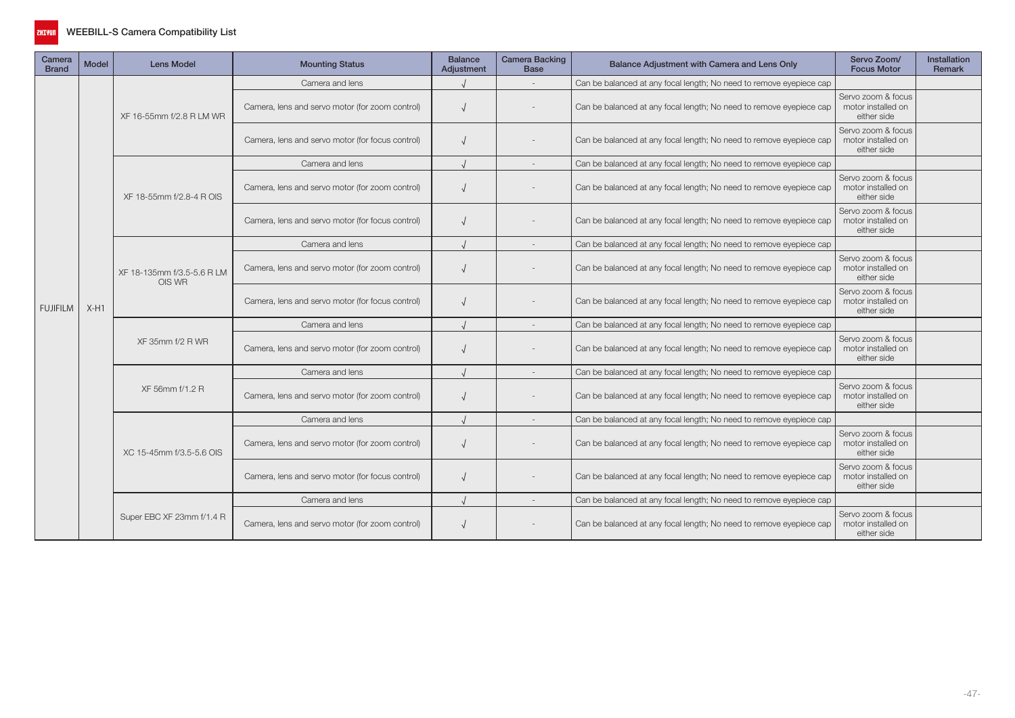

| Camera<br><b>Brand</b> | Model                                | <b>Lens Model</b>                                | <b>Mounting Status</b>                           | <b>Balance</b><br>Adjustment | <b>Camera Backing</b><br><b>Base</b>                                | Balance Adjustment with Camera and Lens Only                        | Servo Zoom/<br><b>Focus Motor</b>                       | <b>Installation</b><br><b>Remark</b> |
|------------------------|--------------------------------------|--------------------------------------------------|--------------------------------------------------|------------------------------|---------------------------------------------------------------------|---------------------------------------------------------------------|---------------------------------------------------------|--------------------------------------|
|                        |                                      |                                                  | Camera and lens                                  |                              |                                                                     | Can be balanced at any focal length; No need to remove eyepiece cap |                                                         |                                      |
|                        |                                      | XF 16-55mm f/2.8 R LM WR                         | Camera, lens and servo motor (for zoom control)  |                              |                                                                     | Can be balanced at any focal length; No need to remove eyepiece cap | Servo zoom & focus<br>motor installed on<br>either side |                                      |
|                        |                                      |                                                  | Camera, lens and servo motor (for focus control) |                              |                                                                     | Can be balanced at any focal length; No need to remove eyepiece cap | Servo zoom & focus<br>motor installed on<br>either side |                                      |
|                        |                                      |                                                  | Camera and lens                                  |                              |                                                                     | Can be balanced at any focal length; No need to remove eyepiece cap |                                                         |                                      |
|                        |                                      | XF 18-55mm f/2.8-4 R OIS                         | Camera, lens and servo motor (for zoom control)  |                              |                                                                     | Can be balanced at any focal length; No need to remove eyepiece cap | Servo zoom & focus<br>motor installed on<br>either side |                                      |
|                        |                                      |                                                  | Camera, lens and servo motor (for focus control) |                              |                                                                     | Can be balanced at any focal length; No need to remove eyepiece cap | Servo zoom & focus<br>motor installed on<br>either side |                                      |
|                        |                                      |                                                  | Camera and lens                                  |                              |                                                                     | Can be balanced at any focal length; No need to remove eyepiece cap |                                                         |                                      |
|                        |                                      | XF 18-135mm f/3.5-5.6 R LM                       | Camera, lens and servo motor (for zoom control)  |                              |                                                                     | Can be balanced at any focal length; No need to remove eyepiece cap | Servo zoom & focus<br>motor installed on<br>either side |                                      |
| <b>FUJIFILM</b>        | OIS WR<br>$X-H1$<br>XF 35mm f/2 R WR | Camera, lens and servo motor (for focus control) |                                                  |                              | Can be balanced at any focal length; No need to remove eyepiece cap | Servo zoom & focus<br>motor installed on<br>either side             |                                                         |                                      |
|                        |                                      |                                                  | Camera and lens                                  |                              |                                                                     | Can be balanced at any focal length; No need to remove eyepiece cap |                                                         |                                      |
|                        |                                      |                                                  | Camera, lens and servo motor (for zoom control)  |                              |                                                                     | Can be balanced at any focal length; No need to remove eyepiece cap | Servo zoom & focus<br>motor installed on<br>either side |                                      |
|                        |                                      |                                                  | Camera and lens                                  |                              |                                                                     | Can be balanced at any focal length; No need to remove eyepiece cap |                                                         |                                      |
|                        |                                      | XF 56mm f/1.2 R                                  | Camera, lens and servo motor (for zoom control)  |                              |                                                                     | Can be balanced at any focal length; No need to remove eyepiece cap | Servo zoom & focus<br>motor installed on<br>either side |                                      |
|                        |                                      |                                                  | Camera and lens                                  |                              |                                                                     | Can be balanced at any focal length; No need to remove eyepiece cap |                                                         |                                      |
|                        |                                      | XC 15-45mm f/3.5-5.6 OIS                         | Camera, lens and servo motor (for zoom control)  |                              |                                                                     | Can be balanced at any focal length; No need to remove eyepiece cap | Servo zoom & focus<br>motor installed on<br>either side |                                      |
|                        |                                      |                                                  | Camera, lens and servo motor (for focus control) |                              |                                                                     | Can be balanced at any focal length; No need to remove eyepiece cap | Servo zoom & focus<br>motor installed on<br>either side |                                      |
|                        |                                      |                                                  | Camera and lens                                  |                              |                                                                     | Can be balanced at any focal length; No need to remove eyepiece cap |                                                         |                                      |
|                        |                                      | Super EBC XF 23mm f/1.4 R                        | Camera, lens and servo motor (for zoom control)  |                              |                                                                     | Can be balanced at any focal length; No need to remove eyepiece cap | Servo zoom & focus<br>motor installed on<br>either side |                                      |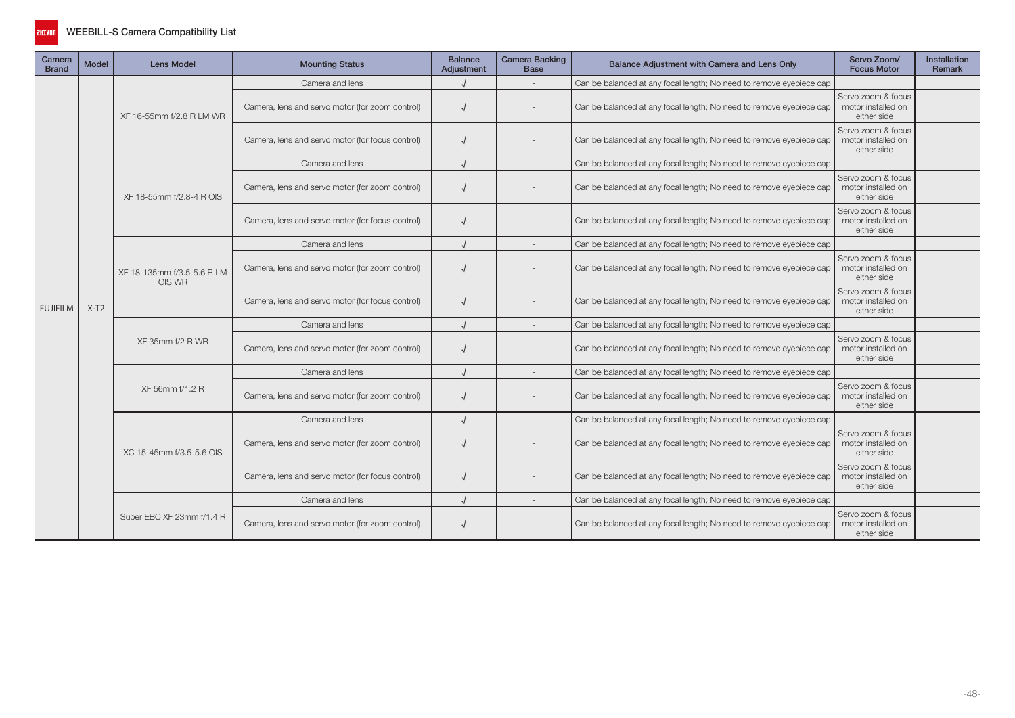

| Camera<br><b>Brand</b> | <b>Model</b> | <b>Lens Model</b>                    | <b>Mounting Status</b>                           | <b>Balance</b><br>Adjustment | <b>Camera Backing</b><br><b>Base</b> | Balance Adjustment with Camera and Lens Only                        | Servo Zoom/<br><b>Focus Motor</b>                       | <b>Installation</b><br>Remark |
|------------------------|--------------|--------------------------------------|--------------------------------------------------|------------------------------|--------------------------------------|---------------------------------------------------------------------|---------------------------------------------------------|-------------------------------|
|                        |              |                                      | Camera and lens                                  |                              |                                      | Can be balanced at any focal length; No need to remove eyepiece cap |                                                         |                               |
|                        |              | XF 16-55mm f/2.8 R LM WR             | Camera, lens and servo motor (for zoom control)  |                              |                                      | Can be balanced at any focal length; No need to remove eyepiece cap | Servo zoom & focus<br>motor installed on<br>either side |                               |
|                        |              |                                      | Camera, lens and servo motor (for focus control) |                              |                                      | Can be balanced at any focal length; No need to remove eyepiece cap | Servo zoom & focus<br>motor installed on<br>either side |                               |
|                        |              |                                      | Camera and lens                                  |                              |                                      | Can be balanced at any focal length; No need to remove eyepiece cap |                                                         |                               |
|                        |              | XF 18-55mm f/2.8-4 R OIS             | Camera, lens and servo motor (for zoom control)  |                              |                                      | Can be balanced at any focal length; No need to remove eyepiece cap | Servo zoom & focus<br>motor installed on<br>either side |                               |
|                        |              |                                      | Camera, lens and servo motor (for focus control) |                              |                                      | Can be balanced at any focal length; No need to remove eyepiece cap | Servo zoom & focus<br>motor installed on<br>either side |                               |
|                        |              |                                      | Camera and lens                                  |                              |                                      | Can be balanced at any focal length; No need to remove eyepiece cap |                                                         |                               |
|                        |              | XF 18-135mm f/3.5-5.6 R LM<br>OIS WR | Camera, lens and servo motor (for zoom control)  |                              |                                      | Can be balanced at any focal length; No need to remove eyepiece cap | Servo zoom & focus<br>motor installed on<br>either side |                               |
| <b>FUJIFILM</b>        | $X-T2$       |                                      | Camera, lens and servo motor (for focus control) |                              |                                      | Can be balanced at any focal length; No need to remove eyepiece cap | Servo zoom & focus<br>motor installed on<br>either side |                               |
|                        |              | XF 35mm f/2 R WR                     | Camera and lens                                  |                              |                                      | Can be balanced at any focal length; No need to remove eyepiece cap |                                                         |                               |
|                        |              |                                      | Camera, lens and servo motor (for zoom control)  |                              |                                      | Can be balanced at any focal length; No need to remove eyepiece cap | Servo zoom & focus<br>motor installed on<br>either side |                               |
|                        |              |                                      | Camera and lens                                  |                              |                                      | Can be balanced at any focal length; No need to remove eyepiece cap |                                                         |                               |
|                        |              | XF 56mm f/1.2 R                      | Camera, lens and servo motor (for zoom control)  |                              |                                      | Can be balanced at any focal length; No need to remove eyepiece cap | Servo zoom & focus<br>motor installed on<br>either side |                               |
|                        |              |                                      | Camera and lens                                  |                              |                                      | Can be balanced at any focal length; No need to remove eyepiece cap |                                                         |                               |
|                        |              | XC 15-45mm f/3.5-5.6 OIS             | Camera, lens and servo motor (for zoom control)  |                              |                                      | Can be balanced at any focal length; No need to remove eyepiece cap | Servo zoom & focus<br>motor installed on<br>either side |                               |
|                        |              |                                      | Camera, lens and servo motor (for focus control) |                              |                                      | Can be balanced at any focal length; No need to remove eyepiece cap | Servo zoom & focus<br>motor installed on<br>either side |                               |
|                        |              |                                      | Camera and lens                                  |                              |                                      | Can be balanced at any focal length; No need to remove eyepiece cap |                                                         |                               |
|                        |              | Super EBC XF 23mm f/1.4 R            | Camera, lens and servo motor (for zoom control)  |                              |                                      | Can be balanced at any focal length; No need to remove eyepiece cap | Servo zoom & focus<br>motor installed on<br>either side |                               |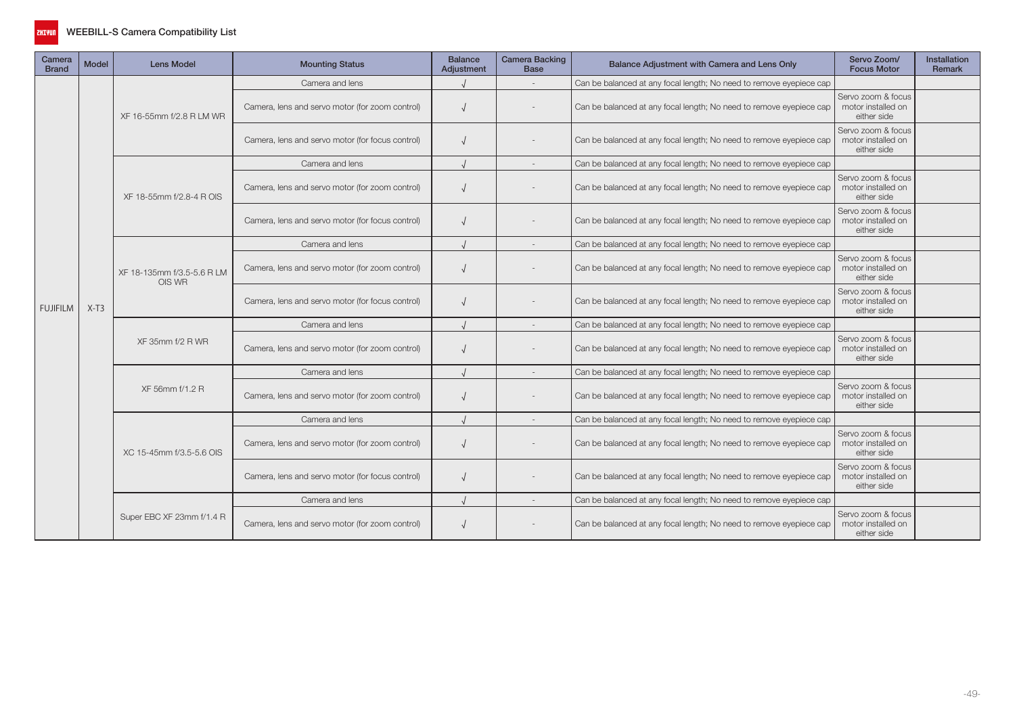

| Camera<br><b>Brand</b> | Model  | <b>Lens Model</b>                    | <b>Mounting Status</b>                           | <b>Balance</b><br>Adjustment | <b>Camera Backing</b><br><b>Base</b> | Balance Adjustment with Camera and Lens Only                        | Servo Zoom/<br><b>Focus Motor</b>                       | <b>Installation</b><br><b>Remark</b> |
|------------------------|--------|--------------------------------------|--------------------------------------------------|------------------------------|--------------------------------------|---------------------------------------------------------------------|---------------------------------------------------------|--------------------------------------|
|                        |        |                                      | Camera and lens                                  |                              |                                      | Can be balanced at any focal length; No need to remove eyepiece cap |                                                         |                                      |
|                        |        | XF 16-55mm f/2.8 R LM WR             | Camera, lens and servo motor (for zoom control)  |                              |                                      | Can be balanced at any focal length; No need to remove eyepiece cap | Servo zoom & focus<br>motor installed on<br>either side |                                      |
|                        |        |                                      | Camera, lens and servo motor (for focus control) |                              |                                      | Can be balanced at any focal length; No need to remove eyepiece cap | Servo zoom & focus<br>motor installed on<br>either side |                                      |
|                        |        |                                      | Camera and lens                                  |                              |                                      | Can be balanced at any focal length; No need to remove eyepiece cap |                                                         |                                      |
|                        |        | XF 18-55mm f/2.8-4 R OIS             | Camera, lens and servo motor (for zoom control)  |                              |                                      | Can be balanced at any focal length; No need to remove eyepiece cap | Servo zoom & focus<br>motor installed on<br>either side |                                      |
|                        |        |                                      | Camera, lens and servo motor (for focus control) |                              |                                      | Can be balanced at any focal length; No need to remove eyepiece cap | Servo zoom & focus<br>motor installed on<br>either side |                                      |
|                        |        |                                      | Camera and lens                                  |                              |                                      | Can be balanced at any focal length; No need to remove eyepiece cap |                                                         |                                      |
|                        |        | XF 18-135mm f/3.5-5.6 R LM<br>OIS WR | Camera, lens and servo motor (for zoom control)  |                              |                                      | Can be balanced at any focal length; No need to remove eyepiece cap | Servo zoom & focus<br>motor installed on<br>either side |                                      |
| <b>FUJIFILM</b>        | $X-T3$ |                                      | Camera, lens and servo motor (for focus control) |                              |                                      | Can be balanced at any focal length; No need to remove eyepiece cap | Servo zoom & focus<br>motor installed on<br>either side |                                      |
|                        |        |                                      | Camera and lens                                  |                              |                                      | Can be balanced at any focal length; No need to remove eyepiece cap |                                                         |                                      |
|                        |        | XF 35mm f/2 R WR                     | Camera, lens and servo motor (for zoom control)  |                              |                                      | Can be balanced at any focal length; No need to remove eyepiece cap | Servo zoom & focus<br>motor installed on<br>either side |                                      |
|                        |        |                                      | Camera and lens                                  |                              |                                      | Can be balanced at any focal length; No need to remove eyepiece cap |                                                         |                                      |
|                        |        | XF 56mm f/1.2 R                      | Camera, lens and servo motor (for zoom control)  |                              |                                      | Can be balanced at any focal length; No need to remove eyepiece cap | Servo zoom & focus<br>motor installed on<br>either side |                                      |
|                        |        |                                      | Camera and lens                                  |                              |                                      | Can be balanced at any focal length; No need to remove eyepiece cap |                                                         |                                      |
|                        |        | XC 15-45mm f/3.5-5.6 OIS             | Camera, lens and servo motor (for zoom control)  |                              |                                      | Can be balanced at any focal length; No need to remove eyepiece cap | Servo zoom & focus<br>motor installed on<br>either side |                                      |
|                        |        |                                      | Camera, lens and servo motor (for focus control) |                              |                                      | Can be balanced at any focal length; No need to remove eyepiece cap | Servo zoom & focus<br>motor installed on<br>either side |                                      |
|                        |        |                                      | Camera and lens                                  |                              |                                      | Can be balanced at any focal length; No need to remove eyepiece cap |                                                         |                                      |
|                        |        | Super EBC XF 23mm f/1.4 R            | Camera, lens and servo motor (for zoom control)  |                              |                                      | Can be balanced at any focal length; No need to remove eyepiece cap | Servo zoom & focus<br>motor installed on<br>either side |                                      |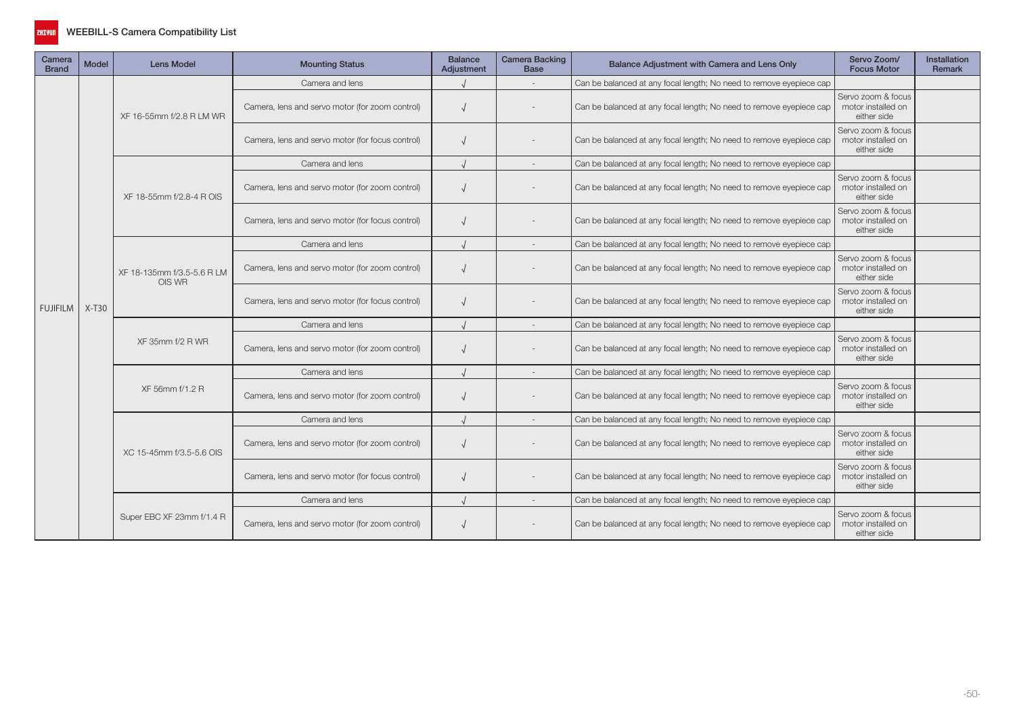

| Camera<br><b>Brand</b> | <b>Model</b> | <b>Lens Model</b>                    | <b>Mounting Status</b>                           | <b>Balance</b><br>Adjustment | <b>Camera Backing</b><br><b>Base</b> | Balance Adjustment with Camera and Lens Only                        | Servo Zoom/<br><b>Focus Motor</b>                       | <b>Installation</b><br>Remark |
|------------------------|--------------|--------------------------------------|--------------------------------------------------|------------------------------|--------------------------------------|---------------------------------------------------------------------|---------------------------------------------------------|-------------------------------|
|                        |              |                                      | Camera and lens                                  |                              |                                      | Can be balanced at any focal length; No need to remove eyepiece cap |                                                         |                               |
|                        |              | XF 16-55mm f/2.8 R LM WR             | Camera, lens and servo motor (for zoom control)  |                              |                                      | Can be balanced at any focal length; No need to remove eyepiece cap | Servo zoom & focus<br>motor installed on<br>either side |                               |
|                        |              |                                      | Camera, lens and servo motor (for focus control) |                              |                                      | Can be balanced at any focal length; No need to remove eyepiece cap | Servo zoom & focus<br>motor installed on<br>either side |                               |
|                        |              |                                      | Camera and lens                                  |                              |                                      | Can be balanced at any focal length; No need to remove eyepiece cap |                                                         |                               |
|                        |              | XF 18-55mm f/2.8-4 R OIS             | Camera, lens and servo motor (for zoom control)  |                              |                                      | Can be balanced at any focal length; No need to remove eyepiece cap | Servo zoom & focus<br>motor installed on<br>either side |                               |
|                        |              |                                      | Camera, lens and servo motor (for focus control) |                              |                                      | Can be balanced at any focal length; No need to remove eyepiece cap | Servo zoom & focus<br>motor installed on<br>either side |                               |
|                        |              |                                      | Camera and lens                                  |                              |                                      | Can be balanced at any focal length; No need to remove eyepiece cap |                                                         |                               |
|                        |              | XF 18-135mm f/3.5-5.6 R LM<br>OIS WR | Camera, lens and servo motor (for zoom control)  |                              |                                      | Can be balanced at any focal length; No need to remove eyepiece cap | Servo zoom & focus<br>motor installed on<br>either side |                               |
| <b>FUJIFILM</b>        | $X-T30$      |                                      | Camera, lens and servo motor (for focus control) |                              |                                      | Can be balanced at any focal length; No need to remove eyepiece cap | Servo zoom & focus<br>motor installed on<br>either side |                               |
|                        |              | XF 35mm f/2 R WR                     | Camera and lens                                  |                              |                                      | Can be balanced at any focal length; No need to remove eyepiece cap |                                                         |                               |
|                        |              |                                      | Camera, lens and servo motor (for zoom control)  |                              |                                      | Can be balanced at any focal length; No need to remove eyepiece cap | Servo zoom & focus<br>motor installed on<br>either side |                               |
|                        |              |                                      | Camera and lens                                  |                              |                                      | Can be balanced at any focal length; No need to remove eyepiece cap |                                                         |                               |
|                        |              | XF 56mm f/1.2 R                      | Camera, lens and servo motor (for zoom control)  |                              |                                      | Can be balanced at any focal length; No need to remove eyepiece cap | Servo zoom & focus<br>motor installed on<br>either side |                               |
|                        |              |                                      | Camera and lens                                  |                              |                                      | Can be balanced at any focal length; No need to remove eyepiece cap |                                                         |                               |
|                        |              | XC 15-45mm f/3.5-5.6 OIS             | Camera, lens and servo motor (for zoom control)  |                              |                                      | Can be balanced at any focal length; No need to remove eyepiece cap | Servo zoom & focus<br>motor installed on<br>either side |                               |
|                        |              |                                      | Camera, lens and servo motor (for focus control) |                              |                                      | Can be balanced at any focal length; No need to remove eyepiece cap | Servo zoom & focus<br>motor installed on<br>either side |                               |
|                        |              |                                      | Camera and lens                                  |                              |                                      | Can be balanced at any focal length; No need to remove eyepiece cap |                                                         |                               |
|                        |              | Super EBC XF 23mm f/1.4 R            | Camera, lens and servo motor (for zoom control)  |                              |                                      | Can be balanced at any focal length; No need to remove eyepiece cap | Servo zoom & focus<br>motor installed on<br>either side |                               |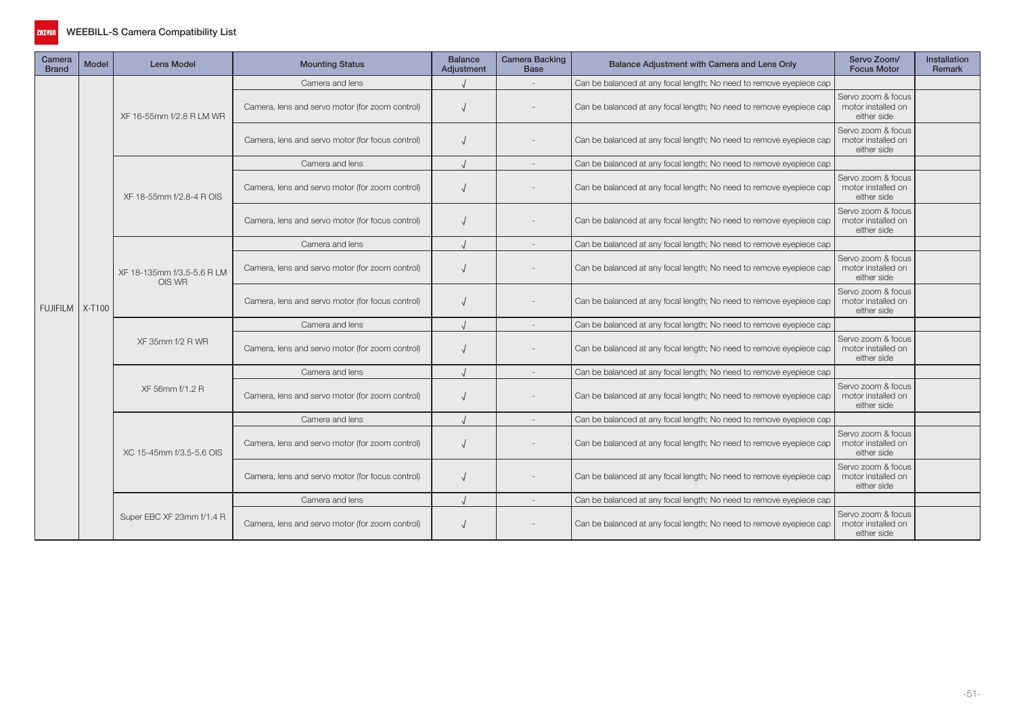

| Camera<br><b>Brand</b> | Model | <b>Lens Model</b>                    | <b>Mounting Status</b>                           | <b>Balance</b><br>Adjustment | <b>Camera Backing</b><br><b>Base</b> | Balance Adjustment with Camera and Lens Only                        | Servo Zoom/<br><b>Focus Motor</b>                       | <b>Installation</b><br>Remark |
|------------------------|-------|--------------------------------------|--------------------------------------------------|------------------------------|--------------------------------------|---------------------------------------------------------------------|---------------------------------------------------------|-------------------------------|
|                        |       | XF 16-55mm f/2.8 R LM WR             | Camera and lens                                  |                              |                                      | Can be balanced at any focal length; No need to remove eyepiece cap |                                                         |                               |
|                        |       |                                      | Camera, lens and servo motor (for zoom control)  |                              |                                      | Can be balanced at any focal length; No need to remove eyepiece cap | Servo zoom & focus<br>motor installed on<br>either side |                               |
|                        |       |                                      | Camera, lens and servo motor (for focus control) |                              |                                      | Can be balanced at any focal length; No need to remove eyepiece cap | Servo zoom & focus<br>motor installed on<br>either side |                               |
|                        |       |                                      | Camera and lens                                  |                              |                                      | Can be balanced at any focal length; No need to remove eyepiece cap |                                                         |                               |
|                        |       | XF 18-55mm f/2.8-4 R OIS             | Camera, lens and servo motor (for zoom control)  |                              |                                      | Can be balanced at any focal length; No need to remove eyepiece cap | Servo zoom & focus<br>motor installed on<br>either side |                               |
|                        |       |                                      | Camera, lens and servo motor (for focus control) |                              |                                      | Can be balanced at any focal length; No need to remove eyepiece cap | Servo zoom & focus<br>motor installed on<br>either side |                               |
|                        |       |                                      | Camera and lens                                  |                              |                                      | Can be balanced at any focal length; No need to remove eyepiece cap |                                                         |                               |
|                        |       | XF 18-135mm f/3.5-5.6 R LM<br>OIS WR | Camera, lens and servo motor (for zoom control)  |                              |                                      | Can be balanced at any focal length; No need to remove eyepiece cap | Servo zoom & focus<br>motor installed on<br>either side |                               |
| FUJIFILM X-T100        |       |                                      | Camera, lens and servo motor (for focus control) |                              |                                      | Can be balanced at any focal length; No need to remove eyepiece cap | Servo zoom & focus<br>motor installed on<br>either side |                               |
|                        |       | XF 35mm f/2 R WR                     | Camera and lens                                  |                              |                                      | Can be balanced at any focal length; No need to remove eyepiece cap |                                                         |                               |
|                        |       |                                      | Camera, lens and servo motor (for zoom control)  |                              |                                      | Can be balanced at any focal length; No need to remove eyepiece cap | Servo zoom & focus<br>motor installed on<br>either side |                               |
|                        |       | XF 56mm f/1.2 R                      | Camera and lens                                  |                              |                                      | Can be balanced at any focal length; No need to remove eyepiece cap |                                                         |                               |
|                        |       |                                      | Camera, lens and servo motor (for zoom control)  |                              |                                      | Can be balanced at any focal length; No need to remove eyepiece cap | Servo zoom & focus<br>motor installed on<br>either side |                               |
|                        |       |                                      | Camera and lens                                  |                              |                                      | Can be balanced at any focal length; No need to remove eyepiece cap |                                                         |                               |
|                        |       | XC 15-45mm f/3.5-5.6 OIS             | Camera, lens and servo motor (for zoom control)  |                              |                                      | Can be balanced at any focal length; No need to remove eyepiece cap | Servo zoom & focus<br>motor installed on<br>either side |                               |
|                        |       |                                      | Camera, lens and servo motor (for focus control) |                              |                                      | Can be balanced at any focal length; No need to remove eyepiece cap | Servo zoom & focus<br>motor installed on<br>either side |                               |
|                        |       |                                      | Camera and lens                                  |                              |                                      | Can be balanced at any focal length; No need to remove eyepiece cap |                                                         |                               |
|                        |       | Super EBC XF 23mm f/1.4 R            | Camera, lens and servo motor (for zoom control)  |                              |                                      | Can be balanced at any focal length; No need to remove eyepiece cap | Servo zoom & focus<br>motor installed on<br>either side |                               |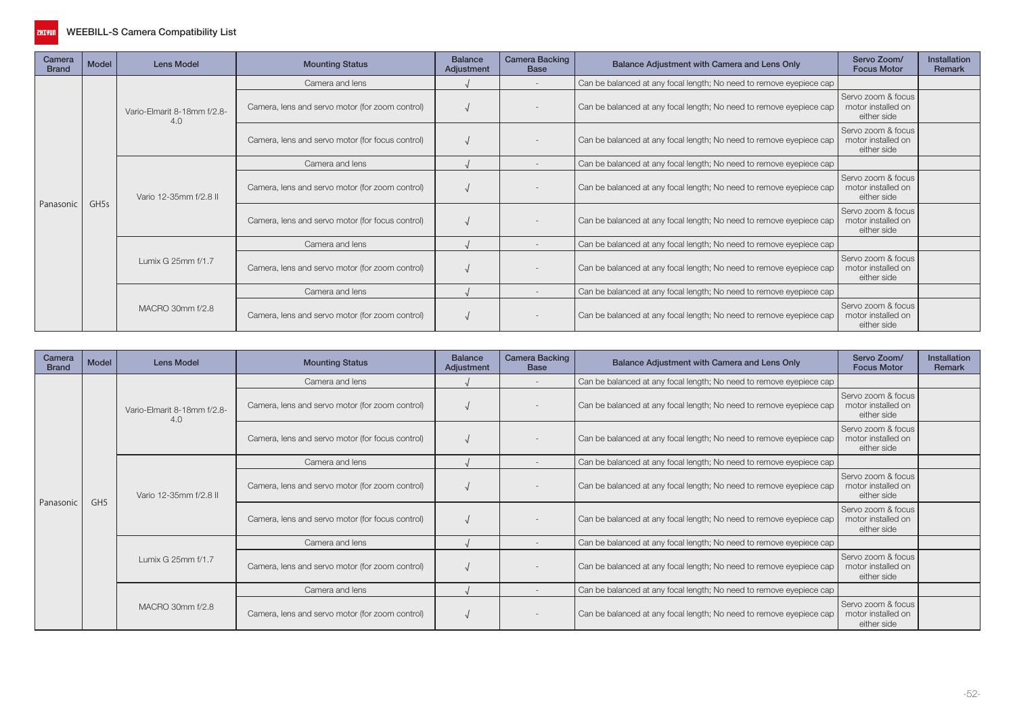

| Camera<br><b>Brand</b> | Model | <b>Lens Model</b>                  | <b>Mounting Status</b>                           | <b>Balance</b><br>Adjustment | <b>Camera Backing</b><br><b>Base</b> | Balance Adjustment with Camera and Lens Only                        | Servo Zoom/<br><b>Focus Motor</b>                       | Installation<br>Remark |
|------------------------|-------|------------------------------------|--------------------------------------------------|------------------------------|--------------------------------------|---------------------------------------------------------------------|---------------------------------------------------------|------------------------|
| Panasonic              | GH5s  | Vario-Elmarit 8-18mm f/2.8-<br>4.0 | Camera and lens                                  |                              |                                      | Can be balanced at any focal length; No need to remove eyepiece cap |                                                         |                        |
|                        |       |                                    | Camera, lens and servo motor (for zoom control)  |                              |                                      | Can be balanced at any focal length; No need to remove eyepiece cap | Servo zoom & focus<br>motor installed on<br>either side |                        |
|                        |       |                                    | Camera, lens and servo motor (for focus control) |                              |                                      | Can be balanced at any focal length; No need to remove eyepiece cap | Servo zoom & focus<br>motor installed on<br>either side |                        |
|                        |       | Vario 12-35mm f/2.8 II             | Camera and lens                                  |                              |                                      | Can be balanced at any focal length; No need to remove eyepiece cap |                                                         |                        |
|                        |       |                                    | Camera, lens and servo motor (for zoom control)  |                              |                                      | Can be balanced at any focal length; No need to remove eyepiece cap | Servo zoom & focus<br>motor installed on<br>either side |                        |
|                        |       |                                    | Camera, lens and servo motor (for focus control) |                              |                                      | Can be balanced at any focal length; No need to remove eyepiece cap | Servo zoom & focus<br>motor installed on<br>either side |                        |
|                        |       | Lumix G 25mm f/1.7                 | Camera and lens                                  |                              |                                      | Can be balanced at any focal length; No need to remove eyepiece cap |                                                         |                        |
|                        |       |                                    | Camera, lens and servo motor (for zoom control)  |                              |                                      | Can be balanced at any focal length; No need to remove eyepiece cap | Servo zoom & focus<br>motor installed on<br>either side |                        |
|                        |       |                                    | Camera and lens                                  |                              |                                      | Can be balanced at any focal length; No need to remove eyepiece cap |                                                         |                        |
|                        |       | MACRO 30mm f/2.8                   | Camera, lens and servo motor (for zoom control)  |                              |                                      | Can be balanced at any focal length; No need to remove eyepiece cap | Servo zoom & focus<br>motor installed on<br>either side |                        |

| Camera<br><b>Brand</b> | Model           | <b>Lens Model</b>                  | <b>Mounting Status</b>                           | <b>Balance</b><br>Adjustment | <b>Camera Backing</b><br><b>Base</b> | Balance Adjustment with Camera and Lens Only                        | Servo Zoom/<br><b>Focus Motor</b>                       | <b>Installation</b><br>Remark |
|------------------------|-----------------|------------------------------------|--------------------------------------------------|------------------------------|--------------------------------------|---------------------------------------------------------------------|---------------------------------------------------------|-------------------------------|
|                        | GH <sub>5</sub> |                                    | Camera and lens                                  |                              |                                      | Can be balanced at any focal length; No need to remove eyepiece cap |                                                         |                               |
|                        |                 | Vario-Elmarit 8-18mm f/2.8-<br>4.0 | Camera, lens and servo motor (for zoom control)  |                              |                                      | Can be balanced at any focal length; No need to remove eyepiece cap | Servo zoom & focus<br>motor installed on<br>either side |                               |
|                        |                 |                                    | Camera, lens and servo motor (for focus control) |                              |                                      | Can be balanced at any focal length; No need to remove eyepiece cap | Servo zoom & focus<br>motor installed on<br>either side |                               |
|                        |                 | Vario 12-35mm f/2.8 II             | Camera and lens                                  |                              |                                      | Can be balanced at any focal length; No need to remove eyepiece cap |                                                         |                               |
|                        |                 |                                    | Camera, lens and servo motor (for zoom control)  |                              |                                      | Can be balanced at any focal length; No need to remove eyepiece cap | Servo zoom & focus<br>motor installed on<br>either side |                               |
| Panasonic              |                 |                                    | Camera, lens and servo motor (for focus control) |                              |                                      | Can be balanced at any focal length; No need to remove eyepiece cap | Servo zoom & focus<br>motor installed on<br>either side |                               |
|                        |                 | Lumix G 25mm f/1.7                 | Camera and lens                                  |                              |                                      | Can be balanced at any focal length; No need to remove eyepiece cap |                                                         |                               |
|                        |                 |                                    | Camera, lens and servo motor (for zoom control)  |                              |                                      | Can be balanced at any focal length; No need to remove eyepiece cap | Servo zoom & focus<br>motor installed on<br>either side |                               |
|                        |                 | MACRO 30mm f/2.8                   | Camera and lens                                  |                              |                                      | Can be balanced at any focal length; No need to remove eyepiece cap |                                                         |                               |
|                        |                 |                                    | Camera, lens and servo motor (for zoom control)  |                              |                                      | Can be balanced at any focal length; No need to remove eyepiece cap | Servo zoom & focus<br>motor installed on<br>either side |                               |